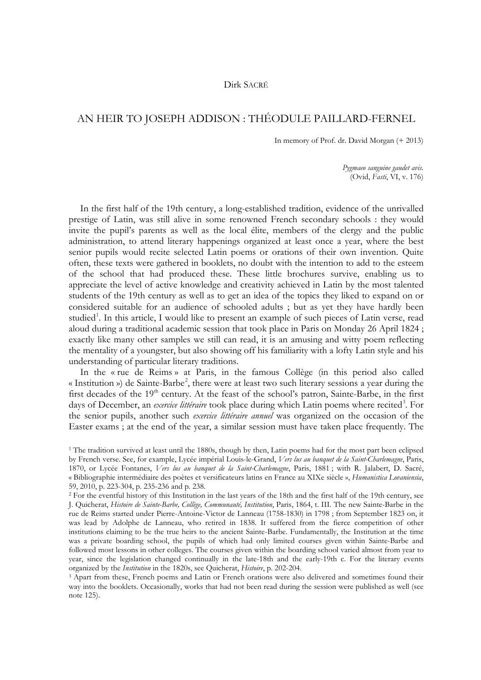## Dirk SACRÉ

## AN HEIR TO JOSEPH ADDISON : THÉODULE PAILLARD-FERNEL

In memory of Prof. dr. David Morgan (+ 2013)

*Pygmaeo sanguine gaudet avis*. (Ovid, *Fasti*, VI, v. 176)

In the first half of the 19th century, a long-established tradition, evidence of the unrivalled prestige of Latin, was still alive in some renowned French secondary schools : they would invite the pupil's parents as well as the local élite, members of the clergy and the public administration, to attend literary happenings organized at least once a year, where the best senior pupils would recite selected Latin poems or orations of their own invention. Quite often, these texts were gathered in booklets, no doubt with the intention to add to the esteem of the school that had produced these. These little brochures survive, enabling us to appreciate the level of active knowledge and creativity achieved in Latin by the most talented students of the 19th century as well as to get an idea of the topics they liked to expand on or considered suitable for an audience of schooled adults ; but as yet they have hardly been studied<sup>[1](#page-0-0)</sup>. In this article, I would like to present an example of such pieces of Latin verse, read aloud during a traditional academic session that took place in Paris on Monday 26 April 1824 ; exactly like many other samples we still can read, it is an amusing and witty poem reflecting the mentality of a youngster, but also showing off his familiarity with a lofty Latin style and his understanding of particular literary traditions.

In the « rue de Reims » at Paris, in the famous Collège (in this period also called « Institution ») de Sainte-Barbe<sup>[2](#page-0-1)</sup>, there were at least two such literary sessions a year during the first decades of the 19<sup>th</sup> century. At the feast of the school's patron, Sainte-Barbe, in the first days of December, an *exercice littéraire* took place during which Latin poems where recited<sup>[3](#page-0-2)</sup>. For the senior pupils, another such *exercice littéraire annuel* was organized on the occasion of the Easter exams ; at the end of the year, a similar session must have taken place frequently. The

<span id="page-0-2"></span>way into the booklets. Occasionally, works that had not been read during the session were published as well (see note 125).

<span id="page-0-0"></span><sup>&</sup>lt;sup>1</sup> The tradition survived at least until the 1880s, though by then, Latin poems had for the most part been eclipsed by French verse. See, for example, Lycée impérial Louis-le-Grand, *Vers lus au banquet de la Saint-Charlemagne*, Paris, 1870, or Lycée Fontanes, *Vers lus au banquet de la Saint-Charlemagne*, Paris, 1881 ; with R. Jalabert, D. Sacré, « Bibliographie intermédiaire des poètes et versificateurs latins en France au XIXe siècle », *Humanistica Lovaniensia*, 59, 2010, p. 223-304, p. 235-236 and p. 238.

<span id="page-0-1"></span><sup>2</sup> For the eventful history of this Institution in the last years of the 18th and the first half of the 19th century, see J. Quicherat, *Histoire de Sainte-Barbe, Collège, Communauté, Institution*, Paris, 1864, t. III. The new Sainte-Barbe in the rue de Reims started under Pierre-Antoine-Victor de Lanneau (1758-1830) in 1798 ; from September 1823 on, it was lead by Adolphe de Lanneau, who retired in 1838. It suffered from the fierce competition of other institutions claiming to be the true heirs to the ancient Sainte-Barbe. Fundamentally, the Institution at the time was a private boarding school, the pupils of which had only limited courses given within Sainte-Barbe and followed most lessons in other colleges. The courses given within the boarding school varied almost from year to year, since the legislation changed continually in the late-18th and the early-19th c. For the literary events organized by the *Institution* in the 1820s, see Quicherat, *Histoire*, p. 202-204.<br><sup>3</sup> Apart from these, French poems and Latin or French orations were also delivered and sometimes found their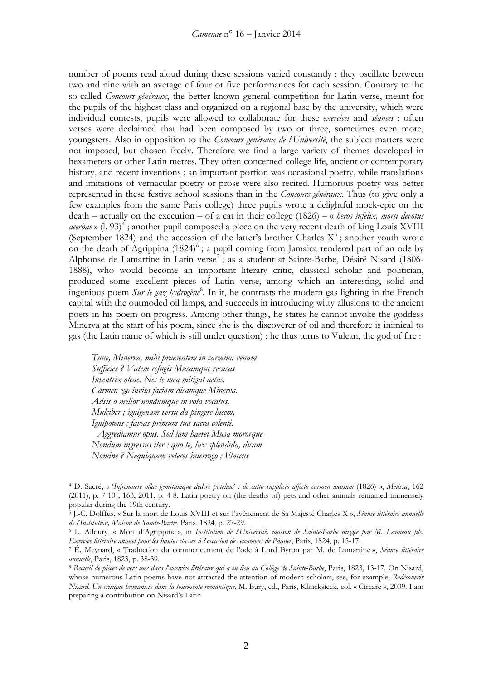number of poems read aloud during these sessions varied constantly : they oscillate between two and nine with an average of four or five performances for each session. Contrary to the so-called *Concours généraux*, the better known general competition for Latin verse, meant for the pupils of the highest class and organized on a regional base by the university, which were individual contests, pupils were allowed to collaborate for these *exercices* and *séances* : often verses were declaimed that had been composed by two or three, sometimes even more, youngsters. Also in opposition to the *Concours genéraux de l*'*Université*, the subject matters were not imposed, but chosen freely. Therefore we find a large variety of themes developed in hexameters or other Latin metres. They often concerned college life, ancient or contemporary history, and recent inventions ; an important portion was occasional poetry, while translations and imitations of vernacular poetry or prose were also recited. Humorous poetry was better represented in these festive school sessions than in the *Concours généraux*. Thus (to give only a few examples from the same Paris college) three pupils wrote a delightful mock-epic on the death – actually on the execution – of a cat in their college (1826) – « *heros infelix, morti devotus*  acerbae » (l. 93)<sup>[4](#page-1-0)</sup>; another pupil composed a piece on the very recent death of king Louis XVIII (September 1824) and the accession of the latter's brother Charles  $X^5$  $X^5$ ; another youth wrote on the death of Agrippina  $(1824)^6$  $(1824)^6$ ; a pupil coming from Jamaica rendered part of an ode by Alphonse de Lamartine in Latin verse<sup>[7](#page-1-3)</sup>; as a student at Sainte-Barbe, Désiré Nisard (1806-1888), who would become an important literary critic, classical scholar and politician, produced some excellent pieces of Latin verse, among which an interesting, solid and ingenious poem *Sur le gaz hydrogène*[8](#page-1-4) *.* In it, he contrasts the modern gas lighting in the French capital with the outmoded oil lamps, and succeeds in introducing witty allusions to the ancient poets in his poem on progress. Among other things, he states he cannot invoke the goddess Minerva at the start of his poem, since she is the discoverer of oil and therefore is inimical to gas (the Latin name of which is still under question) ; he thus turns to Vulcan, the god of fire :

*Tune, Minerva, mihi praesentem in carmina venam Sufficies ? Vatem refugis Musamque recusas Inventrix oleae. Nec te mea mitigat aetas. Carmen ego invita faciam dicamque Minerva. Adsis o melior nondumque in vota vocatus, Mulciber ; ignigenam versu da pingere lucem, Ignipotens ; faveas primum tua sacra colenti. Aggrediamur opus. Sed iam haeret Musa mororque Nondum ingressus iter : quo te, lux splendida, dicam Nomine ? Nequiquam veteres interrogo ; Flaccus*

<span id="page-1-0"></span><sup>4</sup> D. Sacré, « '*Infremuere ollae gemitumque dedere patellae*' *: de catto supplicio affecto carmen iocosum* (1826) », *Melissa*, 162 (2011), p. 7-10 ; 163, 2011, p. 4-8. Latin poetry on (the deaths of) pets and other animals remained immensely popular during the 19th century.

<span id="page-1-1"></span><sup>5</sup> J.-C. Dolffus, « Sur la mort de Louis XVIII et sur l'avènement de Sa Majesté Charles X », *Séance littéraire annuelle de l*'*Institution, Maison de Sainte-Barbe*, Paris, 1824, p. 27-29.

<span id="page-1-2"></span><sup>6</sup> L. Alloury, « Mort d'Agrippine », in *Institution de l*'*Université, maison de Sainte-Barbe dirigée par M. Lanneau fils. Exercice littéraire annuel pour les hautes classes à l*'*occasion des examens de Pâques*, Paris, 1824, p. 15-17.

<span id="page-1-3"></span><sup>7</sup> É. Meynard, « Traduction du commencement de l'ode à Lord Byron par M. de Lamartine », *Séance littéraire annuelle*, Paris, 1823, p. 38-39.

<span id="page-1-4"></span><sup>8</sup> *Recueil de pièces de vers lues dans l*'*exercice littéraire qui a eu lieu au Collège de Sainte-Barbe*, Paris, 1823, 13-17. On Nisard, whose numerous Latin poems have not attracted the attention of modern scholars, see, for example, *Redécouvrir Nisard. Un critique humaniste dans la tourmente romantique*, M. Bury, ed., Paris, Klincksieck, col. « Circare », 2009. I am preparing a contribution on Nisard's Latin.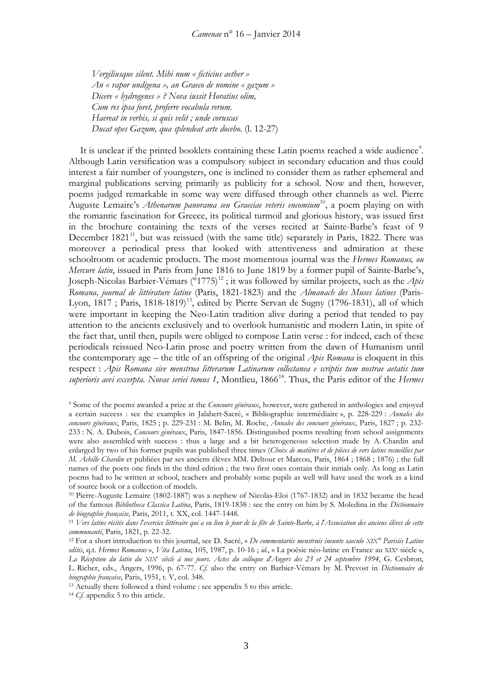*Vergiliusque silent. Mihi num « ficticius aether » An « vapor undigena », an Graeco de nomine « gazum » Dicere « hydrogenes » ? Nova iussit Horatius olim, Cum res ipsa foret, proferre vocabula rerum. Haereat in verbis, si quis velit ; unde coruscas Ducat opes Gazum, qua splendeat arte docebo.* (l. 12-27)

It is unclear if the printed booklets containing these Latin poems reached a wide audience<sup>[9](#page-2-0)</sup>. Although Latin versification was a compulsory subject in secondary education and thus could interest a fair number of youngsters, one is inclined to consider them as rather ephemeral and marginal publications serving primarily as publicity for a school. Now and then, however, poems judged remarkable in some way were diffused through other channels as wel. Pierre Auguste Lemaire's *Athenarum panorama seu Graeciae veteris encomium*<sup>10</sup>, a poem playing on with the romantic fascination for Greece, its political turmoil and glorious history, was issued first in the brochure containing the texts of the verses recited at Sainte-Barbe's feast of 9 December  $1821<sup>11</sup>$  $1821<sup>11</sup>$  $1821<sup>11</sup>$ , but was reissued (with the same title) separately in Paris, 1822. There was moreover a periodical press that looked with attentiveness and admiration at these schoolroom or academic products. The most momentous journal was the *Hermes Romanus, ou Mercure latin*, issued in Paris from June 1816 to June 1819 by a former pupil of Sainte-Barbe's, Joseph-Nicolas Barbier-Vémars ( $\degree$ 1775)<sup>[12](#page-2-3)</sup>; it was followed by similar projects, such as the *Apis Romana, journal de littérature latine* (Paris, 1821-1823) and the *Almanach des Muses latines* (Paris-Lyon,  $1817$ ; Paris,  $1818-1819)$ <sup>13</sup>, edited by Pierre Servan de Sugny (1796-1831), all of which were important in keeping the Neo-Latin tradition alive during a period that tended to pay attention to the ancients exclusively and to overlook humanistic and modern Latin, in spite of the fact that, until then, pupils were obliged to compose Latin verse : for indeed, each of these periodicals reissued Neo-Latin prose and poetry written from the dawn of Humanism until the contemporary age – the title of an offspring of the original *Apis Romana* is eloquent in this respect : *Apis Romana sive menstrua litterarum Latinarum collectanea e scriptis tum nostrae aetatis tum*  superioris aevi excerpta. Novae seriei tomus 1, Montlieu, 1866<sup>14</sup>. Thus, the Paris editor of the *Hermes* 

<span id="page-2-4"></span><sup>13</sup> Actually there followed a third volume : see appendix 5 to this article.

<span id="page-2-5"></span><sup>14</sup> *Cf.* appendix 5 to this article.

<span id="page-2-0"></span><sup>9</sup> Some of the poems awarded a prize at the *Concours généraux*, however, were gathered in anthologies and enjoyed a certain success : see the examples in Jalabert-Sacré, « Bibliographie intermédiaire », p. 228-229 : *Annales des concours généraux*, Paris, 1825 ; p. 229-231 : M. Belin, M. Roche, *Annales des concours généraux*, Paris, 1827 ; p. 232- 233 : N. A. Dubois, *Concours généraux*, Paris, 1847-1856. Distinguished poems resulting from school assignments were also assembled with success : thus a large and a bit heterogeneous selection made by A. Chardin and enlarged by two of his former pupils was published three times (*Choix de matières et de pièces de vers latins recueillies par M. Achille Chardin* et publiées par ses anciens élèves MM. Deltour et Marcou, Paris, 1864 ; 1868 ; 1876) ; the full names of the poets one finds in the third edition ; the two first ones contain their initials only. As long as Latin poems had to be written at school, teachers and probably some pupils as well will have used the work as a kind of source book or a collection of models.

<span id="page-2-1"></span><sup>10</sup> Pierre-Auguste Lemaire (1802-1887) was a nephew of Nicolas-Eloi (1767-1832) and in 1832 became the head of the famous *Bibliotheca Classica Latina*, Paris, 1819-1838 : see the entry on him by S. Moledina in the *Dictionnaire de biographie française*, Paris, 2011, t. XX, col. 1447-1448.

<span id="page-2-2"></span><sup>11</sup> *Vers latins récités dans l*'*exercice littéraire qui a eu lieu le jour de la fête de Sainte-Barbe, à l*'*Association des anciens élèves de cette communauté*, Paris, 1821, p. 22-32.

<span id="page-2-3"></span><sup>12</sup> For a short introduction to this journal, see D. Sacré, « *De commentariis menstruis ineunte saeculo XIX° Parisiis Latine editis*, q.t. *Hermes Romanus* », *Vita Latina*, 105, 1987, p. 10-16 ; *id*., « La poésie néo-latine en France au XIXe siècle », *La Réception du latin du XIXe siècle à nos jours. Actes du colloque d*'*Angers des 23 et 24 septembre 1994*, G. Cesbron, L. Richer, eds., Angers, 1996, p. 67-77. *Cf.* also the entry on Barbier-Vémars by M. Prevost in *Dictionnaire de biographie française*, Paris, 1951, t. V, col. 348.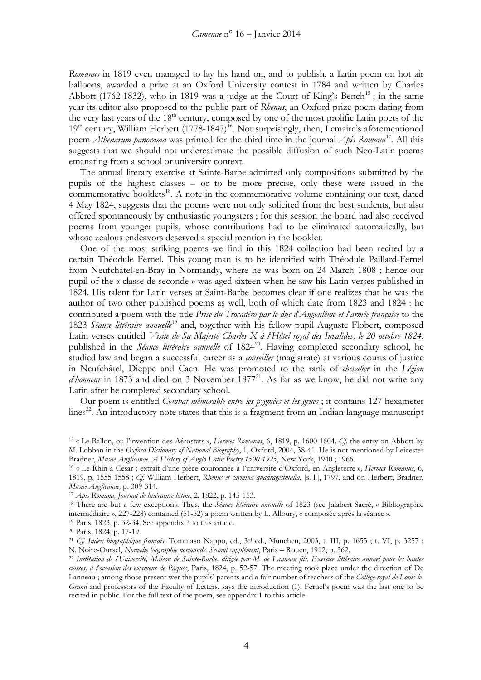*Romanus* in 1819 even managed to lay his hand on, and to publish, a Latin poem on hot air balloons, awarded a prize at an Oxford University contest in 1784 and written by Charles Abbott (1762-1832), who in 1819 was a judge at the Court of King's Bench<sup>[15](#page-3-0)</sup>; in the same year its editor also proposed to the public part of *Rhenus*, an Oxford prize poem dating from the very last years of the  $18<sup>th</sup>$  century, composed by one of the most prolific Latin poets of the 19<sup>th</sup> century, William Herbert (1778-1847)<sup>16</sup>. Not surprisingly, then, Lemaire's aforementioned poem *Athenarum panorama* was printed for the third time in the journal *Apis Romana*[17](#page-3-2)*.* All this suggests that we should not underestimate the possible diffusion of such Neo-Latin poems emanating from a school or university context.

The annual literary exercise at Sainte-Barbe admitted only compositions submitted by the pupils of the highest classes – or to be more precise, only these were issued in the commemorative booklets<sup>[18](#page-3-3)</sup>. A note in the commemorative volume containing our text, dated 4 May 1824, suggests that the poems were not only solicited from the best students, but also offered spontaneously by enthusiastic youngsters ; for this session the board had also received poems from younger pupils, whose contributions had to be eliminated automatically, but whose zealous endeavors deserved a special mention in the booklet.

One of the most striking poems we find in this 1824 collection had been recited by a certain Théodule Fernel. This young man is to be identified with Théodule Paillard-Fernel from Neufchâtel-en-Bray in Normandy, where he was born on 24 March 1808 ; hence our pupil of the « classe de seconde » was aged sixteen when he saw his Latin verses published in 1824. His talent for Latin verses at Saint-Barbe becomes clear if one realizes that he was the author of two other published poems as well, both of which date from 1823 and 1824 : he contributed a poem with the title *Prise du Trocadéro par le duc d*'*Angoulême et l*'*armée française* to the 1823 *Séance littéraire annuelle*[19](#page-3-4) and, together with his fellow pupil Auguste Flobert, composed Latin verses entitled *Visite de Sa Majesté Charles X à l*'*Hôtel royal des Invalides, le 20 octobre 1824*, published in the *Séance littéraire annuelle* of 1824<sup>[20](#page-3-5)</sup>. Having completed secondary school, he studied law and began a successful career as a *conseiller* (magistrate) at various courts of justice in Neufchâtel, Dieppe and Caen. He was promoted to the rank of *chevalier* in the *Légion d* honneur in 1873 and died on 3 November 1877<sup>[21](#page-3-6)</sup>. As far as we know, he did not write any Latin after he completed secondary school.

Our poem is entitled *Combat mémorable entre les pygmées et les grues* ; it contains 127 hexameter  $\frac{22}{3}$  $\frac{22}{3}$  $\frac{22}{3}$ . An introductory note states that this is a fragment from an Indian-language manuscript

<span id="page-3-4"></span><sup>19</sup> Paris, 1823, p. 32-34. See appendix 3 to this article.

<span id="page-3-0"></span><sup>15</sup> « Le Ballon, ou l'invention des Aérostats », *Hermes Romanus*, 6, 1819, p. 1600-1604. *Cf.* the entry on Abbott by M. Lobban in the *Oxford Dictionary of National Biography*, 1, Oxford, 2004, 38-41. He is not mentioned by Leicester Bradner, *Musae Anglicanae. A History of Anglo-Latin Poetry 1500-1925*, New York, 1940 ; 1966.

<span id="page-3-1"></span><sup>16</sup> « Le Rhin à César ; extrait d'une pièce couronnée à l'université d'Oxford, en Angleterre », *Hermes Romanus*, 6, 1819, p. 1555-1558 ; *Cf.* William Herbert, *Rhenus et carmina quadragesimalia*, [s. l.], 1797, and on Herbert, Bradner, *Musae Anglicanae,* p. 309-314.

<sup>17</sup> *Apis Romana, Journal de littérature latine*, 2, 1822, p. 145-153.

<span id="page-3-3"></span><span id="page-3-2"></span><sup>18</sup> There are but a few exceptions. Thus, the *Séance littéraire annuelle* of 1823 (see Jalabert-Sacré, « Bibliographie intermédiaire », 227-228) contained (51-52) a poem written by L. Alloury, « composée après la séance ».

<sup>20</sup> Paris, 1824, p. 17-19.

<span id="page-3-6"></span><span id="page-3-5"></span><sup>21</sup> *Cf. Index biographique français*, Tommaso Nappo, ed., 3rd ed., München, 2003, t. III, p. 1655 ; t. VI, p. 3257 ; N. Noire-Oursel, *Nouvelle biographie normande. Second supplément*, Paris – Rouen, 1912, p. 362.

<span id="page-3-7"></span><sup>22</sup> *Institution de l*'*Université, Maison de Sainte-Barbe, dirigée par M. de Lanneau fils. Exercice littéraire annuel pour les hautes classes, à l*'*occasion des examens de Pâques*, Paris, 1824, p. 52-57. The meeting took place under the direction of De Lanneau ; among those present wer the pupils' parents and a fair number of teachers of the *Collège royal de Louis-le-Grand* and professors of the Faculty of Letters, says the introduction (1). Fernel's poem was the last one to be recited in public. For the full text of the poem, see appendix 1 to this article.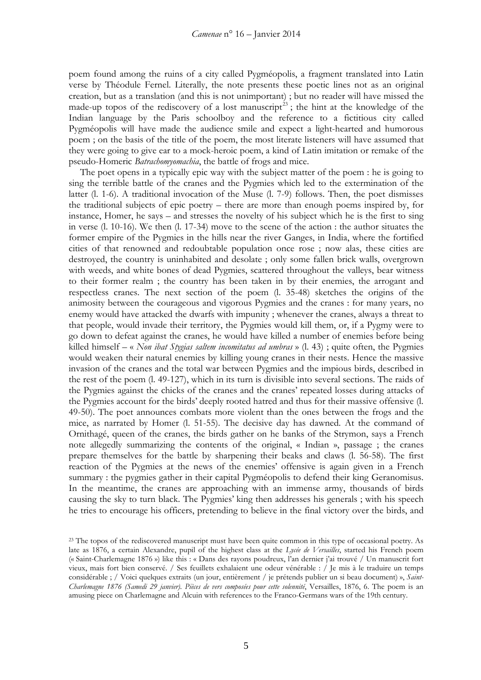poem found among the ruins of a city called Pygméopolis, a fragment translated into Latin verse by Théodule Fernel. Literally, the note presents these poetic lines not as an original creation, but as a translation (and this is not unimportant) ; but no reader will have missed the made-up topos of the rediscovery of a lost manuscript<sup>[23](#page-4-0)</sup>; the hint at the knowledge of the Indian language by the Paris schoolboy and the reference to a fictitious city called Pygméopolis will have made the audience smile and expect a light-hearted and humorous poem ; on the basis of the title of the poem, the most literate listeners will have assumed that they were going to give ear to a mock-heroic poem, a kind of Latin imitation or remake of the pseudo-Homeric *Batrachomyomachia*, the battle of frogs and mice.

The poet opens in a typically epic way with the subject matter of the poem : he is going to sing the terrible battle of the cranes and the Pygmies which led to the extermination of the latter (l. 1-6). A traditional invocation of the Muse (l. 7-9) follows. Then, the poet dismisses the traditional subjects of epic poetry – there are more than enough poems inspired by, for instance, Homer, he says – and stresses the novelty of his subject which he is the first to sing in verse (l. 10-16). We then (l. 17-34) move to the scene of the action : the author situates the former empire of the Pygmies in the hills near the river Ganges, in India, where the fortified cities of that renowned and redoubtable population once rose ; now alas, these cities are destroyed, the country is uninhabited and desolate ; only some fallen brick walls, overgrown with weeds, and white bones of dead Pygmies, scattered throughout the valleys, bear witness to their former realm ; the country has been taken in by their enemies, the arrogant and respectless cranes. The next section of the poem (l. 35-48) sketches the origins of the animosity between the courageous and vigorous Pygmies and the cranes : for many years, no enemy would have attacked the dwarfs with impunity ; whenever the cranes, always a threat to that people, would invade their territory, the Pygmies would kill them, or, if a Pygmy were to go down to defeat against the cranes, he would have killed a number of enemies before being killed himself – « *Non ibat Stygias saltem incomitatus ad umbras* » (l. 43) ; quite often, the Pygmies would weaken their natural enemies by killing young cranes in their nests. Hence the massive invasion of the cranes and the total war between Pygmies and the impious birds, described in the rest of the poem (l. 49-127), which in its turn is divisible into several sections. The raids of the Pygmies against the chicks of the cranes and the cranes' repeated losses during attacks of the Pygmies account for the birds' deeply rooted hatred and thus for their massive offensive (l. 49-50). The poet announces combats more violent than the ones between the frogs and the mice, as narrated by Homer (l. 51-55). The decisive day has dawned. At the command of Ornithagé, queen of the cranes, the birds gather on he banks of the Strymon, says a French note allegedly summarizing the contents of the original, « Indian », passage ; the cranes prepare themselves for the battle by sharpening their beaks and claws (l. 56-58). The first reaction of the Pygmies at the news of the enemies' offensive is again given in a French summary : the pygmies gather in their capital Pygméopolis to defend their king Geranomisus. In the meantime, the cranes are approaching with an immense army, thousands of birds causing the sky to turn black. The Pygmies' king then addresses his generals ; with his speech he tries to encourage his officers, pretending to believe in the final victory over the birds, and

<span id="page-4-0"></span><sup>&</sup>lt;sup>23</sup> The topos of the rediscovered manuscript must have been quite common in this type of occasional poetry. As late as 1876, a certain Alexandre, pupil of the highest class at the *Lycée de Versailles*, started his French poem (« Saint-Charlemagne 1876 ») like this : « Dans des rayons poudreux, l'an dernier j'ai trouvé / Un manuscrit fort vieux, mais fort bien conservé. / Ses feuillets exhalaient une odeur vénérable : / Je mis à le traduire un temps considérable ; / Voici quelques extraits (un jour, entièrement / je prétends publier un si beau document) », *Saint-Charlemagne 1876 (Samedi 29 janvier). Pièces de vers composées pour cette solennité*, Versailles, 1876, 6. The poem is an amusing piece on Charlemagne and Alcuin with references to the Franco-Germans wars of the 19th century.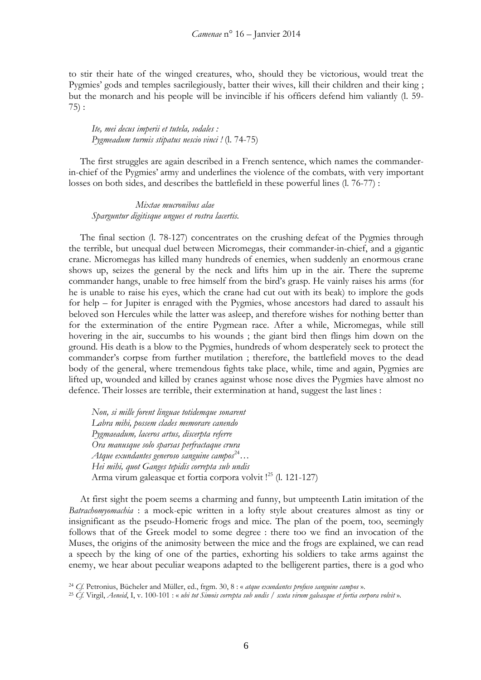to stir their hate of the winged creatures, who, should they be victorious, would treat the Pygmies' gods and temples sacrilegiously, batter their wives, kill their children and their king ; but the monarch and his people will be invincible if his officers defend him valiantly (l. 59- 75) :

*Ite, mei decus imperii et tutela, sodales : Pygmeadum turmis stipatus nescio vinci !* (l. 74-75)

The first struggles are again described in a French sentence, which names the commanderin-chief of the Pygmies' army and underlines the violence of the combats, with very important losses on both sides, and describes the battlefield in these powerful lines (l. 76-77) :

 *Mixtae mucronibus alae Sparguntur digitisque ungues et rostra lacertis.*

The final section (l. 78-127) concentrates on the crushing defeat of the Pygmies through the terrible, but unequal duel between Micromegas, their commander-in-chief, and a gigantic crane. Micromegas has killed many hundreds of enemies, when suddenly an enormous crane shows up, seizes the general by the neck and lifts him up in the air. There the supreme commander hangs, unable to free himself from the bird's grasp. He vainly raises his arms (for he is unable to raise his eyes, which the crane had cut out with its beak) to implore the gods for help – for Jupiter is enraged with the Pygmies, whose ancestors had dared to assault his beloved son Hercules while the latter was asleep, and therefore wishes for nothing better than for the extermination of the entire Pygmean race. After a while, Micromegas, while still hovering in the air, succumbs to his wounds ; the giant bird then flings him down on the ground. His death is a blow to the Pygmies, hundreds of whom desperately seek to protect the commander's corpse from further mutilation ; therefore, the battlefield moves to the dead body of the general, where tremendous fights take place, while, time and again, Pygmies are lifted up, wounded and killed by cranes against whose nose dives the Pygmies have almost no defence. Their losses are terrible, their extermination at hand, suggest the last lines :

*Non, si mille forent linguae totidemque sonarent Labra mihi, possem clades memorare canendo Pygmaeadum, laceros artus, discerpta referre Ora manusque solo sparsas perfractaque crura Atque exundantes generoso sanguine campos*[24](#page-5-0)*… Hei mihi, quot Ganges tepidis correpta sub undis* Arma virum galeasque et fortia corpora volvit !<sup>[25](#page-5-1)</sup> (l. 121-127)

At first sight the poem seems a charming and funny, but umpteenth Latin imitation of the *Batrachomyomachia* : a mock-epic written in a lofty style about creatures almost as tiny or insignificant as the pseudo-Homeric frogs and mice. The plan of the poem, too, seemingly follows that of the Greek model to some degree : there too we find an invocation of the Muses, the origins of the animosity between the mice and the frogs are explained, we can read a speech by the king of one of the parties, exhorting his soldiers to take arms against the enemy, we hear about peculiar weapons adapted to the belligerent parties, there is a god who

<span id="page-5-0"></span><sup>24</sup> *Cf.* Petronius, Bücheler and Müller, ed., frgm. 30, 8 : « *atque exundantes profuso sanguine campos* ».

<span id="page-5-1"></span><sup>25</sup> *Cf.* Virgil, *Aeneid*, I, v. 100-101 : « *ubi tot Simois correpta sub undis / scuta virum galeasque et fortia corpora volvit* ».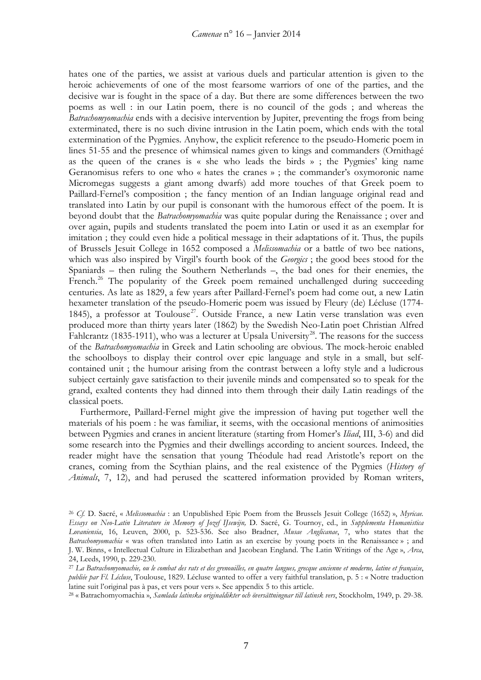hates one of the parties, we assist at various duels and particular attention is given to the heroic achievements of one of the most fearsome warriors of one of the parties, and the decisive war is fought in the space of a day. But there are some differences between the two poems as well : in our Latin poem, there is no council of the gods ; and whereas the *Batrachomyomachia* ends with a decisive intervention by Jupiter, preventing the frogs from being exterminated, there is no such divine intrusion in the Latin poem, which ends with the total extermination of the Pygmies. Anyhow, the explicit reference to the pseudo-Homeric poem in lines 51-55 and the presence of whimsical names given to kings and commanders (Ornithagé as the queen of the cranes is « she who leads the birds » ; the Pygmies' king name Geranomisus refers to one who « hates the cranes » ; the commander's oxymoronic name Micromegas suggests a giant among dwarfs) add more touches of that Greek poem to Paillard-Fernel's composition ; the fancy mention of an Indian language original read and translated into Latin by our pupil is consonant with the humorous effect of the poem. It is beyond doubt that the *Batrachomyomachia* was quite popular during the Renaissance ; over and over again, pupils and students translated the poem into Latin or used it as an exemplar for imitation ; they could even hide a political message in their adaptations of it. Thus, the pupils of Brussels Jesuit College in 1652 composed a *Melissomachia* or a battle of two bee nations, which was also inspired by Virgil's fourth book of the *Georgics* ; the good bees stood for the Spaniards – then ruling the Southern Netherlands –, the bad ones for their enemies, the French.<sup>[26](#page-6-0)</sup> The popularity of the Greek poem remained unchallenged during succeeding centuries. As late as 1829, a few years after Paillard-Fernel's poem had come out, a new Latin hexameter translation of the pseudo-Homeric poem was issued by Fleury (de) Lécluse (1774- 1845), a professor at Toulouse<sup>27</sup>. Outside France, a new Latin verse translation was even produced more than thirty years later (1862) by the Swedish Neo-Latin poet Christian Alfred Fahlcrantz (1835-1911), who was a lecturer at Upsala University<sup>28</sup>. The reasons for the success of the *Batrachomyomachia* in Greek and Latin schooling are obvious. The mock-heroic enabled the schoolboys to display their control over epic language and style in a small, but selfcontained unit ; the humour arising from the contrast between a lofty style and a ludicrous subject certainly gave satisfaction to their juvenile minds and compensated so to speak for the grand, exalted contents they had dinned into them through their daily Latin readings of the classical poets.

Furthermore, Paillard-Fernel might give the impression of having put together well the materials of his poem : he was familiar, it seems, with the occasional mentions of animosities between Pygmies and cranes in ancient literature (starting from Homer's *Iliad*, III, 3-6) and did some research into the Pygmies and their dwellings according to ancient sources. Indeed, the reader might have the sensation that young Théodule had read Aristotle's report on the cranes, coming from the Scythian plains, and the real existence of the Pygmies (*History of Animals*, 7, 12), and had perused the scattered information provided by Roman writers,

<span id="page-6-0"></span><sup>26</sup> *Cf.* D. Sacré, « *Melissomachia* : an Unpublished Epic Poem from the Brussels Jesuit College (1652) », *Myricae. Essays on Neo-Latin Literature in Memory of Jozef IJsewijn,* D. Sacré, G. Tournoy, ed., in *Supplementa Humanistica Lovaniensia*, 16, Leuven, 2000, p. 523-536. See also Bradner, *Musae Anglicanae*, 7, who states that the *Batrachomyomachia* « was often translated into Latin as an exercise by young poets in the Renaissance » ; and J. W. Binns, « Intellectual Culture in Elizabethan and Jacobean England. The Latin Writings of the Age », *Arca*, 24, Leeds, 1990, p. 229-230.

<span id="page-6-1"></span><sup>27</sup> *La Batrachomyomachie, ou le combat des rats et des grenouilles, en quatre langues, grecque ancienne et moderne, latine et française*, *publiée par Fl. Lécluse*, Toulouse, 1829. Lécluse wanted to offer a very faithful translation, p. 5 : « Notre traduction latine suit l'original pas à pas, et vers pour vers ». See appendix 5 to this article.

<span id="page-6-2"></span><sup>28</sup> « Batrachomyomachia », *Samlada latinska originaldikter och översättningnar till latinsk vers*, Stockholm, 1949, p. 29-38.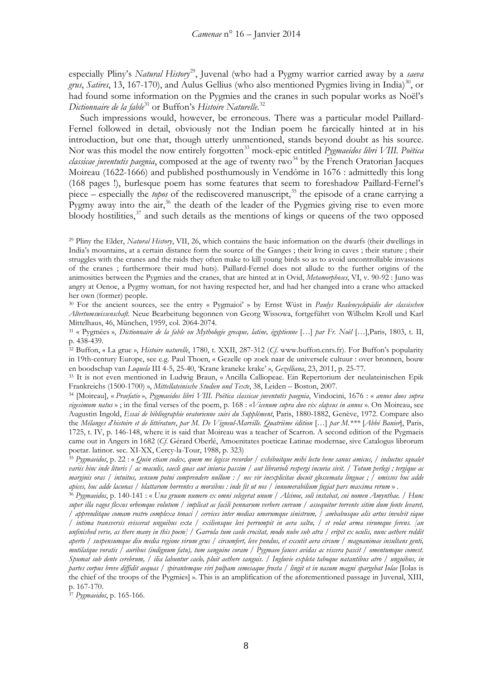especially Pliny's *Natural History*<sup>29</sup>, Juvenal (who had a Pygmy warrior carried away by a *saeva grus*, *Satires*, 13, 167-170), and Aulus Gellius (who also mentioned Pygmies living in India)<sup>[30](#page-7-1)</sup>, or had found some information on the Pygmies and the cranes in such popular works as Noël's *Dictionnaire de la fable*[31](#page-7-2) or Buffon's *Histoire Naturelle*. [32](#page-7-3)

Such impressions would, however, be erroneous. There was a particular model Paillard-Fernel followed in detail, obviously not the Indian poem he farcically hinted at in his introduction, but one that, though utterly unmentioned, stands beyond doubt as his source. Nor was this model the now entirely forgotten<sup>[33](#page-7-4)</sup> mock-epic entitled *Pygmaeidos libri VIII. Poëtica classicae juventutis paegnia*, composed at the age of twenty two<sup>[34](#page-7-5)</sup> by the French Oratorian Jacques Moireau (1622-1666) and published posthumously in Vendôme in 1676 : admittedly this long (168 pages !), burlesque poem has some features that seem to foreshadow Paillard-Fernel's piece – especially the *topos* of the rediscovered manuscript,<sup>[35](#page-7-6)</sup> the episode of a crane carrying a Pygmy away into the  $air<sub>1</sub><sup>36</sup>$  $air<sub>1</sub><sup>36</sup>$  $air<sub>1</sub><sup>36</sup>$  the death of the leader of the Pygmies giving rise to even more bloody hostilities,  $37$  and such details as the mentions of kings or queens of the two opposed

<span id="page-7-0"></span><sup>29</sup> Pliny the Elder, *Natural History*, VII, 26, which contains the basic information on the dwarfs (their dwellings in India's mountains, at a certain distance form the source of the Ganges ; their living in caves ; their stature ; their struggles with the cranes and the raids they often make to kill young birds so as to avoid uncontrollable invasions of the cranes ; furthermore their mud huts). Paillard-Fernel does not allude to the further origins of the animosities between the Pygmies and the cranes, that are hinted at in Ovid, *Metamorphoses*, VI, v. 90-92 : Juno was angry at Oenoe, a Pygmy woman, for not having respected her, and had her changed into a crane who attacked her own (former) people.

<span id="page-7-1"></span><sup>30</sup> For the ancient sources, see the entry « Pygmaioi' » by Ernst Wüst in *Paulys Realencyclopädie der classischen Altertumswissenschaft*. Neue Bearbeitung begonnen von Georg Wissowa, fortgeführt von Wilhelm Kroll und Karl Mittelhaus, 46, München, 1959, col. 2064-2074.

<span id="page-7-2"></span><sup>31</sup> « Pygmées », *Dictionnaire de la fable ou Mythologie grecque, latine, égyptienne* […] *par Fr. Noël* […],Paris, 1803, t. II, p. 438-439.

<span id="page-7-3"></span><sup>32</sup> Buffon, « La grue », *Histoire naturelle*, 1780, t. XXII, 287-312 (*Cf.* www.buffon.cnrs.fr). For Buffon's popularity in 19th-century Europe, see e.g. Paul Thoen, « Gezelle op zoek naar de universele cultuur : over bronnen, bouw en boodschap van *Loquela* III 4-5, 25-40, 'Krane kraneke krake' », *Gezelliana*, 23, 2011, p. 25-77.

<span id="page-7-4"></span><sup>33</sup> It is not even mentioned in Ludwig Braun, « Ancilla Calliopeae. Ein Repertorium der neulateinischen Epik Frankreichs (1500-1700) », *Mittellateinische Studien und Texte*, 38, Leiden – Boston, 2007.

<span id="page-7-5"></span><sup>34</sup> [Moireau], « *Praefatio* », *Pygmaeidos libri VIII. Poëtica classicae juventutis paegnia*, Vindocini, 1676 : « *annos duos supra vigesimum natus* » ; in the final verses of the poem, p. 168 : «*Vicenum supra duo vix elapsus in annos* ». On Moireau, see Augustin Ingold, *Essai de bibliographie oratorienne suivi du Supplément*, Paris, 1880-1882, Genève, 1972. Compare also the *Mélanges d*'*histoire et de littérature*, *par M. De Vigneul-Marville. Quatrième édition* […] *par M.\*\*\** [*Abbé Banier*], Paris, 1725, t. IV, p. 146-148, where it is said that Moireau was a teacher of Scarron. A second edition of the Pygmaeis came out in Angers in 1682 (*Cf.* Gérard Oberlé, Amoenitates poeticae Latinae modernae, sive Catalogus librorum poetar. latinor. sec. XI-XX, Cercy-la-Tour, 1988, p. 323)

<span id="page-7-6"></span><sup>35</sup> *Pygmaeidos*, p. 22 : « *Quin etiam codex, quem me legisse recordor / exhibuitque mihi lectu bene sanus amicus, / inductus squalet variis hinc inde lituris / ac maculis, saecli quas aut iniuria passim / aut librarioli respergi incuria sivit. / Totum perlegi ; tergique ac marginis oras / intuitus, sensum potui comprendere nullum : / nec vir inexplicitae docuit glossemata linguae ; / omissos huc adde apices, huc adde lacunas / blattarum horrentes a morsibus : inde fit ut nos / innumerabilium fugiat pars maxima rerum* » .

<span id="page-7-7"></span><sup>36</sup> *Pygmaeidos*, p. 140-141 : « *Una gruum numero ex omni selegerat unum / Alcinoe, soli instabat, cui nomen Amynthae. / Hunc super illa vagos flexus orbemque volutum / implicat ac facili pennarum verbere curvum / assequitur torrente sitim dum fonte levaret, / apprenditque comam rostro complexa tenaci / cervices inter medias umerumque sinistrum, / ambabusque alis artus involvit eique / intima transversis eviscerat unguibus exta / exiliensque levi perrumpit in aera saltu, / et volat arma virumque ferens. [an unfinished verse, as there many in this poem] / Garrula tum caelo crocitat, modo nube sub atra / eripit ex oculis, nunc aethere reddit aperto / suspensumque diu media regione virum grus / circumfert, leve pondus, et excutit aera circum / magnanimae insultans genti, mutilatque voratis / auribus (indignum fatu), tum sanguine coram / Pygmaeo fauces avidas ac viscera pascit / omentumque comest. Spumat sub dente cerebrum, / ilia labuntur caelo, pluit aethere sanguis. / Ingluvie expleta taboque natantibus atro / unguibus, in partes corpus breve diffidit aequas / spirantemque viri pulpam semesaque frusta / lingit et in nasum magni spargebat Iolae* [Iolas is the chief of the troops of the Pygmies] ». This is an amplification of the aforementioned passage in Juvenal, XIII, p. 167-170.

<span id="page-7-8"></span><sup>37</sup> *Pygmaeidos*, p. 165-166.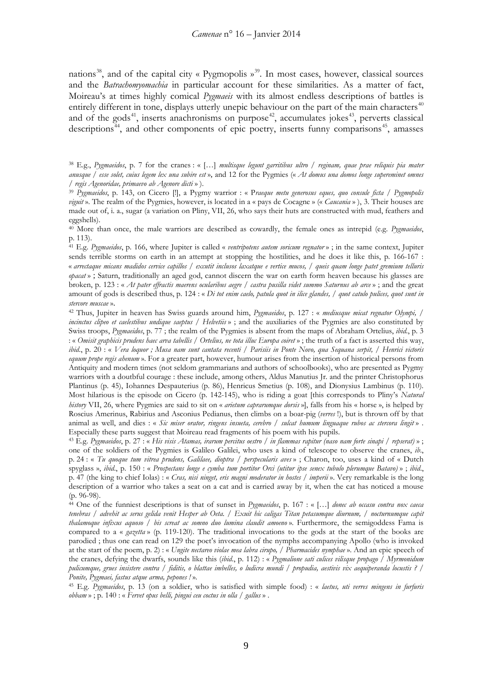nations<sup>[38](#page-8-0)</sup>, and of the capital city « Pygmopolis  $\mathcal{P}^{39}$ . In most cases, however, classical sources and the *Batrachomyomachia* in particular account for these similarities. As a matter of fact, Moireau's at times highly comical *Pygmaeis* with its almost endless descriptions of battles is entirely different in tone, displays utterly unepic behaviour on the part of the main characters<sup>[40](#page-8-2)</sup> and of the gods<sup>41</sup>, inserts anachronisms on purpose<sup>42</sup>, accumulates jokes<sup>[43](#page-8-5)</sup>, perverts classical descriptions<sup>[44](#page-8-6)</sup>, and other components of epic poetry, inserts funny comparisons<sup>45</sup>, amasses

<span id="page-8-0"></span><sup>38</sup> E.g., *Pygmaeidos*, p. 7 for the cranes : « […] *multisque legunt garritibus ultro / reginam, quae prae reliquis pia mater anusque / esse solet, cuius legem lex una subire est* », and 12 for the Pygmies (« *At domus una domos longe supereminet omnes / regis Agenoridae, primaevo ab Agenore dicti* » ).

<span id="page-8-1"></span><sup>39</sup> *Pygmaeidos*, p. 143, on Cicero [!], a Pygmy warrior : « P*raeque metu generosus eques, quo consule ficta / Pygmopolis viguit* ». The realm of the Pygmies, however, is located in a « pays de Cocagne » (« *Caucania* » ), 3. Their houses are made out of, i. a., sugar (a variation on Pliny, VII, 26, who says their huts are constructed with mud, feathers and eggshells).

<span id="page-8-2"></span><sup>40</sup> More than once, the male warriors are described as cowardly, the female ones as intrepid (e.g. *Pygmaeidos*, p. 113).

<span id="page-8-3"></span><sup>41</sup> E.g. *Pygmaeidos*, p. 166, where Jupiter is called « *ventripotens autem soricum regnator* » ; in the same context, Jupiter sends terrible storms on earth in an attempt at stopping the hostilities, and he does it like this, p. 166-167 : « *arrectaque micans madidos cervice capillos / excutit inclusos laxatque e vertice mucos, / queis quam longe patet gremium telluris opacat* » ; Saturn, traditionally an aged god, cannot discern the war on earth form heaven because his glasses are broken, p. 123 : « *At pater effractis maerens ocularibus aegre / castra pusilla videt summo Saturnus ab arce* » ; and the great amount of gods is described thus, p. 124 : « *Di tot enim caelo, patula quot in ilice glandes, / quot catulo pulices, quot sunt in stercore muscae* ».

<span id="page-8-4"></span><sup>42</sup> Thus, Jupiter in heaven has Swiss guards around him, *Pygmaeidos*, p. 127 : « *mediusque micat regnator Olympi, / incinctus clipeo et caelestibus undique saeptus / Helvetiis* »; and the auxiliaries of the Pygmies are also constituted by Swiss troops, *Pygmaeidos*, p. 77 ; the realm of the Pygmies is absent from the maps of Abraham Ortelius, *ibid.*, p. 3 : « *Omisit graphicis prudens haec arva tabellis / Ortelius, ne tota illuc Europa coiret* » ; the truth of a fact is asserted this way, *ibid*., p. 20 : « *Vera loquor ; Musa nam sunt cantata recenti / Parisiis in Ponte Novo, qua Sequana serpit, / Henrici victoris equum prope regis ahenum* ». For a greater part, however, humour arises from the insertion of historical persons from Antiquity and modern times (not seldom grammarians and authors of schoolbooks), who are presented as Pygmy warriors with a doutbful courage: these include, among others, Aldus Manutius Ir. and the printer Christophorus Plantinus (p. 45), Iohannes Despauterius (p. 86), Henricus Smetius (p. 108), and Dionysius Lambinus (p. 110). Most hilarious is the episode on Cicero (p. 142-145), who is riding a goat [this corresponds to Pliny's *Natural history* VII, 26, where Pygmies are said to sit on « *arietum caprarumque dorsis* »], falls from his « horse », is helped by Roscius Amerinus, Rabirius and Asconius Pedianus, then climbs on a boar-pig (*verres* !), but is thrown off by that animal as well, and dies : « *Sic miser orator, ringens insueta, cerebro / sulcat humum linguaque rubos ac stercora lingit* » . Especially these parts suggest that Moireau read fragments of his poem with his pupils.

<span id="page-8-5"></span><sup>43</sup> E.g. *Pygmaeidos*, p. 27 : « *His visis Atamas, irarum percitus oestro / in flammas rapitur (naso nam forte sinapi / repserat)* » ; one of the soldiers of the Pygmies is Galileo Galilei, who uses a kind of telescope to observe the cranes, *ib*., p. 24 : « *Tu quoque tum vitrea prudens, Galilaee, dioptra / perspecularis aves* » ; Charon, too, uses a kind of « Dutch spyglass », *ibid*., p. 150 : « *Prospectans longe e cymba tum portitor Orci (utitur ipse senex tubulo plerumque Batavo)* » ; *ibid*., p. 47 (the king to chief Iolas) : « *Cras, nisi ninget, eris magni moderator in hostes / imperii* ». Very remarkable is the long description of a warrior who takes a seat on a cat and is carried away by it, when the cat has noticed a mouse (p. 96-98).

<span id="page-8-6"></span><sup>44</sup> One of the funniest descriptions is that of sunset in *Pygmaeidos*, p. 167 : « […] *donec ab occasu contra nox caeca tenebras / advehit ac serus gelida venit Hesper ab Oeta. / Exuit hic caligas Titan petasumque diurnum, / nocturnumque capit thalamoque infixus aquoso / bis screat ac somno duo lumina claudit amoeno* ». Furthermore, the semigoddess Fama is compared to a « *gazetta* » (p. 119-120). The traditional invocations to the gods at the start of the books are parodied ; thus one can read on 129 the poet's invocation of the nymphs accompanying Apollo (who is invoked at the start of the poem, p. 2) : « *Ungite nectareo violae mea labra cirupo, / Pharmacides nymphae* ». And an epic speech of the cranes, defying the dwarfs, sounds like this (*ibid*., p. 112) : « *Pygmalione sati culices vilisque propago / Myrmonidum pulicumque, grues insistere contra / fiditis, o blattae imbelles, o ludicra mundi / propudia, aestivis vix aequiperanda locustis ? / Ponite, Pygmaei, fastus atque arma, pepones !* ».

<span id="page-8-7"></span><sup>45</sup> E.g. *Pygmaeidos*, p. 13 (on a soldier, who is satisfied with simple food) : « *laetus, uti verres mingens in furfuris obbam* » ; p. 140 : « *Fervet opus belli, pingui ceu coctus in olla / gallus* » .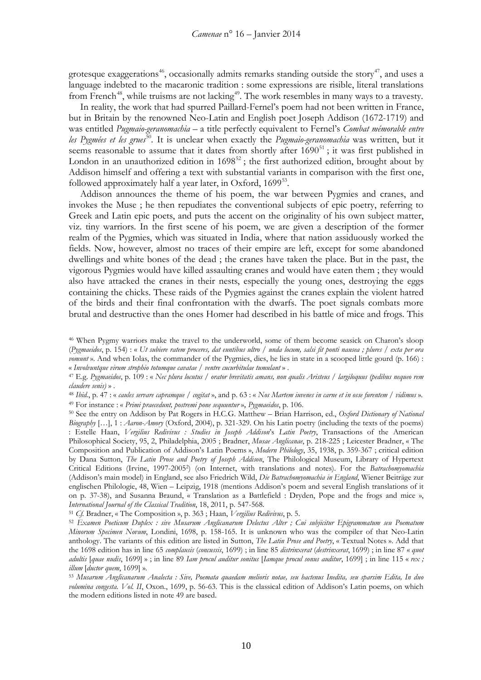grotesque exaggerations<sup>[46](#page-9-0)</sup>, occasionally admits remarks standing outside the story<sup>[47](#page-9-1)</sup>, and uses a language indebted to the macaronic tradition : some expressions are risible, literal translations from French<sup>[48](#page-9-2)</sup>, while truisms are not lacking<sup>49</sup>. The work resembles in many ways to a travesty.

In reality, the work that had spurred Paillard-Fernel's poem had not been written in France, but in Britain by the renowned Neo-Latin and English poet Joseph Addison (1672-1719) and was entitled *Pugmaio-geranomachia* – a title perfectly equivalent to Fernel's *Combat mémorable entre les Pygmées et les grues*[50](#page-9-4)*.* It is unclear when exactly the *Pugmaio-geranomachia* was written, but it seems reasonable to assume that it dates from shortly after  $1690<sup>51</sup>$  $1690<sup>51</sup>$  $1690<sup>51</sup>$ ; it was first published in London in an unauthorized edition in  $1698^{52}$  $1698^{52}$  $1698^{52}$ ; the first authorized edition, brought about by Addison himself and offering a text with substantial variants in comparison with the first one, followed approximately half a year later, in Oxford,  $1699^{53}$ .

Addison announces the theme of his poem, the war between Pygmies and cranes, and invokes the Muse ; he then repudiates the conventional subjects of epic poetry, referring to Greek and Latin epic poets, and puts the accent on the originality of his own subject matter, viz. tiny warriors. In the first scene of his poem, we are given a description of the former realm of the Pygmies, which was situated in India, where that nation assiduously worked the fields. Now, however, almost no traces of their empire are left, except for some abandoned dwellings and white bones of the dead ; the cranes have taken the place. But in the past, the vigorous Pygmies would have killed assaulting cranes and would have eaten them ; they would also have attacked the cranes in their nests, especially the young ones, destroying the eggs containing the chicks. These raids of the Pygmies against the cranes explain the violent hatred of the birds and their final confrontation with the dwarfs. The poet signals combats more brutal and destructive than the ones Homer had described in his battle of mice and frogs. This

<span id="page-9-1"></span><sup>47</sup> E.g. *Pygmaeidos*, p. 109 : « *Nec plura locutus / orator brevitatis amans, non qualis Aristeus / largiloquus (pedibus nequeo rem claudere senis)* » . 48 *Ibid.*, p. 47 : « *caules servare capramque / cogitat* », and p. 63 : « *Nos Martem iuvenes in carne et in osse furentem / vidimus* ».

<span id="page-9-3"></span><span id="page-9-2"></span><sup>49</sup> For instance : « *Primi praecedunt, postremi pone sequuntur* », *Pygmaeidos*, p. 106.

<span id="page-9-4"></span><sup>50</sup> See the entry on Addison by Pat Rogers in H.C.G. Matthew – Brian Harrison, ed., *Oxford Dictionary of National Biography* […], 1 : *Aaron-Amory* (Oxford, 2004), p. 321-329. On his Latin poetry (including the texts of the poems) : Estelle Haan, *Vergilius Redivivus : Studies in Joseph Addison*'s *Latin Poetry*, Transactions of the American Philosophical Society, 95, 2, Philadelphia, 2005 ; Bradner, *Musae Anglicanae*, p. 218-225 ; Leicester Bradner, « The Composition and Publication of Addison's Latin Poems », *Modern Philology*, 35, 1938, p. 359-367 ; critical edition by Dana Sutton, *The Latin Prose and Poetry of Joseph Addison*, The Philological Museum, Library of Hypertext Critical Editions (Irvine, 1997-20052) (on Internet, with translations and notes). For the *Batrachomyomachia* (Addison's main model) in England, see also Friedrich Wild, *Die Batrachomyomachia in England*, Wiener Beiträge zur englischen Philologie, 48, Wien – Leipzig, 1918 (mentions Addison's poem and several English translations of it on p. 37-38), and Susanna Braund, « Translation as a Battlefield : Dryden, Pope and the frogs and mice », *International Journal of the Classical Tradition*, 18, 2011, p. 547-568.

<sup>51</sup> *Cf.* Bradner, « The Composition », p. 363 ; Haan, *Vergilius Redivivus*, p. 5.

<span id="page-9-0"></span><sup>46</sup> When Pygmy warriors make the travel to the underworld, some of them become seasick on Charon's sloop (*Pygmaeidos*, p. 154) : « *Ut subiere ratem proceres, dat euntibus ultro / unda locum, salsi fit ponti nausea ; plures / exta per ora vomunt* ». And when Iolas, the commander of the Pygmies, dies, he lies in state in a scooped little gourd (p. 166) : « *Involvuntque virum strophio totumque cavatae / ventre cucurbitulae tumulant* » .

<span id="page-9-6"></span><span id="page-9-5"></span><sup>52</sup> *Examen Poeticum Duplex : sive Musarum Anglicanarum Delectus Alter ; Cui subjicitur Epigrammatum seu Poematum Minorum Specimen Novum*, Londini, 1698, p. 158-165. It is unknown who was the compiler of that Neo-Latin anthology. The variants of this edition are listed in Sutton, *The Latin Prose and Poetry*, « Textual Notes ». Add that the 1698 edition has in line 65 *complausis* (*concussis*, 1699) ; in line 85 *distrinxerat* (*destrinxerat*, 1699) ; in line 87 « *quot adultis* [*quae nudis*, 1699] » ; in line 89 *Iam procul auditur sonitus* [*Iamque procul sonus auditur*, 1699] ; in line 115 « *rex ; illum* [*ductor quem*, 1699] ».

<span id="page-9-7"></span><sup>53</sup> *Musarum Anglicanarum Analecta : Sive, Poemata quaedam melioris notae, seu hactenus Inedita, seu sparsim Edita, In duo volumina congesta. Vol. II*, Oxon., 1699, p. 56-63. This is the classical edition of Addison's Latin poems, on which the modern editions listed in note 49 are based.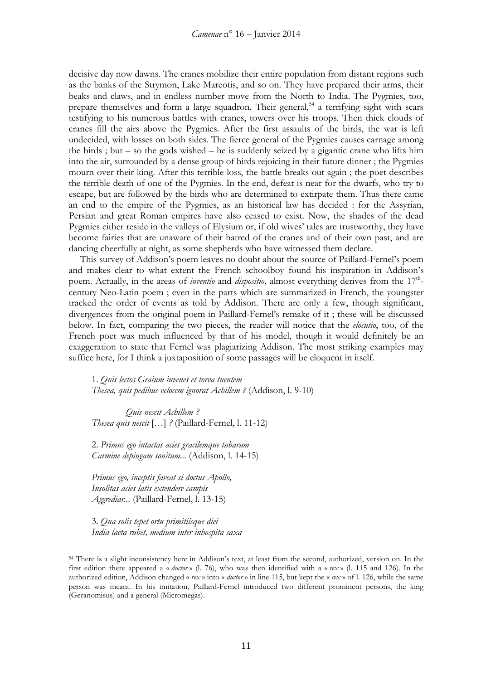decisive day now dawns. The cranes mobilize their entire population from distant regions such as the banks of the Strymon, Lake Mareotis, and so on. They have prepared their arms, their beaks and claws, and in endless number move from the North to India. The Pygmies, too, prepare themselves and form a large squadron. Their general,<sup>[54](#page-10-0)</sup> a terrifying sight with scars testifying to his numerous battles with cranes, towers over his troops. Then thick clouds of cranes fill the airs above the Pygmies. After the first assaults of the birds, the war is left undecided, with losses on both sides. The fierce general of the Pygmies causes carnage among the birds ; but – so the gods wished – he is suddenly seized by a gigantic crane who lifts him into the air, surrounded by a dense group of birds rejoicing in their future dinner ; the Pygmies mourn over their king. After this terrible loss, the battle breaks out again ; the poet describes the terrible death of one of the Pygmies. In the end, defeat is near for the dwarfs, who try to escape, but are followed by the birds who are determined to extirpate them. Thus there came an end to the empire of the Pygmies, as an historical law has decided : for the Assyrian, Persian and great Roman empires have also ceased to exist. Now, the shades of the dead Pygmies either reside in the valleys of Elysium or, if old wives' tales are trustworthy, they have become fairies that are unaware of their hatred of the cranes and of their own past, and are dancing cheerfully at night, as some shepherds who have witnessed them declare.

This survey of Addison's poem leaves no doubt about the source of Paillard-Fernel's poem and makes clear to what extent the French schoolboy found his inspiration in Addison's poem. Actually, in the areas of *inventio* and *dispositio*, almost everything derives from the 17<sup>th</sup>century Neo-Latin poem ; even in the parts which are summarized in French, the youngster tracked the order of events as told by Addison. There are only a few, though significant, divergences from the original poem in Paillard-Fernel's remake of it ; these will be discussed below. In fact, comparing the two pieces, the reader will notice that the *elocutio*, too, of the French poet was much influenced by that of his model, though it would definitely be an exaggeration to state that Fernel was plagiarizing Addison. The most striking examples may suffice here, for I think a juxtaposition of some passages will be eloquent in itself.

1. *Quis lectos Graium iuvenes et torva tuentem Thesea, quis pedibus velocem ignorat Achillem ?* (Addison, l. 9-10)

*Quis nescit Achillem ? Thesea quis nescit* […] *?* (Paillard-Fernel, l. 11-12)

2. *Primus ego intactas acies gracilemque tubarum Carmine depingam sonitum...* (Addison, l. 14-15)

*Primus ego, inceptis faveat si doctus Apollo, Insolitas acies latis extendere campis Aggrediar...* (Paillard-Fernel, l. 13-15)

3. *Qua solis tepet ortu primitiisque diei India laeta rubet, medium inter inhospita saxa*

<span id="page-10-0"></span><sup>54</sup> There is a slight inconsistency here in Addison's text, at least from the second, authorized, version on. In the first edition there appeared a « *ductor* » (l. 76), who was then identified with a « *rex* » (l. 115 and 126). In the authorized edition, Addison changed « *rex* » into « *ductor* » in line 115, but kept the « *rex* » of l. 126, while the same person was meant. In his imitation, Paillard-Fernel introduced two different prominent persons, the king (Geranomisus) and a general (Micromegas).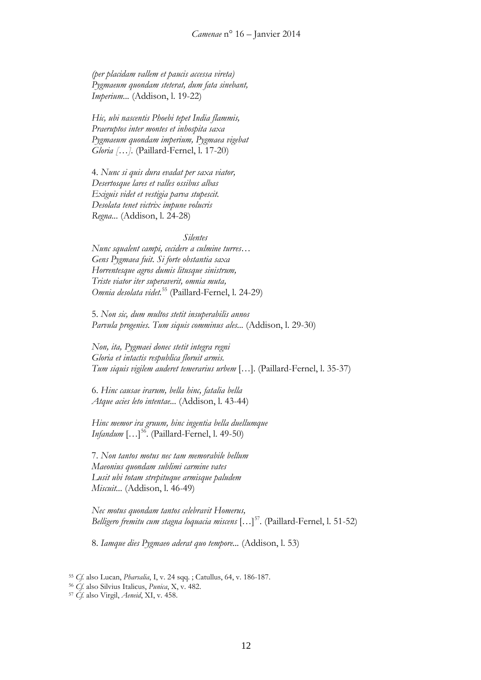*(per placidam vallem et paucis accessa vireta) Pygmaeum quondam steterat, dum fata sinebant, Imperium...* (Addison, l. 19-22)

*Hic, ubi nascentis Phoebi tepet India flammis, Praeruptos inter montes et inhospita saxa Pygmaeum quondam imperium, Pygmaea vigebat Gloria […].* (Paillard-Fernel, l. 17-20)

4. *Nunc si quis dura evadat per saxa viator, Desertosque lares et valles ossibus albas Exiguis videt et vestigia parva stupescit. Desolata tenet victrix impune volucris Regna...* (Addison, l. 24-28)

*Silentes*

*Nunc squalent campi, cecidere a culmine turres… Gens Pygmaea fuit. Si forte obstantia saxa Horrentesque agros dumis litusque sinistrum, Triste viator iter superaverit, omnia muta, Omnia desolata videt.*[55](#page-11-0) (Paillard-Fernel, l. 24-29)

5. *Non sic, dum multos stetit insuperabilis annos Parvula progenies. Tum siquis comminus ales...* (Addison, l. 29-30)

*Non, ita, Pygmaei donec stetit integra regni Gloria et intactis respublica floruit armis. Tum siquis vigilem auderet temerarius urbem* […]. (Paillard-Fernel, l. 35-37)

6. *Hinc causae irarum, bella hinc, fatalia bella Atque acies leto intentae...* (Addison, l. 43-44)

*Hinc memor ira gruum, hinc ingentia bella duellumque Infandum* [...]<sup>[56](#page-11-1)</sup>. (Paillard-Fernel, l. 49-50)

7. *Non tantos motus nec tam memorabile bellum Maeonius quondam sublimi carmine vates Lusit ubi totam strepituque armisque paludem Miscuit...* (Addison, l. 46-49)

*Nec motus quondam tantos celebravit Homerus, Belligero fremitu cum stagna loquacia miscens* […][57](#page-11-2)*.* (Paillard-Fernel, l. 51-52)

8. *Iamque dies Pygmaeo aderat quo tempore...* (Addison, l. 53)

<span id="page-11-0"></span><sup>55</sup> *Cf.* also Lucan, *Pharsalia*, I, v. 24 sqq. ; Catullus, 64, v. 186-187.

<sup>56</sup> *Cf.* also Silvius Italicus, *Punica*, X, v. 482.

<span id="page-11-2"></span><span id="page-11-1"></span><sup>57</sup> *Cf.* also Virgil, *Aeneid*, XI, v. 458.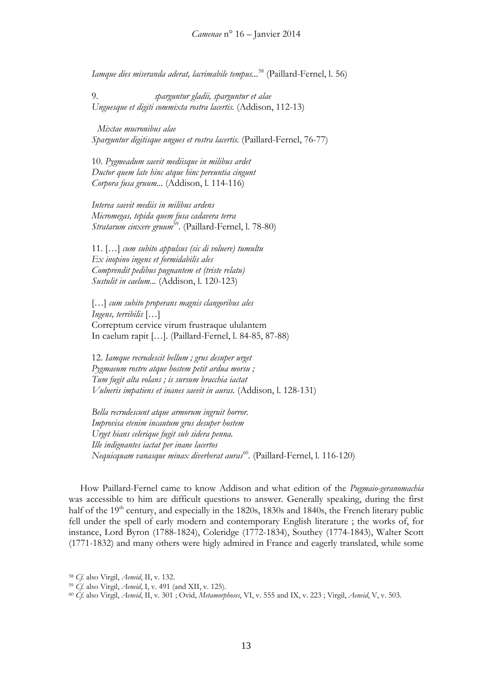*Iamque dies miseranda aderat, lacrimabile tempus...*[58](#page-12-0) (Paillard-Fernel, l. 56)

9. *sparguntur gladii, sparguntur et alae Unguesque et digiti commixta rostra lacertis.* (Addison, 112-13)

*Mixtae mucronibus alae Sparguntur digitisque ungues et rostra lacertis.* (Paillard-Fernel, 76-77)

10. *Pygmeadum saevit mediisque in milibus ardet Ductor quem late hinc atque hinc pereuntia cingunt Corpora fusa gruum...* (Addison, l. 114-116)

*Interea saevit mediis in milibus ardens Micromegas, tepida quem fusa cadavera terra Stratarum cinxere gruum*<sup>[59](#page-12-1)</sup>. (Paillard-Fernel, l. 78-80)

11. […] *cum subito appulsus (sic di voluere) tumultu Ex inopino ingens et formidabilis ales Comprendit pedibus pugnantem et (triste relatu) Sustulit in caelum...* (Addison, l. 120-123)

[…] *cum subito properans magnis clangoribus ales Ingens, terribilis* […] Correptum cervice virum frustraque ululantem In caelum rapit […]. (Paillard-Fernel, l. 84-85, 87-88)

12. *Iamque recrudescit bellum ; grus desuper urget Pygmaeum rostro atque hostem petit ardua morsu ; Tum fugit alta volans ; is sursum bracchia iactat Vulneris impatiens et inanes saevit in auras.* (Addison, l. 128-131)

*Bella recrudescunt atque armorum ingruit horror. Improvisa etenim incautum grus desuper hostem Urget hians celerique fugit sub sidera penna. Ille indignantes iactat per inane lacertos Nequicquam vanasque minax diverberat auras*[60](#page-12-2)*.* (Paillard-Fernel, l. 116-120)

How Paillard-Fernel came to know Addison and what edition of the *Pugmaio-geranomachia* was accessible to him are difficult questions to answer. Generally speaking, during the first half of the  $19<sup>th</sup>$  century, and especially in the 1820s, 1830s and 1840s, the French literary public fell under the spell of early modern and contemporary English literature ; the works of, for instance, Lord Byron (1788-1824), Coleridge (1772-1834), Southey (1774-1843), Walter Scott (1771-1832) and many others were higly admired in France and eagerly translated, while some

<span id="page-12-0"></span><sup>58</sup> *Cf.* also Virgil, *Aeneid*, II, v. 132.

<span id="page-12-1"></span><sup>59</sup> *Cf.* also Virgil, *Aeneid*, I, v. 491 (and XII, v. 125).

<span id="page-12-2"></span><sup>60</sup> *Cf.* also Virgil, *Aeneid*, II, v. 301 ; Ovid, *Metamorphoses*, VI, v. 555 and IX, v. 223 ; Virgil, *Aeneid*, V, v. 503.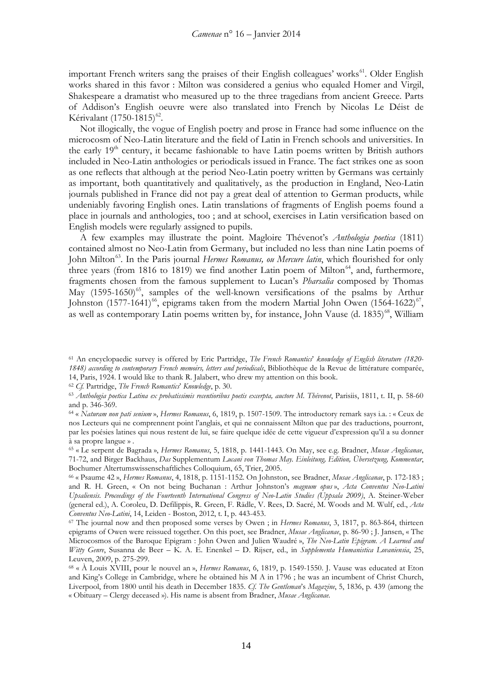important French writers sang the praises of their English colleagues' works<sup>61</sup>. Older English works shared in this favor : Milton was considered a genius who equaled Homer and Virgil, Shakespeare a dramatist who measured up to the three tragedians from ancient Greece. Parts of Addison's English oeuvre were also translated into French by Nicolas Le Déist de Kérivalant (1750-1815)<sup>[62](#page-13-1)</sup>.

Not illogically, the vogue of English poetry and prose in France had some influence on the microcosm of Neo-Latin literature and the field of Latin in French schools and universities. In the early  $19<sup>th</sup>$  century, it became fashionable to have Latin poems written by British authors included in Neo-Latin anthologies or periodicals issued in France. The fact strikes one as soon as one reflects that although at the period Neo-Latin poetry written by Germans was certainly as important, both quantitatively and qualitatively, as the production in England, Neo-Latin journals published in France did not pay a great deal of attention to German products, while undeniably favoring English ones. Latin translations of fragments of English poems found a place in journals and anthologies, too ; and at school, exercises in Latin versification based on English models were regularly assigned to pupils.

A few examples may illustrate the point. Magloire Thévenot's *Anthologia poetica* (1811) contained almost no Neo-Latin from Germany, but included no less than nine Latin poems of John Milton<sup>[63](#page-13-2)</sup>. In the Paris journal *Hermes Romanus, ou Mercure latin*, which flourished for only three years (from 1816 to 1819) we find another Latin poem of Milton<sup>[64](#page-13-3)</sup>, and, furthermore, fragments chosen from the famous supplement to Lucan's *Pharsalia* composed by Thomas May  $(1595-1650)^{65}$ , samples of the well-known versifications of the psalms by Arthur Johnston (1577-1641)<sup>[66](#page-13-5)</sup>, epigrams taken from the modern Martial John Owen (1564-1622)<sup>67</sup>, as well as contemporary Latin poems written by, for instance, John Vause (d.  $1835\frac{68}{3}$ , William

<span id="page-13-1"></span><sup>62</sup> *Cf.* Partridge, *The French Romantics*' *Knowledge*, p. 30.

<span id="page-13-0"></span><sup>61</sup> An encyclopaedic survey is offered by Eric Partridge, *The French Romantics*' *knowledge of English literature (1820- 1848) according to contemporary French memoirs, letters and periodicals*, Bibliothèque de la Revue de littérature comparée, 14, Paris, 1924. I would like to thank R. Jalabert, who drew my attention on this book.

<span id="page-13-2"></span><sup>63</sup> *Anthologia poetica Latina ex probatissimis recentioribus poetis excerpta, auctore M. Thévenot*, Parisiis, 1811, t. II, p. 58-60 and p. 346-369.

<span id="page-13-3"></span><sup>64</sup> « *Naturam non pati senium* », *Hermes Romanus*, 6, 1819, p. 1507-1509. The introductory remark says i.a. : « Ceux de nos Lecteurs qui ne comprennent point l'anglais, et qui ne connaissent Milton que par des traductions, pourront, par les poésies latines qui nous restent de lui, se faire quelque idée de cette vigueur d'expression qu'il a su donner à sa propre langue » .

<span id="page-13-4"></span><sup>65</sup> « Le serpent de Bagrada », *Hermes Romanus*, 5, 1818, p. 1441-1443. On May, see e.g. Bradner, *Musae Anglicanae*, 71-72, and Birger Backhaus, *Das* Supplementum *Lucani von Thomas May. Einleitung, Edition, Übersetzung, Kommentar*, Bochumer Altertumswissenschaftliches Colloquium, 65, Trier, 2005.

<span id="page-13-5"></span><sup>66</sup> « Psaume 42 », *Hermes Romanus*, 4, 1818, p. 1151-1152. On Johnston, see Bradner, *Musae Anglicanae*, p. 172-183 ; and R. H. Green, « On not being Buchanan : Arthur Johnston's *magnum opus* », *Acta Conventus Neo-Latini Upsaliensis. Proceedings of the Fourteenth International Congress of Neo-Latin Studies (Uppsala 2009)*, A. Steiner-Weber (general ed.), A. Coroleu, D. Defilippis, R. Green, F. Rädle, V. Rees, D. Sacré, M. Woods and M. Wulf, ed., *Acta Conventus Neo-Latini*, 14, Leiden - Boston, 2012, t. I, p. 443-453.

<span id="page-13-6"></span><sup>67</sup> The journal now and then proposed some verses by Owen ; in *Hermes Romanus*, 3, 1817, p. 863-864, thirteen epigrams of Owen were reissued together. On this poet, see Bradner, *Musae Anglicanae*, p. 86-90 ; J. Jansen, « The Microcosmos of the Baroque Epigram : John Owen and Julien Waudré », *The Neo-Latin Epigram. A Learned and Witty Genre*, Susanna de Beer – K. A. E. Enenkel – D. Rijser, ed., in *Supplementa Humanistica Lovaniensia*, 25, Leuven, 2009, p. 275-299.

<span id="page-13-7"></span><sup>68</sup> « À Louis XVIII, pour le nouvel an », *Hermes Romanus*, 6, 1819, p. 1549-1550. J. Vause was educated at Eton and King's College in Cambridge, where he obtained his M A in 1796 ; he was an incumbent of Christ Church, Liverpool, from 1800 until his death in December 1835. *Cf. The Gentleman*'s *Magazine*, 5, 1836, p. 439 (among the « Obituary – Clergy deceased »). His name is absent from Bradner, *Musae Anglicanae*.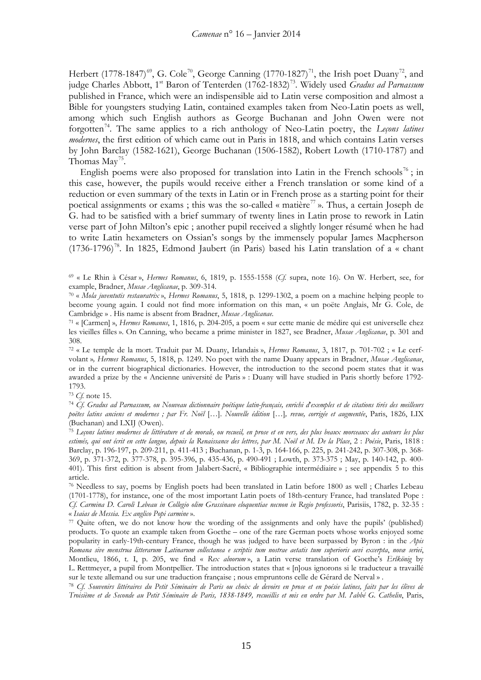Herbert (1778-1847)<sup>[69](#page-14-0)</sup>, G. Cole<sup>[70](#page-14-1)</sup>, George Canning (1770-1827)<sup>71</sup>, the Irish poet Duany<sup>72</sup>, and judge Charles Abbott, 1<sup>st</sup> Baron of Tenterden (1762-1832)<sup>73</sup>. Widely used *Gradus ad Parnassum* published in France, which were an indispensible aid to Latin verse composition and almost a Bible for youngsters studying Latin, contained examples taken from Neo-Latin poets as well, among which such English authors as George Buchanan and John Owen were not forgotten[74.](#page-14-5) The same applies to a rich anthology of Neo-Latin poetry, the *Leçons latines modernes*, the first edition of which came out in Paris in 1818, and which contains Latin verses by John Barclay (1582-1621), George Buchanan (1506-1582), Robert Lowth (1710-1787) and Thomas  $Mav^{75}$  $Mav^{75}$  $Mav^{75}$ .

English poems were also proposed for translation into Latin in the French schools<sup>[76](#page-14-7)</sup>; in this case, however, the pupils would receive either a French translation or some kind of a reduction or even summary of the texts in Latin or in French prose as a starting point for their poetical assignments or exams; this was the so-called « matière<sup>[77](#page-14-8)</sup> ». Thus, a certain Joseph de G. had to be satisfied with a brief summary of twenty lines in Latin prose to rework in Latin verse part of John Milton's epic ; another pupil received a slightly longer résumé when he had to write Latin hexameters on Ossian's songs by the immensely popular James Macpherson  $(1736-1796)^{78}$ . In 1825, Edmond Jaubert (in Paris) based his Latin translation of a « chant

<span id="page-14-1"></span><span id="page-14-0"></span><sup>69</sup> « Le Rhin à César », *Hermes Romanus*, 6, 1819, p. 1555-1558 (*Cf.* supra, note 16). On W. Herbert, see, for example, Bradner, *Musae Anglicanae*, p. 309-314.

<sup>70</sup> « *Mola juventutis restauratrix* », *Hermes Romanus*, 5, 1818, p. 1299-1302, a poem on a machine helping people to become young again. I could not find more information on this man, « un poëte Anglais, Mr G. Cole, de Cambridge » . His name is absent from Bradner, *Musae Anglicanae*.

<span id="page-14-2"></span><sup>71</sup> « [Carmen] », *Hermes Romanus*, 1, 1816, p. 204-205, a poem « sur cette manie de médire qui est universelle chez les vieilles filles ». On Canning, who became a prime minister in 1827, see Bradner, *Musae Anglicanae*, p. 301 and 308.

<span id="page-14-3"></span><sup>72</sup> « Le temple de la mort. Traduit par M. Duany, Irlandais », *Hermes Romanus*, 3, 1817, p. 701-702 ; « Le cerfvolant »*, Hermes Romanus*, 5, 1818, p. 1249. No poet with the name Duany appears in Bradner, *Musae Anglicanae*, or in the current biographical dictionaries. However, the introduction to the second poem states that it was awarded a prize by the « Ancienne université de Paris » : Duany will have studied in Paris shortly before 1792- 1793.

<span id="page-14-5"></span><span id="page-14-4"></span><sup>73</sup> *Cf.* note 15. 74 *Cf. Gradus ad Parnassum, ou Nouveau dictionnaire poétique latin-français, enrichi d*'*exemples et de citations tirés des meilleurs poëtes latins anciens et modernes ; par Fr. Noël* […]. *Nouvelle édition* […]*, revue, corrigée et augmentée*, Paris, 1826, LIX (Buchanan) and LXIJ (Owen). 75 *Leçons latines modernes de littérature et de morale, ou recueil, en prose et en vers, des plus beaux morceaux des auteurs les plus* 

<span id="page-14-6"></span>*estimés, qui ont écrit en cette langue, depuis la Renaissance des lettres, par M. Noël et M. De la Place*, 2 : *Poésie*, Paris, 1818 : Barclay, p. 196-197, p. 209-211, p. 411-413 ; Buchanan, p. 1-3, p. 164-166, p. 225, p. 241-242, p. 307-308, p. 368- 369, p. 371-372, p. 377-378, p. 395-396, p. 435-436, p. 490-491 ; Lowth, p. 373-375 ; May, p. 140-142, p. 400- 401). This first edition is absent from Jalabert-Sacré, « Bibliographie intermédiaire » ; see appendix 5 to this article.

<span id="page-14-7"></span><sup>76</sup> Needless to say, poems by English poets had been translated in Latin before 1800 as well ; Charles Lebeau (1701-1778), for instance, one of the most important Latin poets of 18th-century France, had translated Pope : *Cf. Carmina D. Caroli Lebeau in Collegio olim Grassinaeo eloquentiae necnon in Regio professoris*, Parisiis, 1782, p. 32-35 : « *Isaias de Messia. Ex anglico Popi carmine* ».

<span id="page-14-8"></span><sup>77</sup> Quite often, we do not know how the wording of the assignments and only have the pupils' (published) products. To quote an example taken from Goethe – one of the rare German poets whose works enjoyed some popularity in early-19th-century France, though he was judged to have been surpassed by Byron : in the *Apis Romana sive menstrua litterarum Latinarum collectanea e scriptis tum nostrae aetatis tum superioris aevi excerpta*, *novæ seriei*, Montlieu, 1866, t. I, p. 205, we find « *Rex alnorum* », a Latin verse translation of Goethe's *Erlkönig* by L. Rettmeyer, a pupil from Montpellier. The introduction states that « [n]ous ignorons si le traducteur a travaillé

<span id="page-14-9"></span>sur le texte allemand ou sur une traduction française ; nous empruntons celle de Gérard de Nerval » .<br><sup>78</sup> Cf. Souvenirs littéraires du Petit Séminaire de Paris ou choix de devoirs en prose et en poésie latines, faits par *Troisième et de Seconde au Petit Séminaire de Paris, 1838-1849, recueillis et mis en ordre par M. l*'*abbé G. Cathelin*, Paris,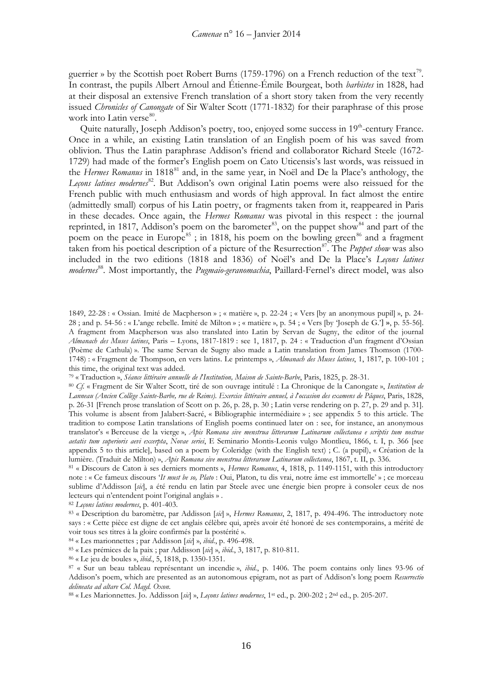guerrier » by the Scottish poet Robert Burns (1759-1796) on a French reduction of the text<sup>79</sup>. In contrast, the pupils Albert Arnoul and Étienne-Émile Bourgeat, both *barbistes* in 1828, had at their disposal an extensive French translation of a short story taken from the very recently issued *Chronicles of Canongate* of Sir Walter Scott (1771-1832) for their paraphrase of this prose work into Latin verse $^{80}$  $^{80}$  $^{80}$ .

Quite naturally, Joseph Addison's poetry, too, enjoyed some success in 19<sup>th</sup>-century France. Once in a while, an existing Latin translation of an English poem of his was saved from oblivion. Thus the Latin paraphrase Addison's friend and collaborator Richard Steele (1672- 1729) had made of the former's English poem on Cato Uticensis's last words, was reissued in the *Hermes Romanus* in 1[81](#page-15-2)8<sup>81</sup> and, in the same year, in Noël and De la Place's anthology, the Lecons latines modernes<sup>[82](#page-15-3)</sup>. But Addison's own original Latin poems were also reissued for the French public with much enthusiasm and words of high approval. In fact almost the entire (admittedly small) corpus of his Latin poetry, or fragments taken from it, reappeared in Paris in these decades. Once again, the *Hermes Romanus* was pivotal in this respect : the journal reprinted, in 1817, Addison's poem on the barometer<sup>83</sup>, on the puppet show  $\frac{1}{84}$  $\frac{1}{84}$  $\frac{1}{84}$  and part of the poem on the peace in Europe<sup>[85](#page-15-6)</sup>; in 1818, his poem on the bowling green<sup>[86](#page-15-7)</sup> and a fragment taken from his poetical description of a picture of the Resurrection<sup>87</sup>. The *Puppet show* was also included in the two editions (1818 and 1836) of Noël's and De la Place's *Leçons latines modernes*[88](#page-15-9)*.* Most importantly, the *Pugmaio-geranomachia*, Paillard-Fernel's direct model, was also

<span id="page-15-0"></span><sup>79</sup> « Traduction », *Séance littéraire annuelle de l*'*Institution, Maison de Sainte-Barbe*, Paris, 1825, p. 28-31.

<span id="page-15-2"></span><sup>81</sup> « Discours de Caton à ses derniers moments », *Hermes Romanus*, 4, 1818, p. 1149-1151, with this introductory note : « Ce fameux discours '*It must be so, Plato* : Oui, Platon, tu dis vrai, notre âme est immortelle' » ; ce morceau sublime d'Addisson [*sic*], a été rendu en latin par Steele avec une énergie bien propre à consoler ceux de nos lecteurs qui n'entendent point l'original anglais » .

<span id="page-15-3"></span><sup>82</sup> *Leçons latines modernes*, p. 401-403.

<span id="page-15-4"></span><sup>83</sup> « Description du baromètre, par Addisson [*sic*] », *Hermes Romanus*, 2, 1817, p. 494-496. The introductory note says : « Cette pièce est digne de cet anglais célèbre qui, après avoir été honoré de ses contemporains, a mérité de voir tous ses titres à la gloire confirmés par la postérité ».

<span id="page-15-5"></span><sup>84</sup> « Les marionnettes ; par Addisson [*sic*] », *ibid*., p. 496-498.

<span id="page-15-6"></span><sup>85</sup> « Les prémices de la paix ; par Addisson [*sic*] », *ibid.*, 3, 1817, p. 810-811.

<span id="page-15-7"></span><sup>86</sup> « Le jeu de boules », *ibid.*, 5, 1818, p. 1350-1351.

<sup>1849,</sup> 22-28 : « Ossian. Imité de Macpherson » ; « matière », p. 22-24 ; « Vers [by an anonymous pupil] », p. 24- 28 ; and p. 54-56 : « L'ange rebelle. Imité de Milton » ; « matière », p. 54 ; « Vers [by 'Joseph de G.'] », p. 55-56]. A fragment from Macpherson was also translated into Latin by Servan de Sugny, the editor of the journal *Almanach des Muses latines*, Paris – Lyons, 1817-1819 : see 1, 1817, p. 24 : « Traduction d'un fragment d'Ossian (Poème de Cathula) ». The same Servan de Sugny also made a Latin translation from James Thomson (1700- 1748) : « Fragment de Thompson, en vers latins. Le printemps », *Almanach des Muses latines*, 1, 1817, p. 100-101 ; this time, the original text was added.

<span id="page-15-1"></span><sup>80</sup> *Cf.* « Fragment de Sir Walter Scott, tiré de son ouvrage intitulé : La Chronique de la Canongate », *Institution de Lanneau (Ancien Collège Sainte-Barbe, rue de Reims). Exercice littéraire annuel, à l*'*occasion des examens de Pâques*, Paris, 1828, p. 26-31 [French prose translation of Scott on p. 26, p. 28, p. 30 ; Latin verse rendering on p. 27, p. 29 and p. 31]. This volume is absent from Jalabert-Sacré, « Bibliographie intermédiaire » ; see appendix 5 to this article. The tradition to compose Latin translations of English poems continued later on : see, for instance, an anonymous translator's « Berceuse de la vierge », *Apis Romana sive menstrua litterarum Latinarum collectanea e scriptis tum nostrae aetatis tum superioris aevi excerpta*, *Novae seriei*, E Seminario Montis-Leonis vulgo Montlieu, 1866, t. I, p. 366 [see appendix 5 to this article], based on a poem by Coleridge (with the English text) ; C. (a pupil), « Création de la lumière. (Traduit de Milton) », *Apis Romana sive menstrua litterarum Latinarum collectanea*, 1867, t. II, p. 336.

<span id="page-15-8"></span><sup>87</sup> « Sur un beau tableau représentant un incendie », *ibid*., p. 1406. The poem contains only lines 93-96 of Addison's poem, which are presented as an autonomous epigram, not as part of Addison's long poem *Resurrectio delineata ad altare Col. Magd. Oxon*.

<span id="page-15-9"></span><sup>88</sup> « Les Marionnettes. Jo. Addisson [*sic*] », *Leçons latines modernes*, 1st ed., p. 200-202 ; 2nd ed., p. 205-207.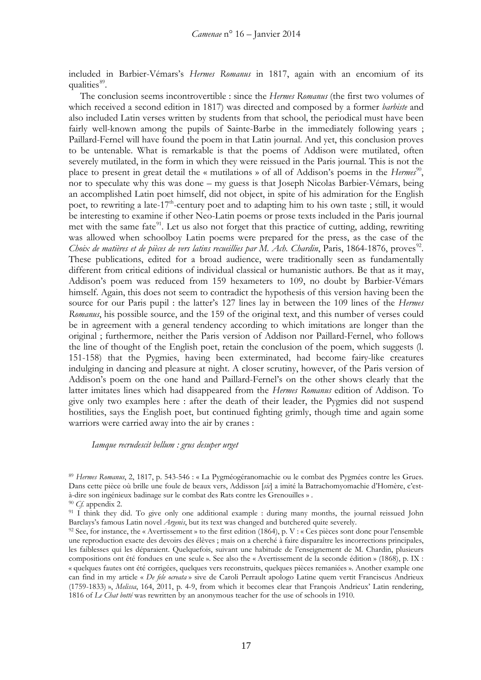included in Barbier-Vémars's *Hermes Romanus* in 1817, again with an encomium of its qualities<sup>89</sup>.

The conclusion seems incontrovertible : since the *Hermes Romanus* (the first two volumes of which received a second edition in 1817) was directed and composed by a former *barbiste* and also included Latin verses written by students from that school, the periodical must have been fairly well-known among the pupils of Sainte-Barbe in the immediately following years; Paillard-Fernel will have found the poem in that Latin journal. And yet, this conclusion proves to be untenable. What is remarkable is that the poems of Addison were mutilated, often severely mutilated, in the form in which they were reissued in the Paris journal. This is not the place to present in great detail the « mutilations » of all of Addison's poems in the *Hermes*<sup>90</sup>, nor to speculate why this was done – my guess is that Joseph Nicolas Barbier-Vémars, being an accomplished Latin poet himself, did not object, in spite of his admiration for the English poet, to rewriting a late-17<sup>th</sup>-century poet and to adapting him to his own taste; still, it would be interesting to examine if other Neo-Latin poems or prose texts included in the Paris journal met with the same fate<sup>[91](#page-16-2)</sup>. Let us also not forget that this practice of cutting, adding, rewriting was allowed when schoolboy Latin poems were prepared for the press, as the case of the *Choix de matières et de pièces de vers latins recueillies par M. Ach. Chardin*, Paris, 1864-1876, proves<sup>92</sup>. These publications, edited for a broad audience, were traditionally seen as fundamentally different from critical editions of individual classical or humanistic authors. Be that as it may, Addison's poem was reduced from 159 hexameters to 109, no doubt by Barbier-Vémars himself. Again, this does not seem to contradict the hypothesis of this version having been the source for our Paris pupil : the latter's 127 lines lay in between the 109 lines of the *Hermes Romanus*, his possible source, and the 159 of the original text, and this number of verses could be in agreement with a general tendency according to which imitations are longer than the original ; furthermore, neither the Paris version of Addison nor Paillard-Fernel, who follows the line of thought of the English poet, retain the conclusion of the poem, which suggests (l. 151-158) that the Pygmies, having been exterminated, had become fairy-like creatures indulging in dancing and pleasure at night. A closer scrutiny, however, of the Paris version of Addison's poem on the one hand and Paillard-Fernel's on the other shows clearly that the latter imitates lines which had disappeared from the *Hermes Romanus* edition of Addison. To give only two examples here : after the death of their leader, the Pygmies did not suspend hostilities, says the English poet, but continued fighting grimly, though time and again some warriors were carried away into the air by cranes :

*Iamque recrudescit bellum : grus desuper urget*

<span id="page-16-0"></span><sup>89</sup> *Hermes Romanus*, 2, 1817, p. 543-546 : « La Pygméogéranomachie ou le combat des Pygmées contre les Grues. Dans cette pièce où brille une foule de beaux vers, Addisson [*sic*] a imité la Batrachomyomachie d'Homère, c'està-dire son ingénieux badinage sur le combat des Rats contre les Grenouilles » .

<span id="page-16-1"></span><sup>90</sup> *Cf.* appendix 2.

<span id="page-16-2"></span><sup>&</sup>lt;sup>91</sup> I think they did. To give only one additional example : during many months, the journal reissued John Barclays's famous Latin novel *Argenis*, but its text was changed and butchered quite severely.

<span id="page-16-3"></span><sup>92</sup> See, for instance, the « Avertissement » to the first edition (1864), p. V : « Ces pièces sont donc pour l'ensemble une reproduction exacte des devoirs des élèves ; mais on a cherché à faire disparaître les incorrections principales, les faiblesses qui les déparaient. Quelquefois, suivant une habitude de l'enseignement de M. Chardin, plusieurs compositions ont été fondues en une seule ». See also the « Avertissement de la seconde édition » (1868), p. IX : « quelques fautes ont été corrigées, quelques vers reconstruits, quelques pièces remaniées ». Another example one can find in my article « *De fele ocreata* » sive de Caroli Perrault apologo Latine quem vertit Franciscus Andrieux (1759-1833) », *Melissa*, 164, 2011, p. 4-9, from which it becomes clear that François Andrieux' Latin rendering, 1816 of *Le Chat botté* was rewritten by an anonymous teacher for the use of schools in 1910.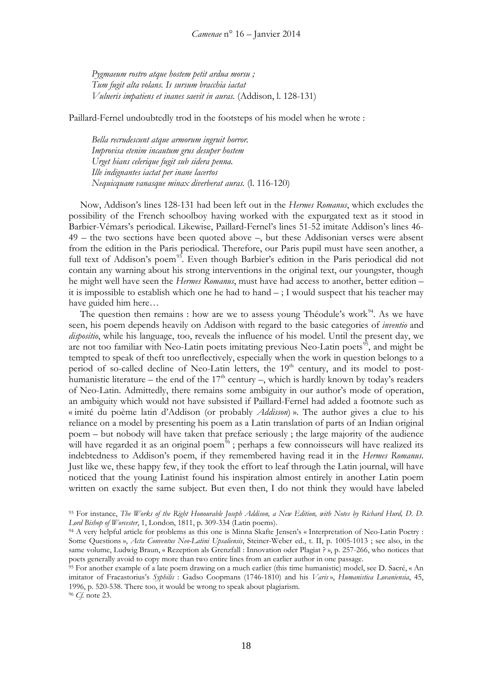*Pygmaeum rostro atque hostem petit ardua morsu ; Tum fugit alta volans. Is sursum bracchia iactat Vulneris impatiens et inanes saevit in auras.* (Addison, l. 128-131)

Paillard-Fernel undoubtedly trod in the footsteps of his model when he wrote :

*Bella recrudescunt atque armorum ingruit horror. Improvisa etenim incautum grus desuper hostem Urget hians celerique fugit sub sidera penna. Ille indignantes iactat per inane lacertos Nequicquam vanasque minax diverberat auras.* (l. 116-120)

Now, Addison's lines 128-131 had been left out in the *Hermes Romanus*, which excludes the possibility of the French schoolboy having worked with the expurgated text as it stood in Barbier-Vémars's periodical. Likewise, Paillard-Fernel's lines 51-52 imitate Addison's lines 46- 49 – the two sections have been quoted above –, but these Addisonian verses were absent from the edition in the Paris periodical. Therefore, our Paris pupil must have seen another, a full text of Addison's poem<sup>[93](#page-17-0)</sup>. Even though Barbier's edition in the Paris periodical did not contain any warning about his strong interventions in the original text, our youngster, though he might well have seen the *Hermes Romanus*, must have had access to another, better edition – it is impossible to establish which one he had to hand  $-$ ; I would suspect that his teacher may have guided him here…

The question then remains : how are we to assess young Théodule's work<sup>[94](#page-17-1)</sup>. As we have seen, his poem depends heavily on Addison with regard to the basic categories of *inventio* and *dispositio*, while his language, too, reveals the influence of his model. Until the present day, we are not too familiar with Neo-Latin poets imitating previous Neo-Latin poets<sup>[95](#page-17-2)</sup>, and might be tempted to speak of theft too unreflectively, especially when the work in question belongs to a period of so-called decline of Neo-Latin letters, the  $19<sup>th</sup>$  century, and its model to posthumanistic literature – the end of the  $17<sup>th</sup>$  century –, which is hardly known by today's readers of Neo-Latin. Admittedly, there remains some ambiguity in our author's mode of operation, an ambiguity which would not have subsisted if Paillard-Fernel had added a footnote such as « imité du poème latin d'Addison (or probably *Addisson*) ». The author gives a clue to his reliance on a model by presenting his poem as a Latin translation of parts of an Indian original poem – but nobody will have taken that preface seriously ; the large majority of the audience will have regarded it as an original poem<sup>[96](#page-17-3)</sup>; perhaps a few connoisseurs will have realized its indebtedness to Addison's poem, if they remembered having read it in the *Hermes Romanus*. Just like we, these happy few, if they took the effort to leaf through the Latin journal, will have noticed that the young Latinist found his inspiration almost entirely in another Latin poem written on exactly the same subject. But even then, I do not think they would have labeled

18

<span id="page-17-0"></span><sup>93</sup> For instance, *The Works of the Right Honourable Joseph Addison, a New Edition, with Notes by Richard Hurd, D. D. Lord Bishop of Worcester*, 1, London, 1811, p. 309-334 (Latin poems).

<span id="page-17-1"></span><sup>94</sup> A very helpful article for problems as this one is Minna Skafte Jensen's « Interpretation of Neo-Latin Poetry : Some Questions », *Acta Conventus Neo-Latini Upsaliensis*, Steiner-Weber ed., t. II, p. 1005-1013 ; see also, in the same volume, Ludwig Braun, « Rezeption als Grenzfall : Innovation oder Plagiat ? », p. 257-266, who notices that poets generally avoid to copy more than two entire lines from an earlier author in one passage.

<span id="page-17-3"></span><span id="page-17-2"></span><sup>95</sup> For another example of a late poem drawing on a much earlier (this time humanistic) model, see D. Sacré, « An imitator of Fracastorius's *Syphilis* : Gadso Coopmans (1746-1810) and his *Varis* », *Humanistica Lovaniensia*, 45, 1996, p. 520-538. There too, it would be wrong to speak about plagiarism. <sup>96</sup> *Cf.* note 23.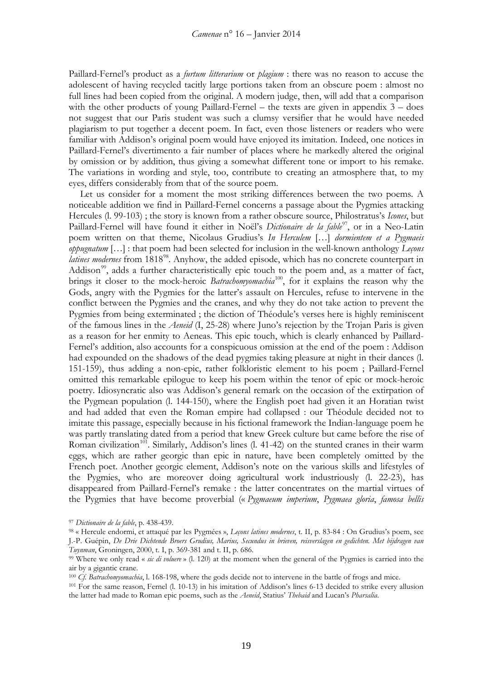Paillard-Fernel's product as a *furtum litterarium* or *plagium* : there was no reason to accuse the adolescent of having recycled tacitly large portions taken from an obscure poem : almost no full lines had been copied from the original. A modern judge, then, will add that a comparison with the other products of young Paillard-Fernel – the texts are given in appendix 3 – does not suggest that our Paris student was such a clumsy versifier that he would have needed plagiarism to put together a decent poem. In fact, even those listeners or readers who were familiar with Addison's original poem would have enjoyed its imitation. Indeed, one notices in Paillard-Fernel's divertimento a fair number of places where he markedly altered the original by omission or by addition, thus giving a somewhat different tone or import to his remake. The variations in wording and style, too, contribute to creating an atmosphere that, to my eyes, differs considerably from that of the source poem.

Let us consider for a moment the most striking differences between the two poems. A noticeable addition we find in Paillard-Fernel concerns a passage about the Pygmies attacking Hercules (l. 99-103) ; the story is known from a rather obscure source, Philostratus's *Icones*, but Paillard-Fernel will have found it either in Noël's *Dictionaire de la fable*<sup>[97](#page-18-0)</sup>, or in a Neo-Latin poem written on that theme, Nicolaus Grudius's *In Herculem* […] *dormientem et a Pygmaeis oppugnatum* […] : that poem had been selected for inclusion in the well-known anthology *Leçons latines modernes* from 1818<sup>98</sup>. Anyhow, the added episode, which has no concrete counterpart in Addison<sup>99</sup>, adds a further characteristically epic touch to the poem and, as a matter of fact, brings it closer to the mock-heroic *Batrachomyomachia*<sup>[100](#page-18-3)</sup>, for it explains the reason why the Gods, angry with the Pygmies for the latter's assault on Hercules, refuse to intervene in the conflict between the Pygmies and the cranes, and why they do not take action to prevent the Pygmies from being exterminated ; the diction of Théodule's verses here is highly reminiscent of the famous lines in the *Aeneid* (I, 25-28) where Juno's rejection by the Trojan Paris is given as a reason for her enmity to Aeneas. This epic touch, which is clearly enhanced by Paillard-Fernel's addition, also accounts for a conspicuous omission at the end of the poem : Addison had expounded on the shadows of the dead pygmies taking pleasure at night in their dances (l. 151-159), thus adding a non-epic, rather folkloristic element to his poem ; Paillard-Fernel omitted this remarkable epilogue to keep his poem within the tenor of epic or mock-heroic poetry. Idiosyncratic also was Addison's general remark on the occasion of the extirpation of the Pygmean population (l. 144-150), where the English poet had given it an Horatian twist and had added that even the Roman empire had collapsed : our Théodule decided not to imitate this passage, especially because in his fictional framework the Indian-language poem he was partly translating dated from a period that knew Greek culture but came before the rise of Roman civilization<sup>101</sup>. Similarly, Addison's lines (l. 41-42) on the stunted cranes in their warm eggs, which are rather georgic than epic in nature, have been completely omitted by the French poet. Another georgic element, Addison's note on the various skills and lifestyles of the Pygmies, who are moreover doing agricultural work industriously (l. 22-23), has disappeared from Paillard-Fernel's remake : the latter concentrates on the martial virtues of the Pygmies that have become proverbial (« *Pygmaeum imperium*, *Pygmaea gloria*, *famosa bellis* 

<span id="page-18-0"></span><sup>97</sup> *Dictionaire de la fable*, p. 438-439.

<span id="page-18-1"></span><sup>98</sup> « Hercule endormi, et attaqué par les Pygmées », *Leçons latines modernes*, t. II, p. 83-84 : On Grudius's poem, see J.-P. Guépin, *De Drie Dichtende Broers Grudius, Marius, Secundus in brieven, reisverslagen en gedichten. Met bijdragen van Tuynman*, Groningen, 2000, t. I, p. 369-381 and t. II, p. 686.

<span id="page-18-2"></span><sup>99</sup> Where we only read « *sic di voluere* » (l. 120) at the moment when the general of the Pygmies is carried into the air by a gigantic crane.

<span id="page-18-3"></span><sup>100</sup> *Cf. Batrachomyomachia*, l. 168-198, where the gods decide not to intervene in the battle of frogs and mice.

<span id="page-18-4"></span><sup>101</sup> For the same reason, Fernel (l. 10-13) in his imitation of Addison's lines 6-13 decided to strike every allusion the latter had made to Roman epic poems, such as the *Aeneid*, Statius' *Thebaid* and Lucan's *Pharsalia*.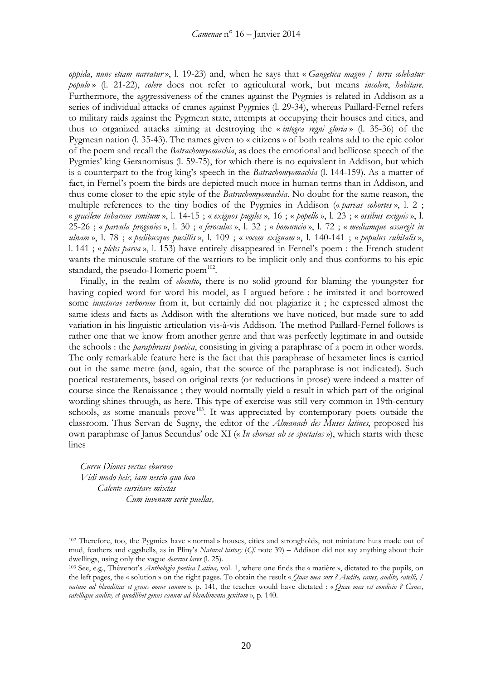*oppida*, *nunc etiam narratur* », l. 19-23) and, when he says that « *Gangetica magno / terra colebatur populo* » (l. 21-22), *colere* does not refer to agricultural work, but means *incolere*, *habitare*. Furthermore, the aggressiveness of the cranes against the Pygmies is related in Addison as a series of individual attacks of cranes against Pygmies (l. 29-34), whereas Paillard-Fernel refers to military raids against the Pygmean state, attempts at occupying their houses and cities, and thus to organized attacks aiming at destroying the « *integra regni gloria* » (l. 35-36) of the Pygmean nation (l. 35-43). The names given to « citizens » of both realms add to the epic color of the poem and recall the *Batrachomyomachia*, as does the emotional and bellicose speech of the Pygmies' king Geranomisus (l. 59-75), for which there is no equivalent in Addison, but which is a counterpart to the frog king's speech in the *Batrachomyomachia* (l. 144-159). As a matter of fact, in Fernel's poem the birds are depicted much more in human terms than in Addison, and thus come closer to the epic style of the *Batrachomyomachia*. No doubt for the same reason, the multiple references to the tiny bodies of the Pygmies in Addison (« *parvas cohortes* », l. 2 ; « *gracilem tubarum sonitum* », l. 14-15 ; « *exiguos pugiles* », 16 ; « *popello* », l. 23 ; « *ossibus exiguis* », l. 25-26 ; « *parvula progenies* », l. 30 ; « *feroculus* », l. 32 ; « *homuncio* », l. 72 ; « *mediamque assurgit in ulnam* », l. 78 ; « *pedibusque pusillis* », l. 109 ; « *vocem exiguam* », l. 140-141 ; « *populus cubitalis* », l. 141 ; « *plebs parva* », l. 153) have entirely disappeared in Fernel's poem : the French student wants the minuscule stature of the warriors to be implicit only and thus conforms to his epic standard, the pseudo-Homeric poem $102$ .

Finally, in the realm of *elocutio*, there is no solid ground for blaming the youngster for having copied word for word his model, as I argued before : he imitated it and borrowed some *iuncturae verborum* from it, but certainly did not plagiarize it ; he expressed almost the same ideas and facts as Addison with the alterations we have noticed, but made sure to add variation in his linguistic articulation vis-à-vis Addison. The method Paillard-Fernel follows is rather one that we know from another genre and that was perfectly legitimate in and outside the schools : the *paraphrasis poetica*, consisting in giving a paraphrase of a poem in other words. The only remarkable feature here is the fact that this paraphrase of hexameter lines is carried out in the same metre (and, again, that the source of the paraphrase is not indicated). Such poetical restatements, based on original texts (or reductions in prose) were indeed a matter of course since the Renaissance ; they would normally yield a result in which part of the original wording shines through, as here. This type of exercise was still very common in 19th-century schools, as some manuals prove<sup>[103](#page-19-1)</sup>. It was appreciated by contemporary poets outside the classroom. Thus Servan de Sugny, the editor of the *Almanach des Muses latines*, proposed his own paraphrase of Janus Secundus' ode XI (« *In choreas ab se spectatas* »), which starts with these lines

*Curru Diones vectus eburneo Vidi modo heic, iam nescio quo loco Calente cursitare mixtas Cum iuvenum serie puellas,*

<span id="page-19-0"></span><sup>102</sup> Therefore, too, the Pygmies have « normal » houses, cities and strongholds, not miniature huts made out of mud, feathers and eggshells, as in Pliny's *Natural history* (*Cf.* note 39) – Addison did not say anything about their dwellings, using only the vague *desertos lares* (l. 25).

<span id="page-19-1"></span><sup>103</sup> See, e.g., Thévenot's *Anthologia poetica Latina,* vol. 1, where one finds the « matière », dictated to the pupils, on the left pages, the « solution » on the right pages. To obtain the result « *Quae mea sors ? Audite, canes, audite, catelli, / natum ad blanditias et genus omne canum* », p. 141, the teacher would have dictated : « *Quae mea est condicio ? Canes, catellique audite, et quodlibet genus canum ad blandimenta genitum* », p. 140.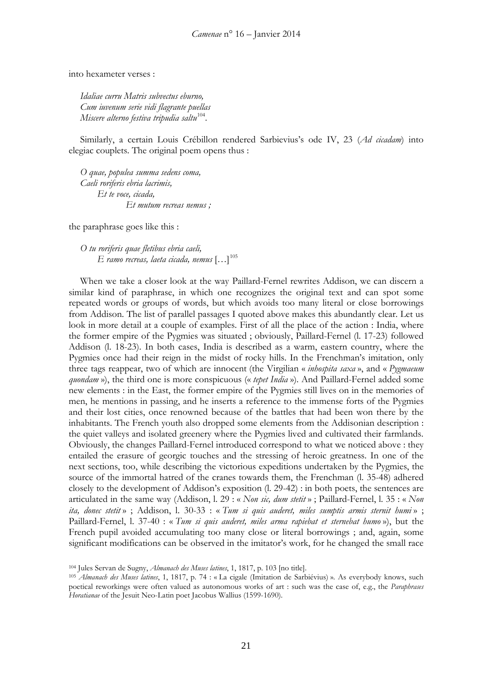into hexameter verses :

*Idaliae curru Matris subvectus eburno, Cum iuvenum serie vidi flagrante puellas Miscere alterno festiva tripudia saltu*<sup>104</sup>.

Similarly, a certain Louis Crébillon rendered Sarbievius's ode IV, 23 (*Ad cicadam*) into elegiac couplets. The original poem opens thus :

*O quae, populea summa sedens coma, Caeli roriferis ebria lacrimis, Et te voce, cicada, Et mutum recreas nemus ;*

the paraphrase goes like this :

*O tu roriferis quae fletibus ebria caeli, E ramo recreas, laeta cicada, nemus* […][105](#page-20-1)

When we take a closer look at the way Paillard-Fernel rewrites Addison, we can discern a similar kind of paraphrase, in which one recognizes the original text and can spot some repeated words or groups of words, but which avoids too many literal or close borrowings from Addison. The list of parallel passages I quoted above makes this abundantly clear. Let us look in more detail at a couple of examples. First of all the place of the action : India, where the former empire of the Pygmies was situated ; obviously, Paillard-Fernel (l. 17-23) followed Addison (l. 18-23). In both cases, India is described as a warm, eastern country, where the Pygmies once had their reign in the midst of rocky hills. In the Frenchman's imitation, only three tags reappear, two of which are innocent (the Virgilian « *inhospita saxa* », and « *Pygmaeum quondam* »), the third one is more conspicuous (« *tepet India* »). And Paillard-Fernel added some new elements : in the East, the former empire of the Pygmies still lives on in the memories of men, he mentions in passing, and he inserts a reference to the immense forts of the Pygmies and their lost cities, once renowned because of the battles that had been won there by the inhabitants. The French youth also dropped some elements from the Addisonian description : the quiet valleys and isolated greenery where the Pygmies lived and cultivated their farmlands. Obviously, the changes Paillard-Fernel introduced correspond to what we noticed above : they entailed the erasure of georgic touches and the stressing of heroic greatness. In one of the next sections, too, while describing the victorious expeditions undertaken by the Pygmies, the source of the immortal hatred of the cranes towards them, the Frenchman (l. 35-48) adhered closely to the development of Addison's exposition (l. 29-42) : in both poets, the sentences are articulated in the same way (Addison, l. 29 : « *Non sic, dum stetit* » ; Paillard-Fernel, l. 35 : « *Non ita, donec stetit* » ; Addison, l. 30-33 : « *Tum si quis auderet, miles sumptis armis sternit humi* » ; Paillard-Fernel, l. 37-40 : « *Tum si quis auderet, miles arma rapiebat et sternebat humo* »), but the French pupil avoided accumulating too many close or literal borrowings ; and, again, some significant modifications can be observed in the imitator's work, for he changed the small race

<span id="page-20-0"></span><sup>104</sup> Jules Servan de Sugny, *Almanach des Muses latines*, 1, 1817, p. 103 [no title].

<span id="page-20-1"></span><sup>105</sup> *Almanach des Muses latines*, 1, 1817, p. 74 : « La cigale (Imitation de Sarbiévius) ». As everybody knows, such poetical reworkings were often valued as autonomous works of art : such was the case of, e.g., the *Paraphrases Horatianae* of the Jesuit Neo-Latin poet Jacobus Wallius (1599-1690).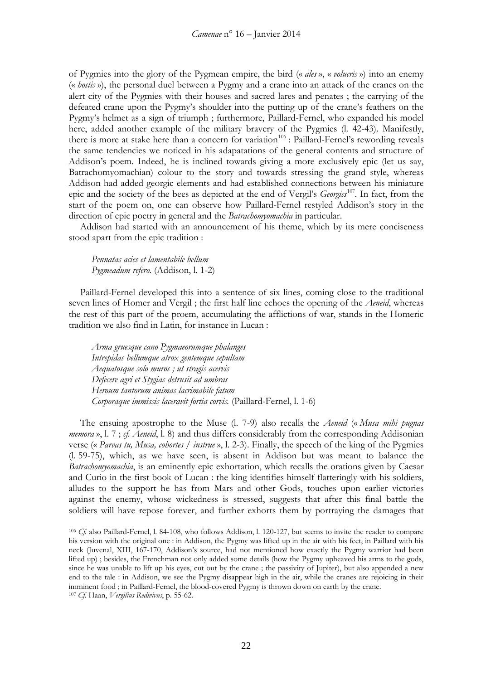of Pygmies into the glory of the Pygmean empire, the bird (« *ales* », « *volucris* ») into an enemy (« *hostis* »), the personal duel between a Pygmy and a crane into an attack of the cranes on the alert city of the Pygmies with their houses and sacred lares and penates ; the carrying of the defeated crane upon the Pygmy's shoulder into the putting up of the crane's feathers on the Pygmy's helmet as a sign of triumph ; furthermore, Paillard-Fernel, who expanded his model here, added another example of the military bravery of the Pygmies (l. 42-43). Manifestly, there is more at stake here than a concern for variation<sup>[106](#page-21-0)</sup>: Paillard-Fernel's rewording reveals the same tendencies we noticed in his adapatations of the general contents and structure of Addison's poem. Indeed, he is inclined towards giving a more exclusively epic (let us say, Batrachomyomachian) colour to the story and towards stressing the grand style, whereas Addison had added georgic elements and had established connections between his miniature epic and the society of the bees as depicted at the end of Vergil's *Georgics*[107](#page-21-1)*.* In fact, from the start of the poem on, one can observe how Paillard-Fernel restyled Addison's story in the direction of epic poetry in general and the *Batrachomyomachia* in particular.

Addison had started with an announcement of his theme, which by its mere conciseness stood apart from the epic tradition :

*Pennatas acies et lamentabile bellum Pygmeadum refero.* (Addison, l. 1-2)

Paillard-Fernel developed this into a sentence of six lines, coming close to the traditional seven lines of Homer and Vergil ; the first half line echoes the opening of the *Aeneid*, whereas the rest of this part of the proem, accumulating the afflictions of war, stands in the Homeric tradition we also find in Latin, for instance in Lucan :

*Arma gruesque cano Pygmaeorumque phalanges Intrepidas bellumque atrox gentemque sepultam Aequatosque solo muros ; ut stragis acervis Defecere agri et Stygias detrusit ad umbras Heroum tantorum animas lacrimabile fatum Corporaque immissis laceravit fortia corvis.* (Paillard-Fernel, l. 1-6)

The ensuing apostrophe to the Muse (l. 7-9) also recalls the *Aeneid* (« *Musa mihi pugnas memora* », l. 7 ; *cf. Aeneid*, l. 8) and thus differs considerably from the corresponding Addisonian verse (« *Parvas tu, Musa, cohortes / instrue* », l. 2-3). Finally, the speech of the king of the Pygmies (l. 59-75), which, as we have seen, is absent in Addison but was meant to balance the *Batrachomyomachia*, is an eminently epic exhortation, which recalls the orations given by Caesar and Curio in the first book of Lucan : the king identifies himself flatteringly with his soldiers, alludes to the support he has from Mars and other Gods, touches upon earlier victories against the enemy, whose wickedness is stressed, suggests that after this final battle the soldiers will have repose forever, and further exhorts them by portraying the damages that

<span id="page-21-1"></span><span id="page-21-0"></span><sup>106</sup> *Cf.* also Paillard-Fernel, l. 84-108, who follows Addison, l. 120-127, but seems to invite the reader to compare his version with the original one : in Addison, the Pygmy was lifted up in the air with his feet, in Paillard with his neck (Juvenal, XIII, 167-170, Addison's source, had not mentioned how exactly the Pygmy warrior had been lifted up) ; besides, the Frenchman not only added some details (how the Pygmy upheaved his arms to the gods, since he was unable to lift up his eyes, cut out by the crane ; the passivity of Jupiter), but also appended a new end to the tale : in Addison, we see the Pygmy disappear high in the air, while the cranes are rejoicing in their imminent food ; in Paillard-Fernel, the blood-covered Pygmy is thrown down on earth by the crane. <sup>107</sup> *Cf.* Haan, *Vergilius Redivivus*, p. 55-62.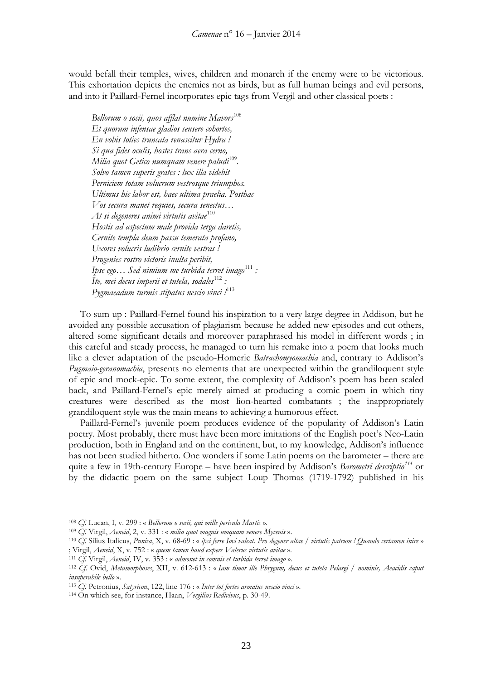would befall their temples, wives, children and monarch if the enemy were to be victorious. This exhortation depicts the enemies not as birds, but as full human beings and evil persons, and into it Paillard-Fernel incorporates epic tags from Vergil and other classical poets :

*Bellorum o socii, quos afflat numine Mavors*[108](#page-22-0) *Et quorum infensae gladios sensere cohortes, En vobis toties truncata renascitur Hydra ! Si qua fides oculis, hostes trans aera cerno, Milia quot Getico numquam venere paludi*<sup>[109](#page-22-1)</sup>. *Solvo tamen superis grates : lux illa videbit Perniciem totam volucrum vestrosque triumphos. Ultimus hic labor est, haec ultima praelia. Posthac Vos secura manet requies, secura senectus… At si degeneres animi virtutis avitae*[110](#page-22-2) *Hostis ad aspectum male provida terga daretis, Cernite templa deum passu temerata profano, Uxores volucris ludibrio cernite vestras ! Progenies rostro victoris inulta peribit, Ipse ego... Sed nimium me turbida terret imago*<sup>[111](#page-22-3)</sup> *;* Ite, mei decus imperii et tutela, sodales<sup>[112](#page-22-4)</sup> : *Pygmaeadum turmis stipatus nescio vinci !* [113](#page-22-5)

To sum up : Paillard-Fernel found his inspiration to a very large degree in Addison, but he avoided any possible accusation of plagiarism because he added new episodes and cut others, altered some significant details and moreover paraphrased his model in different words ; in this careful and steady process, he managed to turn his remake into a poem that looks much like a clever adaptation of the pseudo-Homeric *Batrachomyomachia* and, contrary to Addison's *Pugmaio-geranomachia*, presents no elements that are unexpected within the grandiloquent style of epic and mock-epic. To some extent, the complexity of Addison's poem has been scaled back, and Paillard-Fernel's epic merely aimed at producing a comic poem in which tiny creatures were described as the most lion-hearted combatants ; the inappropriately grandiloquent style was the main means to achieving a humorous effect.

Paillard-Fernel's juvenile poem produces evidence of the popularity of Addison's Latin poetry. Most probably, there must have been more imitations of the English poet's Neo-Latin production, both in England and on the continent, but, to my knowledge, Addison's influence has not been studied hitherto. One wonders if some Latin poems on the barometer – there are quite a few in 19th-century Europe – have been inspired by Addison's *Barometri descriptio[114](#page-22-6)* or by the didactic poem on the same subject Loup Thomas (1719-1792) published in his

<span id="page-22-3"></span><sup>111</sup> *Cf.* Virgil, *Aeneid*, IV, v. 353 : « *admonet in somnis et turbida terret imago* ».

<span id="page-22-0"></span><sup>108</sup> *Cf.* Lucan, I, v. 299 : « *Bellorum o socii, qui mille pericula Martis* ».

<span id="page-22-1"></span><sup>109</sup> *Cf.* Virgil, *Aeneid*, 2, v. 331 : « *milia quot magnis umquam venere Mycenis* ».

<span id="page-22-2"></span><sup>110</sup> *Cf.* Silius Italicus, *Punica*, X, v. 68-69 : « *ipsi ferre Iovi valeat. Pro degener altae / virtutis patrum ! Quando certamen inire* » ; Virgil, *Aeneid*, X, v. 752 : « *quem tamen haud expers Valerus virtutis avitae* ».

<span id="page-22-4"></span><sup>112</sup> *Cf.* Ovid, *Metamorphoses*, XII, v. 612-613 : « *Iam timor ille Phrygum, decus et tutela Pelasgi / nominis, Aeacidis caput insuperabile bello* ».

<span id="page-22-5"></span><sup>113</sup> *Cf.* Petronius, *Satyricon*, 122, line 176 : « *Inter tot fortes armatus nescio vinci* ».

<span id="page-22-6"></span><sup>114</sup> On which see, for instance, Haan, *Vergilius Redivivus*, p. 30-49.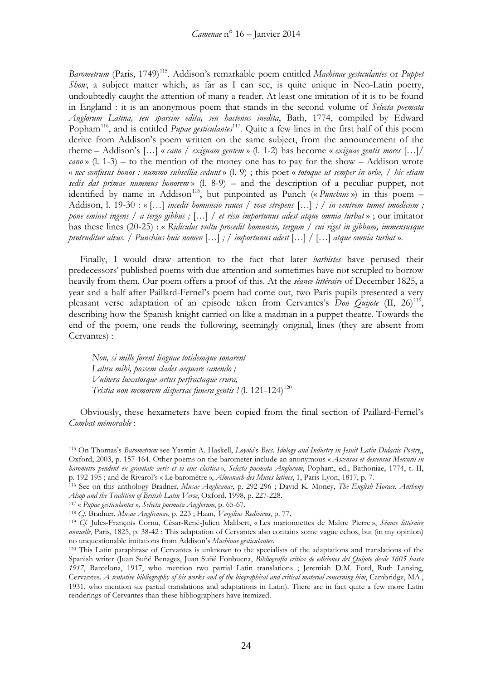*Barometrum* (Paris, 1749)<sup>[115](#page-23-0)</sup>. Addison's remarkable poem entitled *Machinae gesticulantes* or *Puppet Show*, a subject matter which, as far as I can see, is quite unique in Neo-Latin poetry, undoubtedly caught the attention of many a reader. At least one imitation of it is to be found in England : it is an anonymous poem that stands in the second volume of *Selecta poemata Anglorum Latina, seu sparsim edita, seu hactenus inedita*, Bath, 1774, compiled by Edward Popham<sup>116</sup>, and is entitled *Pupae gesticulantes*<sup>[117](#page-23-2)</sup>. Quite a few lines in the first half of this poem derive from Addison's poem written on the same subject, from the announcement of the theme – Addison's […] « *cano / exiguam gentem* » (l. 1-2) has become « *exiguae gentis mores* […]*/ cano* » (l. 1-3) – to the mention of the money one has to pay for the show – Addison wrote « *nec confusus honos : nummo subsellia cedunt* » (l. 9) ; this poet « *totoque ut semper in orbe, / hic etiam sedis dat primae nummus honorem* » (l. 8-9) – and the description of a peculiar puppet, not identified by name in Addison<sup>[118](#page-23-3)</sup>, but pinpointed as Punch (« *Punchius* ») in this poem – Addison, l. 19-30 : « […] *incedit homuncio rauca / voce strepens* […] *; / in ventrem tumet imodicum ; pone eminet ingens / a tergo gibbus ;* […] */ et risu importunus adest atque omnia turbat* » ; our imitator has these lines (20-25) : « *Ridiculus vultu procedit homuncio, tergum / cui riget in gibbum, immensusque protruditur alvus. / Punchius huic nomen* […] *; / importunus adest* […] */* […] *atque omnia turbat* ».

Finally, I would draw attention to the fact that later *barbistes* have perused their predecessors' published poems with due attention and sometimes have not scrupled to borrow heavily from them. Our poem offers a proof of this. At the *séance littéraire* of December 1825, a year and a half after Paillard-Fernel's poem had come out, two Paris pupils presented a very pleasant verse adaptation of an episode taken from Cervantes's *Don Quijote* (II, 26)<sup>119</sup>, describing how the Spanish knight carried on like a madman in a puppet theatre. Towards the end of the poem, one reads the following, seemingly original, lines (they are absent from Cervantes) :

*Non, si mille forent linguae totidemque sonarent Labra mihi, possem clades aequare canendo ; Vulnera luxatosque artus perfractaque crura, Tristia non memorem dispersae funera gentis !* (l. 121-124[\)120](#page-23-5)

Obviously, these hexameters have been copied from the final section of Paillard-Fernel's *Combat mémorable* :

<span id="page-23-0"></span><sup>115</sup> On Thomas's *Barometrum* see Yasmin A. Haskell, *Loyola*'s *Bees. Idology and Industry in Jesuit Latin Didactic Poetry*,, Oxford, 2003, p. 157-164. Other poems on the barometer include an anonymous « *Ascensus et descensus Mercurii in barometro pendent ex gravitate aeris et vi eius elastica* », *Selecta poemata Anglorum*, Popham, ed., Bathoniae, 1774, t. II, p. 192-195 ; and de Rivarol's « Le baromètre », *Almanach des Muses latines*, 1, Paris-Lyon, 1817, p. 7.

<span id="page-23-1"></span><sup>116</sup> See on this anthology Bradner, *Musae Anglicanae*, p. 292-296 ; David K. Money, *The English Horace. Anthony Alsop and the Tradition of British Latin Verse*, Oxford, 1998, p. 227-228.

<span id="page-23-2"></span><sup>117</sup> « *Pupae gesticulantes* », *Selecta poemata Anglorum*, p. 65-67.

<span id="page-23-3"></span><sup>118</sup> *Cf.* Bradner, *Musae Anglicanae*, p. 223 ; Haan, *Vergilius Redivivus*, p. 77.

<span id="page-23-4"></span><sup>119</sup> *Cf.* Jules-François Cornu, César-René-Julien Malibert, « Les marionnettes de Maître Pierre », *Séance littéraire annuelle*, Paris, 1825, p. 38-42 : This adaptation of Cervantes also contains some vague echos, but (in my opinion) no unquestionable imitations from Addison's *Machinae gesticulantes*.

<span id="page-23-5"></span><sup>120</sup> This Latin paraphrase of Cervantes is unknown to the specialists of the adaptations and translations of the Spanish writer (Juan Suñé Benages, Juan Suñé Fonbuena, *Bibliografía crítica de ediciones del Quijote desde 1605 hasta 1917*, Barcelona, 1917, who mention two partial Latin translations ; Jeremiah D.M. Ford, Ruth Lansing, Cervantes. *A tentative bibliography of his works and of the biographical and critical material concerning him*, Cambridge, MA., 1931, who mention six partial translations and adaptations in Latin). There are in fact quite a few more Latin renderings of Cervantes than these bibliographers have itemized.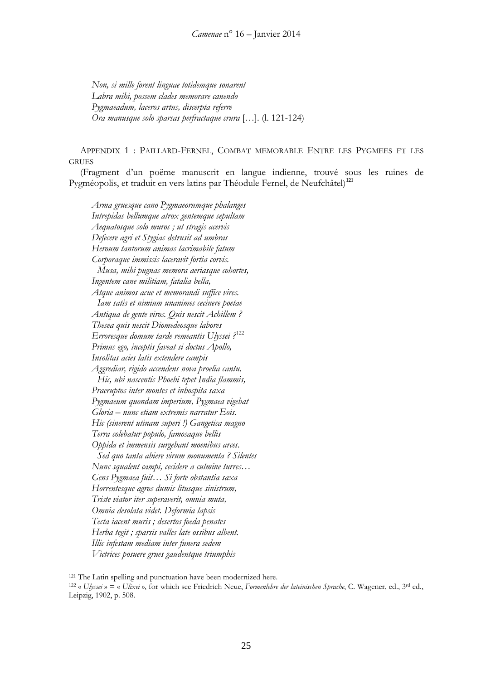*Non, si mille forent linguae totidemque sonarent Labra mihi, possem clades memorare canendo Pygmaeadum, laceros artus, discerpta referre Ora manusque solo sparsas perfractaque crura* […]. (l. 121-124)

APPENDIX 1 : PAILLARD-FERNEL, COMBAT MEMORABLE ENTRE LES PYGMEES ET LES **GRUES** 

(Fragment d'un poëme manuscrit en langue indienne, trouvé sous les ruines de Pygméopolis, et traduit en vers latins par Théodule Fernel, de Neufchâtel)**[121](#page-24-0)**

*Arma gruesque cano Pygmaeorumque phalanges Intrepidas bellumque atrox gentemque sepultam Aequatosque solo muros ; ut stragis acervis Defecere agri et Stygias detrusit ad umbras Heroum tantorum animas lacrimabile fatum Corporaque immissis laceravit fortia corvis. Musa, mihi pugnas memora aeriasque cohortes, Ingentem cane militiam, fatalia bella, Atque animos acue et memorandi suffice vires. Iam satis et nimium unanimes cecinere poetae Antiqua de gente viros. Quis nescit Achillem ? Thesea quis nescit Diomedeosque labores Erroresque domum tarde remeantis Ulyssei ?* [122](#page-24-1) *Primus ego, inceptis faveat si doctus Apollo, Insolitas acies latis extendere campis Aggrediar, rigido accendens nova proelia cantu. Hic, ubi nascentis Phoebi tepet India flammis, Praeruptos inter montes et inhospita saxa Pygmaeum quondam imperium, Pygmaea vigebat Gloria – nunc etiam extremis narratur Eois. Hic (sinerent utinam superi !) Gangetica magno Terra colebatur populo, famosaque bellis Oppida et immensis surgebant moenibus arces. Sed quo tanta abiere virum monumenta ? Silentes Nunc squalent campi, cecidere a culmine turres… Gens Pygmaea fuit… Si forte obstantia saxa Horrentesque agros dumis litusque sinistrum, Triste viator iter superaverit, omnia muta, Omnia desolata videt. Deformia lapsis Tecta iacent muris ; desertos foeda penates Herba tegit ; sparsis valles late ossibus albent. Illic infestam mediam inter funera sedem Victrices posuere grues gaudentque triumphis*

<span id="page-24-0"></span><sup>121</sup> The Latin spelling and punctuation have been modernized here.

<span id="page-24-1"></span><sup>122</sup> « *Ulyssei* » = « *Ulixei* », for which see Friedrich Neue, *Formenlehre der lateinischen Sprache*, C. Wagener, ed., 3rd ed., Leipzig, 1902, p. 508.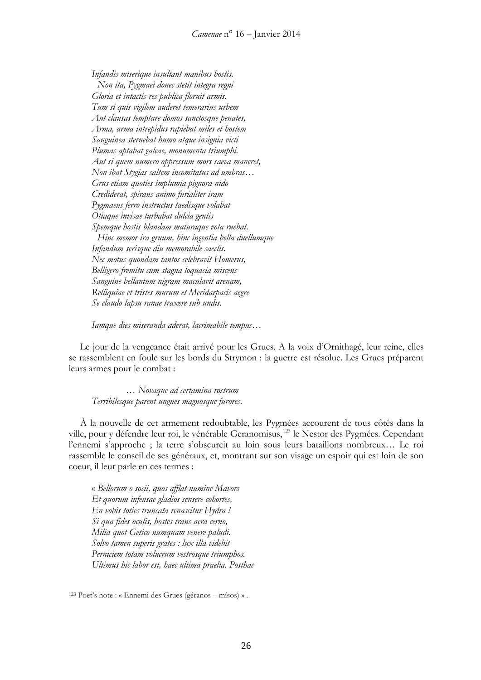*Infandis miserique insultant manibus hostis. Non ita, Pygmaei donec stetit integra regni Gloria et intactis res publica floruit armis. Tum si quis vigilem auderet temerarius urbem Aut clausas temptare domos sanctosque penates, Arma, arma intrepidus rapiebat miles et hostem Sanguinea sternebat humo atque insignia victi Plumas aptabat galeae, monumenta triumphi. Aut si quem numero oppressum mors saeva maneret, Non ibat Stygias saltem incomitatus ad umbras… Grus etiam quoties implumia pignora nido Crediderat, spirans animo furialiter iram Pygmaeus ferro instructus taedisque volabat Otiaque invisae turbabat dulcia gentis Spemque hostis blandam maturaque vota ruebat. Hinc memor ira gruum, hinc ingentia bella duellumque Infandum serisque diu memorabile saeclis. Nec motus quondam tantos celebravit Homerus, Belligero fremitu cum stagna loquacia miscens Sanguine bellantum nigram maculavit arenam, Relliquiae et tristes murum et Meridarpacis aegre Se claudo lapsu ranae traxere sub undis.*

*Iamque dies miseranda aderat, lacrimabile tempus…*

Le jour de la vengeance était arrivé pour les Grues. A la voix d'Ornithagé, leur reine, elles se rassemblent en foule sur les bords du Strymon : la guerre est résolue. Les Grues préparent leurs armes pour le combat :

*… Novaque ad certamina rostrum Terribilesque parent ungues magnosque furores*.

À la nouvelle de cet armement redoubtable, les Pygmées accourent de tous côtés dans la ville, pour y défendre leur roi, le vénérable Geranomisus,<sup>[123](#page-25-0)</sup> le Nestor des Pygmées. Cependant l'ennemi s'approche ; la terre s'obscurcit au loin sous leurs bataillons nombreux… Le roi rassemble le conseil de ses généraux, et, montrant sur son visage un espoir qui est loin de son coeur, il leur parle en ces termes :

« *Bellorum o socii, quos afflat numine Mavors Et quorum infensae gladios sensere cohortes, En vobis toties truncata renascitur Hydra ! Si qua fides oculis, hostes trans aera cerno, Milia quot Getico numquam venere paludi. Solvo tamen superis grates : lux illa videbit Perniciem totam volucrum vestrosque triumphos. Ultimus hic labor est, haec ultima praelia. Posthac*

<span id="page-25-0"></span><sup>123</sup> Poet's note : « Ennemi des Grues (géranos – mísos) » .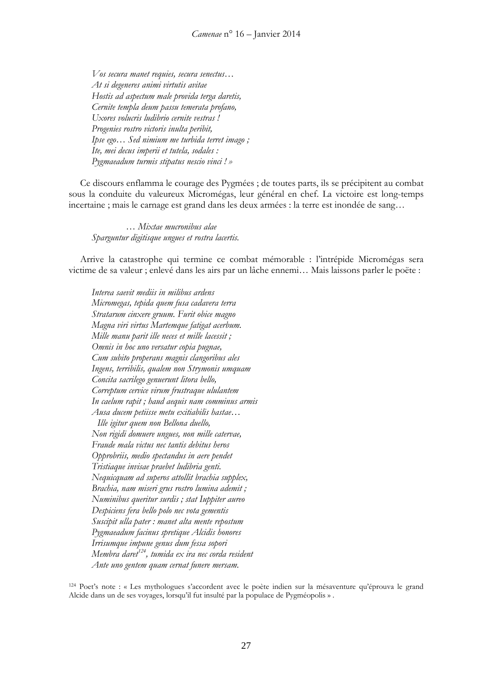*Vos secura manet requies, secura senectus… At si degeneres animi virtutis avitae Hostis ad aspectum male provida terga daretis, Cernite templa deum passu temerata profano, Uxores volucris ludibrio cernite vestras ! Progenies rostro victoris inulta peribit, Ipse ego… Sed nimium me turbida terret imago ; Ite, mei decus imperii et tutela, sodales : Pygmaeadum turmis stipatus nescio vinci ! »*

Ce discours enflamma le courage des Pygmées ; de toutes parts, ils se précipitent au combat sous la conduite du valeureux Micromégas, leur général en chef. La victoire est long-temps incertaine ; mais le carnage est grand dans les deux armées : la terre est inondée de sang…

*… Mixtae mucronibus alae Sparguntur digitisque ungues et rostra lacertis.*

Arrive la catastrophe qui termine ce combat mémorable : l'intrépide Micromégas sera victime de sa valeur ; enlevé dans les airs par un lâche ennemi… Mais laissons parler le poëte :

*Interea saevit mediis in milibus ardens Micromegas, tepida quem fusa cadavera terra Stratarum cinxere gruum. Furit obice magno Magna viri virtus Martemque fatigat acerbum. Mille manu parit ille neces et mille lacessit ; Omnis in hoc uno versatur copia pugnae, Cum subito properans magnis clangoribus ales Ingens, terribilis, qualem non Strymonis umquam Concita sacrilego genuerunt litora bello, Correptum cervice virum frustraque ululantem In caelum rapit ; haud aequis nam comminus armis Ausa ducem petiisse metu exitiabilis hastae… Ille igitur quem non Bellona duello, Non rigidi domuere ungues, non mille catervae, Fraude mala victus nec tantis debitus heros Opprobriis, medio spectandus in aere pendet Tristiaque invisae praebet ludibria genti. Nequicquam ad superos attollit brachia supplex, Brachia, nam miseri grus rostro lumina ademit ; Numinibus queritur surdis ; stat Iuppiter aureo Despiciens fera bello polo nec vota gementis Suscipit ulla pater : manet alta mente repostum Pygmaeadum facinus spretique Alcidis honores Irrisumque impune genus dum fessa sopori Membra daret[124,](#page-26-0) tumida ex ira nec corda resident Ante uno gentem quam cernat funere mersam.*

<span id="page-26-0"></span><sup>124</sup> Poet's note : « Les mythologues s'accordent avec le poète indien sur la mésaventure qu'éprouva le grand Alcide dans un de ses voyages, lorsqu'il fut insulté par la populace de Pygméopolis » .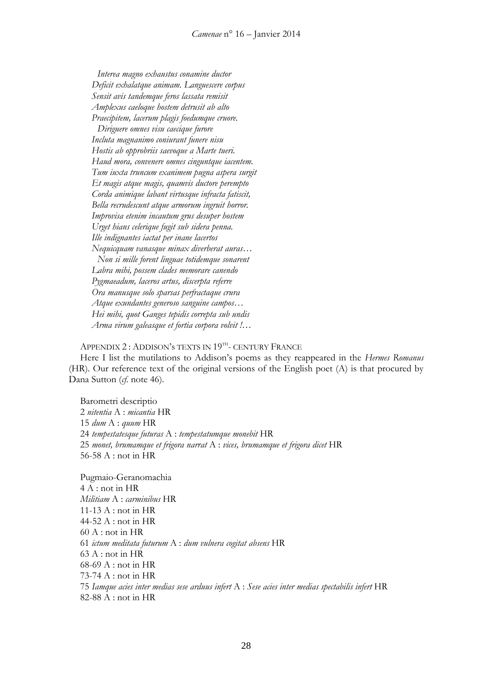*Interea magno exhaustus conamine ductor Deficit exhalatque animam. Languescere corpus Sensit avis tandemque feros lassata remisit Amplexus caeloque hostem detrusit ab alto Praecipitem, lacerum plagis foedumque cruore. Diriguere omnes visu caecique furore Incluta magnanimo coniurant funere nisu Hostis ab opprobriis saevoque a Marte tueri. Haud mora, convenere omnes cinguntque iacentem. Tum iuxta truncum exanimem pugna aspera surgit Et magis atque magis, quamvis ductore perempto Corda animique labant virtusque infracta fatiscit, Bella recrudescunt atque armorum ingruit horror. Improvisa etenim incautum grus desuper hostem Urget hians celerique fugit sub sidera penna. Ille indignantes iactat per inane lacertos Nequicquam vanasque minax diverberat auras… Non si mille forent linguae totidemque sonarent Labra mihi, possem clades memorare canendo Pygmaeadum, laceros artus, discerpta referre Ora manusque solo sparsas perfractaque crura Atque exundantes generoso sanguine campos… Hei mihi, quot Ganges tepidis correpta sub undis Arma virum galeasque et fortia corpora volvit !…*

APPENDIX 2 : ADDISON's TEXTS IN 19<sup>TH</sup>- CENTURY FRANCE

Here I list the mutilations to Addison's poems as they reappeared in the *Hermes Romanus*  (HR). Our reference text of the original versions of the English poet (A) is that procured by Dana Sutton (*cf.* note 46).

Barometri descriptio *nitentia* A : *micantia* HR *dum* A : *quum* HR *tempestatesque futuras* A : *tempestatumque monebit* HR *monet, brumamque et frigora narrat* A : *vices, brumamque et frigora dicet* HR 56-58 A : not in HR

Pugmaio-Geranomachia 4 A : not in HR *Militiam* A : *carminibus* HR 11-13 A : not in HR 44-52 A : not in HR  $60 A$ : not in HR 61 *ictum meditata futurum* A : *dum vulnera cogitat absens* HR  $63 A : not in HR$ 68-69 A : not in HR 73-74 A : not in HR 75 *Iamque acies inter medias sese arduus infert* A : *Sese acies inter medias spectabilis infert* HR 82-88 A : not in HR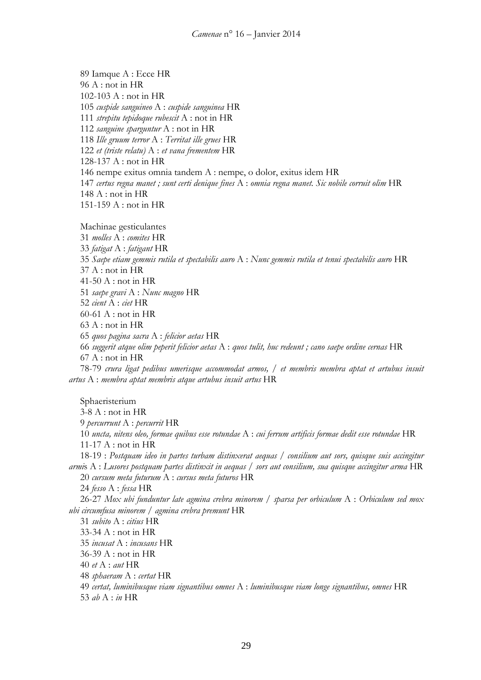89 Iamque A : Ecce HR 96 A : not in HR 102-103 A : not in HR 105 *cuspide sanguineo* A : *cuspide sanguinea* HR 111 *strepitu tepidoque rubescit* A : not in HR 112 *sanguine sparguntur* A : not in HR 118 *Ille gruum terror* A : *Territat ille grues* HR 122 *et (triste relatu)* A : *et vana frementem* HR 128-137 A : not in HR 146 nempe exitus omnia tandem A : nempe, o dolor, exitus idem HR 147 *certus regna manet ; sunt certi denique fines* A : *omnia regna manet. Sic nobile corruit olim* HR 148 A : not in HR 151-159 A : not in HR

Machinae gesticulantes

31 *molles* A : *comites* HR 33 *fatigat* A : *fatigant* HR 35 *Saepe etiam gemmis rutila et spectabilis auro* A : *Nunc gemmis rutila et tenui spectabilis auro* HR 37 A : not in HR 41-50 A : not in HR 51 *saepe gravi* A : *Nunc magno* HR 52 *cient* A : *ciet* HR 60-61 A : not in HR  $63 A$ : not in HR 65 *quos pagina sacra* A : *felicior aetas* HR 66 *suggerit atque olim peperit felicior aetas* A : *quos tulit, huc redeunt ; cano saepe ordine cernas* HR 67 A : not in HR 78-79 *crura ligat pedibus umerisque accommodat armos, / et membris membra aptat et artubus insuit artus* A : *membra aptat membris atque artubus insuit artus* HR

Sphaeristerium 3-8 A : not in HR 9 *percurrunt* A : *percurrit* HR 10 *uncta, nitens oleo, formae quibus esse rotundae* A : *cui ferrum artificis formae dedit esse rotundae* HR 11-17 A : not in HR 18-19 : *Postquam ideo in partes turbam distinxerat aequas / consilium aut sors, quisque suis accingitur armi*s A : *Lusores postquam partes distinxit in aequas / sors aut consilium, sua quisque accingitur arma* HR 20 *cursum meta futurum* A : *cursus meta futuros* HR 24 *fesso* A : *fessa* HR 26-27 *Mox ubi funduntur late agmina crebra minorem / sparsa per orbiculum* A : *Orbiculum sed mox ubi circumfusa minorem / agmina crebra premunt* HR 31 *subito* A : *citius* HR 33-34 A : not in HR 35 *incusat* A : *incusans* HR 36-39 A : not in HR 40 *et* A : *aut* HR 48 *sphaeram* A : *certat* HR 49 *certat, luminibusque viam signantibus omnes* A : *luminibusque viam longe signantibus, omnes* HR 53 *ab* A : *in* HR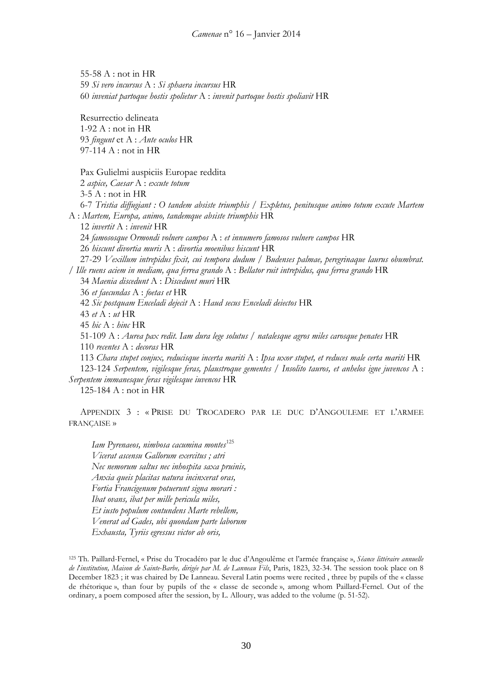55-58 A : not in HR 59 *Si vero incursus* A : *Si sphaera incursus* HR 60 *inveniat partoque hostis spolietur* A : *invenit partoque hostis spoliavit* HR Resurrectio delineata 1-92 A : not in HR 93 *fingunt* et A : *Ante oculos* HR 97-114 A : not in HR Pax Gulielmi auspiciis Europae reddita 2 *aspice, Caesar* A : *excute totum* 3-5 A : not in HR 6-7 *Tristia diffugiant : O tandem absiste triumphis / Expletus, penitusque animo totum excute Martem* A : *Martem, Europa, animo, tandemque absiste triumphis* HR 12 *invertit* A : *invenit* HR 24 *famososque Ormondi volnere campos* A : *et innumero famosos vulnere campos* HR 26 *hiscunt divortia muris* A : *divortia moenibus hiscunt* HR 27-29 *Vexillum intrepidus fixit, cui tempora dudum / Budenses palmae, peregrinaque laurus obumbrat. / Ille ruens aciem in mediam, qua ferrea grando* A : *Bellator ruit intrepidus, qua ferrea grando* HR 34 *Maenia discedunt* A : *Discedunt muri* HR 36 *et faecundas* A : *foetas et* HR 42 *Sic postquam Enceladi dejecit* A : *Haud secus Enceladi deiectos* HR 43 *et* A : *ut* HR 45 *hic* A : *hinc* HR 51-109 A : *Aurea pax redit. Iam dura lege solutus / natalesque agros miles carosque penates* HR 110 *recentes* A : *decoras* HR 113 *Chara stupet conjux, reducisque incerta mariti* A : *Ipsa uxor stupet, et reduces male certa mariti* HR 123-124 *Serpentem, vigilesque feras, plaustroque gementes / Insolito tauros, et anhelos igne juvencos* A : *Serpentem immanesque feras vigilesque iuvencos* HR 125-184 A : not in HR

APPENDIX 3 : « PRISE DU TROCADERO PAR LE DUC D'ANGOULEME ET L'ARMEE FRANÇAISE »

*Iam Pyrenaeos, nimbosa cacumina montes*[125](#page-29-0) *Vicerat ascensu Gallorum exercitus ; atri Nec nemorum saltus nec inhospita saxa pruinis, Anxia queis placitas natura incinxerat oras, Fortia Francigenum potuerunt signa morari : Ibat ovans, ibat per mille pericula miles, Et iusto populum contundens Marte rebellem, Venerat ad Gades, ubi quondam parte laborum Exhausta, Tyriis egressus victor ab oris,*

<span id="page-29-0"></span><sup>125</sup> Th. Paillard-Fernel, « Prise du Trocadéro par le duc d'Angoulême et l'armée française », *Séance littéraire annuelle de l*'*institution, Maison de Sainte-Barbe, dirigée par M. de Lanneau Fils*, Paris, 1823, 32-34. The session took place on 8 December 1823 ; it was chaired by De Lanneau. Several Latin poems were recited , three by pupils of the « classe de rhétorique », than four by pupils of the « classe de seconde », among whom Paillard-Fernel. Out of the ordinary, a poem composed after the session, by L. Alloury, was added to the volume (p. 51-52).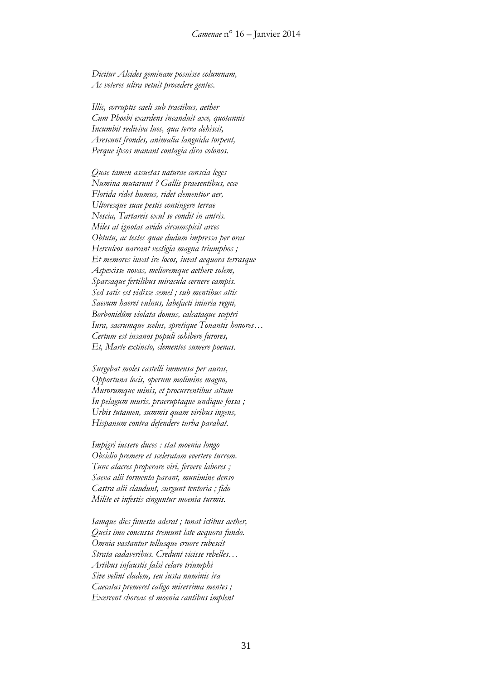*Dicitur Alcides geminam posuisse columnam, Ac veteres ultra vetuit procedere gentes.*

*Illic, corruptis caeli sub tractibus, aether Cum Phoebi exardens incanduit axe, quotannis Incumbit rediviva lues, qua terra dehiscit, Arescunt frondes, animalia languida torpent, Perque ipsos manant contagia dira colonos.*

*Quae tamen assuetas naturae conscia leges Numina mutarunt ? Gallis praesentibus, ecce Florida ridet humus, ridet clementior aer, Ultoresque suae pestis contingere terrae Nescia, Tartareis exul se condit in antris. Miles at ignotas avido circumspicit arces Obtutu, ac testes quae dudum impressa per oras Herculeos narrant vestigia magna triumphos ; Et memores iuvat ire locos, iuvat aequora terrasque Aspexisse novas, melioremque aethere solem, Sparsaque fertilibus miracula cernere campis. Sed satis est vidisse semel ; sub mentibus altis Saevum haeret vulnus, labefacti iniuria regni, Borbonidûm violata domus, calcataque sceptri Iura, sacrumque scelus, spretique Tonantis honores… Certum est insanos populi cohibere furores, Et, Marte extincto, clementes sumere poenas.*

*Surgebat moles castelli immensa per auras, Opportuna locis, operum molimine magno, Murorumque minis, et procurrentibus altum In pelagum muris, praeruptaque undique fossa ; Urbis tutamen, summis quam viribus ingens, Hispanum contra defendere turba parabat.*

*Impigri iussere duces : stat moenia longo Obsidio premere et sceleratam evertere turrem. Tunc alacres properare viri, fervere labores ; Saeva alii tormenta parant, munimine denso Castra alii claudunt, surgunt tentoria ; fido Milite et infestis cinguntur moenia turmis.*

*Iamque dies funesta aderat ; tonat ictibus aether, Queis imo concussa tremunt late aequora fundo. Omnia vastantur tellusque cruore rubescit Strata cadaveribus. Credunt vicisse rebelles… Artibus infaustis falsi celare triumphi Sive velint cladem, seu iusta numinis ira Caecatas premeret caligo miserrima mentes ; Exercent choreas et moenia cantibus implent*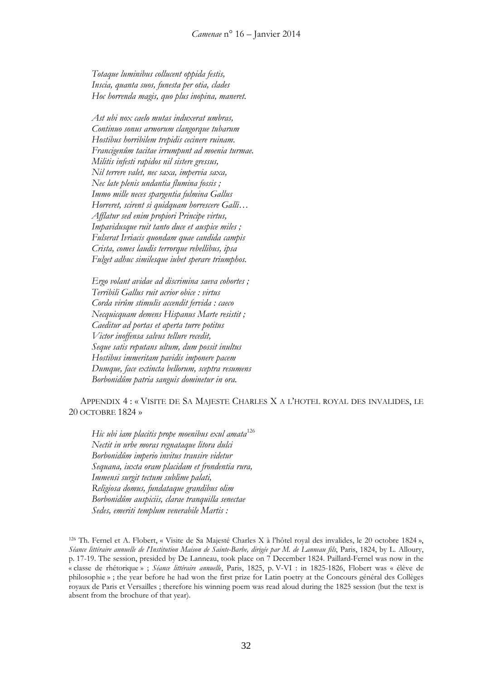*Totaque luminibus collucent oppida festis, Inscia, quanta suos, funesta per otia, clades Hoc horrenda magis, quo plus inopina, maneret.*

*Ast ubi nox caelo mutas induxerat umbras, Continuo sonus armorum clangorque tubarum Hostibus horribilem trepidis cecinere ruinam. Francigenûm tacitae irrumpunt ad moenia turmae. Militis infesti rapidos nil sistere gressus, Nil terrere valet, nec saxa, impervia saxa, Nec late plenis undantia flumina fossis ; Immo mille neces spargentia fulmina Gallus Horreret, scirent si quidquam horrescere Galli… Afflatur sed enim propiori Principe virtus, Impavidusque ruit tanto duce et auspice miles ; Fulserat Ivriacis quondam quae candida campis Crista, comes laudis terrorque rebellibus, ipsa Fulget adhuc similesque iubet sperare triumphos.*

*Ergo volant avidae ad discrimina saeva cohortes ; Terribili Gallus ruit acrior obice : virtus Corda virûm stimulis accendit fervida : caeco Necquicquam demens Hispanus Marte resistit ; Caeditur ad portas et aperta turre potitus Victor inoffensa salvus tellure recedit, Seque satis reputans ultum, dum possit inultus Hostibus immeritam pavidis imponere pacem Dumque, face extincta bellorum, sceptra resumens Borbonidûm patria sanguis dominetur in ora.*

APPENDIX 4 : « VISITE DE SA MAJESTE CHARLES X A L'HOTEL ROYAL DES INVALIDES, LE 20 OCTOBRE 1824 »

*Hic ubi iam placitis prope moenibus exul amata*[126](#page-31-0) *Nectit in urbe moras regnataque litora dulci Borbonidûm imperio invitus transire videtur Sequana, iuxta oram placidam et frondentia rura, Immensi surgit tectum sublime palati, Religiosa domus, fundataque grandibus olim Borbonidûm auspiciis, clarae tranquilla senectae Sedes, emeriti templum venerabile Martis :*

<span id="page-31-0"></span><sup>126</sup> Th. Fernel et A. Flobert, « Visite de Sa Majesté Charles X à l'hôtel royal des invalides, le 20 octobre 1824 », *Séance littéraire annuelle de l*'*Institution Maison de Sainte-Barbe, dirigée par M. de Lanneau fils*, Paris, 1824, by L. Alloury, p. 17-19. The session, presided by De Lanneau, took place on 7 December 1824. Paillard-Fernel was now in the « classe de rhétorique » ; *Séance littéraire annuelle*, Paris, 1825, p. V-VI : in 1825-1826, Flobert was « élève de philosophie » ; the year before he had won the first prize for Latin poetry at the Concours général des Collèges royaux de Paris et Versailles ; therefore his winning poem was read aloud during the 1825 session (but the text is absent from the brochure of that year).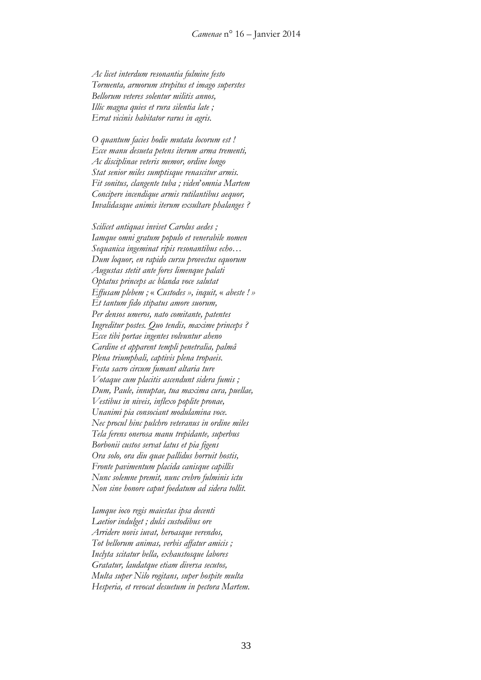*Ac licet interdum resonantia fulmine festo Tormenta, armorum strepitus et imago superstes Bellorum veteres solentur militis annos, Illic magna quies et rura silentia late ; Errat vicinis habitator rarus in agris.*

*O quantum facies hodie mutata locorum est ! Ecce manu desueta petens iterum arma trementi, Ac disciplinae veteris memor, ordine longo Stat senior miles sumptisque renascitur armis. Fit sonitus, clangente tuba ; viden*'*omnia Martem Concipere incendique armis rutilantibus aequor, Invalidasque animis iterum exsultare phalanges ?*

*Scilicet antiquas inviset Carolus aedes ; Iamque omni gratum populo et venerabile nomen Sequanica ingeminat ripis resonantibus echo… Dum loquor, en rapido cursu provectus equorum Augustas stetit ante fores limenque palati Optatus princeps ac blanda voce salutat Effusam plebem ;* « *Custodes », inquit,* « *abeste ! » Et tantum fido stipatus amore suorum, Per densos umeros, nato comitante, patentes Ingreditur postes. Quo tendis, maxime princeps ? Ecce tibi portae ingentes volvuntur aheno Cardine et apparent templi penetralia, palmâ Plena triumphali, captivis plena tropaeis. Festa sacro circum fumant altaria ture Votaque cum placitis ascendunt sidera fumis ; Dum, Paule, innuptae, tua maxima cura, puellae, Vestibus in niveis, inflexo poplite pronae, Unanimi pia consociant modulamina voce. Nec procul hinc pulchro veteranus in ordine miles Tela ferens onerosa manu trepidante, superbus Borbonii custos servat latus et pia figens Ora solo, ora diu quae pallidus horruit hostis, Fronte pavimentum placida canisque capillis Nunc solemne premit, nunc crebro fulminis ictu Non sine honore caput foedatum ad sidera tollit.*

*Iamque ioco regis maiestas ipsa decenti Laetior indulget ; dulci custodibus ore Arridere novis iuvat, heroasque verendos, Tot bellorum animas, verbis affatur amicis ; Inclyta scitatur bella, exhaustosque labores Gratatur, laudatque etiam diversa secutos, Multa super Nilo rogitans, super hospite multa Hesperia, et revocat desuetum in pectora Martem.*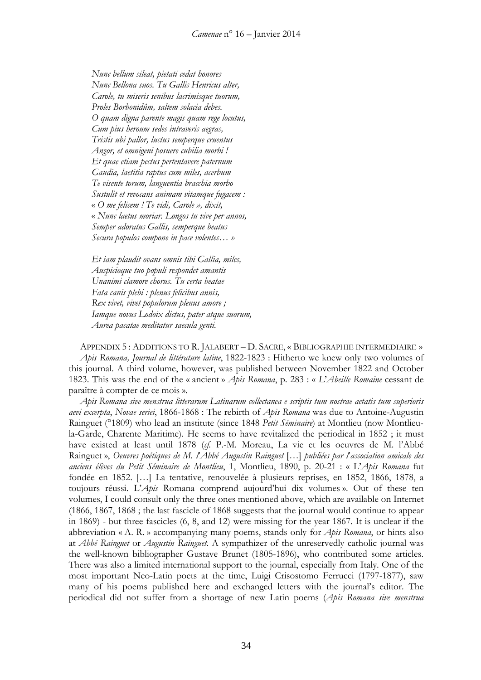*Nunc bellum sileat, pietati cedat honores Nunc Bellona suos. Tu Gallis Henricus alter, Carole, tu miseris senibus lacrimisque tuorum, Proles Borbonidûm, saltem solacia debes. O quam digna parente magis quam rege locutus, Cum pius heroum sedes intraveris aegras, Tristis ubi pallor, luctus semperque cruentus Angor, et omnigeni posuere cubilia morbi ! Et quae etiam pectus pertentavere paternum Gaudia, laetitia raptus cum miles, acerbum Te visente torum, languentia bracchia morbo Sustulit et revocans animam vitamque fugacem :* « *O me felicem ! Te vidi, Carole », dixit,* « *Nunc laetus moriar. Longos tu vive per annos, Semper adoratus Gallis, semperque beatus Secura populos compone in pace volentes… »*

*Et iam plaudit ovans omnis tibi Gallia, miles, Auspicioque tuo populi respondet amantis Unanimi clamore chorus. Tu certa beatae Fata canis plebi : plenus felicibus annis, Rex vivet, vivet populorum plenus amore ; Iamque novus Lodoix dictus, pater atque suorum, Aurea pacatae meditatur saecula genti.*

APPENDIX 5 : ADDITIONS TO R. JALABERT – D. SACRE, « BIBLIOGRAPHIE INTERMEDIAIRE » *Apis Romana, Journal de littérature latine*, 1822-1823 : Hitherto we knew only two volumes of this journal. A third volume, however, was published between November 1822 and October 1823. This was the end of the « ancient » *Apis Romana*, p. 283 : « *L*'*Abeille Romaine* cessant de paraître à compter de ce mois ».

*Apis Romana sive menstrua litterarum Latinarum collectanea e scriptis tum nostrae aetatis tum superioris aevi excerpta*, *Novae seriei*, 1866-1868 : The rebirth of *Apis Romana* was due to Antoine-Augustin Rainguet (°1809) who lead an institute (since 1848 *Petit Séminaire*) at Montlieu (now Montlieula-Garde, Charente Maritime). He seems to have revitalized the periodical in 1852 ; it must have existed at least until 1878 (*cf.* P.-M. Moreau, La vie et les oeuvres de M. l'Abbé Rainguet », *Oeuvres poétiques de M. l*'*Abbé Augustin Rainguet* […] *publiées par l*'*association amicale des anciens élèves du Petit Séminaire de Montlieu*, 1, Montlieu, 1890, p. 20-21 : « L'*Apis Romana* fut fondée en 1852. […] La tentative, renouvelée à plusieurs reprises, en 1852, 1866, 1878, a toujours réussi. L'*Apis* Romana comprend aujourd'hui dix volumes ». Out of these ten volumes, I could consult only the three ones mentioned above, which are available on Internet (1866, 1867, 1868 ; the last fascicle of 1868 suggests that the journal would continue to appear in 1869) - but three fascicles (6, 8, and 12) were missing for the year 1867. It is unclear if the abbreviation « A. R. » accompanying many poems, stands only for *Apis Romana*, or hints also at *Abbé Rainguet* or *Augustin Rainguet*. A sympathizer of the unreservedly catholic journal was the well-known bibliographer Gustave Brunet (1805-1896), who contributed some articles. There was also a limited international support to the journal, especially from Italy. One of the most important Neo-Latin poets at the time, Luigi Crisostomo Ferrucci (1797-1877), saw many of his poems published here and exchanged letters with the journal's editor. The periodical did not suffer from a shortage of new Latin poems (*Apis Romana sive menstrua*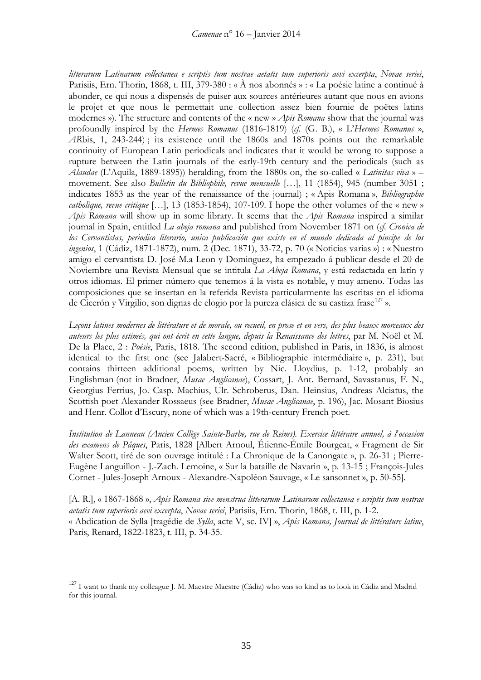*litterarum Latinarum collectanea e scriptis tum nostrae aetatis tum superioris aevi excerpta*, *Novae seriei*, Parisiis, Ern. Thorin, 1868, t. III, 379-380 : « À nos abonnés » : « La poésie latine a continué à abonder, ce qui nous a dispensés de puiser aux sources antérieures autant que nous en avions le projet et que nous le permettait une collection assez bien fournie de poëtes latins modernes »). The structure and contents of the « new » *Apis Romana* show that the journal was profoundly inspired by the *Hermes Romanus* (1816-1819) (*cf.* (G. B.), « L'*Hermes Romanus* », *AR*bis, 1, 243-244) ; its existence until the 1860s and 1870s points out the remarkable continuity of European Latin periodicals and indicates that it would be wrong to suppose a rupture between the Latin journals of the early-19th century and the periodicals (such as *Alaudae* (L'Aquila, 1889-1895)) heralding, from the 1880s on, the so-called « *Latinitas viva* » – movement. See also *Bulletin du Bibliophile, revue mensuelle* […], 11 (1854), 945 (number 3051 ; indicates 1853 as the year of the renaissance of the journal) ; « Apis Romana », *Bibliographie catholique, revue critique* […], 13 (1853-1854), 107-109. I hope the other volumes of the « new » *Apis Romana* will show up in some library. It seems that the *Apis Romana* inspired a similar journal in Spain, entitled *La abeja romana* and published from November 1871 on (*cf. Cronica de los Cervantistas, periodico literario, unica publicación que existe en el mundo dedicada al pincipe de los ingenios*, 1 (Cádiz, 1871-1872), num. 2 (Dec. 1871), 33-72, p. 70 (« Noticias varias ») : « Nuestro amigo el cervantista D. José M.a Leon y Dominguez, ha empezado á publicar desde el 20 de Noviembre una Revista Mensual que se intitula *La Abeja Romana*, y está redactada en latín y otros idiomas. El primer número que tenemos á la vista es notable, y muy ameno. Todas las composiciones que se insertan en la referida Revista particularmente las escritas en el idioma de Cicerón y Virgilio, son dignas de elogio por la pureza clásica de su castiza frase<sup>[127](#page-34-0)</sup> ».

*Leçons latines modernes de littérature et de morale, ou recueil, en prose et en vers, des plus beaux morceaux des auteurs les plus estimés, qui ont écrit en cette langue, depuis la Renaissance des lettres*, par M. Noël et M. De la Place, 2 : *Poésie*, Paris, 1818. The second edition, published in Paris, in 1836, is almost identical to the first one (see Jalabert-Sacré, « Bibliographie intermédiaire », p. 231), but contains thirteen additional poems, written by Nic. Lloydius, p. 1-12, probably an Englishman (not in Bradner, *Musae Anglicanae*), Cossart, J. Ant. Bernard, Savastanus, F. N., Georgius Ferrius, Jo. Casp. Machius, Ulr. Schroberus, Dan. Heinsius, Andreas Alciatus, the Scottish poet Alexander Rossaeus (see Bradner, *Musae Anglicanae*, p. 196), Jac. Mosant Biosius and Henr. Collot d'Escury, none of which was a 19th-century French poet.

*Institution de Lanneau (Ancien Collège Sainte-Barbe, rue de Reims). Exercice littéraire annuel, à l*'*occasion des examens de Pâques*, Paris, 1828 [Albert Arnoul, Étienne-Émile Bourgeat, « Fragment de Sir Walter Scott, tiré de son ouvrage intitulé : La Chronique de la Canongate », p. 26-31 ; Pierre-Eugène Languillon - J.-Zach. Lemoine, « Sur la bataille de Navarin », p. 13-15 ; François-Jules Cornet - Jules-Joseph Arnoux - Alexandre-Napoléon Sauvage, « Le sansonnet », p. 50-55].

[A. R.], « 1867-1868 », *Apis Romana sive menstrua litterarum Latinarum collectanea e scriptis tum nostrae aetatis tum superioris aevi excerpta*, *Novae seriei*, Parisiis, Ern. Thorin, 1868, t. III, p. 1-2. « Abdication de Sylla [tragédie de *Sylla*, acte V, sc. IV] », *Apis Romana, Journal de littérature latine*, Paris, Renard, 1822-1823, t. III, p. 34-35.

<span id="page-34-0"></span><sup>&</sup>lt;sup>127</sup> I want to thank my colleague J. M. Maestre Maestre (Cádiz) who was so kind as to look in Cádiz and Madrid for this journal.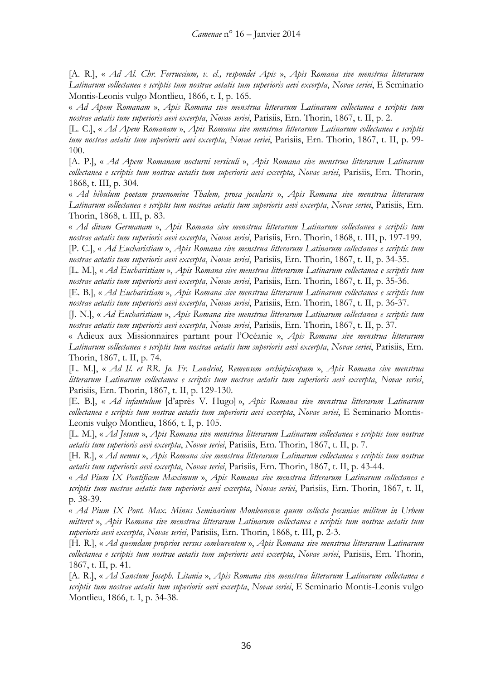[A. R.], « *Ad Al. Chr. Ferruccium, v. cl., respondet Apis* », *Apis Romana sive menstrua litterarum Latinarum collectanea e scriptis tum nostrae aetatis tum superioris aevi excerpta*, *Novae seriei*, E Seminario Montis-Leonis vulgo Montlieu, 1866, t. I, p. 165.

« *Ad Apem Romanam* », *Apis Romana sive menstrua litterarum Latinarum collectanea e scriptis tum nostrae aetatis tum superioris aevi excerpta*, *Novae seriei*, Parisiis, Ern. Thorin, 1867, t. II, p. 2.

[L. C.], « *Ad Apem Romanam* », *Apis Romana sive menstrua litterarum Latinarum collectanea e scriptis tum nostrae aetatis tum superioris aevi excerpta*, *Novae seriei*, Parisiis, Ern. Thorin, 1867, t. II, p. 99- 100.

[A. P.], « *Ad Apem Romanam nocturni versiculi* », *Apis Romana sive menstrua litterarum Latinarum collectanea e scriptis tum nostrae aetatis tum superioris aevi excerpta*, *Novae seriei*, Parisiis, Ern. Thorin, 1868, t. III, p. 304.

« *Ad bibulum poetam praenomine Thalem, prosa jocularis* », *Apis Romana sive menstrua litterarum Latinarum collectanea e scriptis tum nostrae aetatis tum superioris aevi excerpta*, *Novae seriei*, Parisiis, Ern. Thorin, 1868, t. III, p. 83.

« *Ad divam Germanam* », *Apis Romana sive menstrua litterarum Latinarum collectanea e scriptis tum nostrae aetatis tum superioris aevi excerpta*, *Novae seriei*, Parisiis, Ern. Thorin, 1868, t. III, p. 197-199. [P. C.], « *Ad Eucharistiam* », *Apis Romana sive menstrua litterarum Latinarum collectanea e scriptis tum* 

*nostrae aetatis tum superioris aevi excerpta*, *Novae seriei*, Parisiis, Ern. Thorin, 1867, t. II, p. 34-35.

[L. M.], « *Ad Eucharistiam* », *Apis Romana sive menstrua litterarum Latinarum collectanea e scriptis tum nostrae aetatis tum superioris aevi excerpta*, *Novae seriei*, Parisiis, Ern. Thorin, 1867, t. II, p. 35-36.

[E. B.], « *Ad Eucharistiam* », *Apis Romana sive menstrua litterarum Latinarum collectanea e scriptis tum nostrae aetatis tum superioris aevi excerpta*, *Novae seriei*, Parisiis, Ern. Thorin, 1867, t. II, p. 36-37.

[J. N.], « *Ad Eucharistiam* », *Apis Romana sive menstrua litterarum Latinarum collectanea e scriptis tum nostrae aetatis tum superioris aevi excerpta*, *Novae seriei*, Parisiis, Ern. Thorin, 1867, t. II, p. 37.

« Adieux aux Missionnaires partant pour l'Océanie », *Apis Romana sive menstrua litterarum Latinarum collectanea e scriptis tum nostrae aetatis tum superioris aevi excerpta*, *Novae seriei*, Parisiis, Ern. Thorin, 1867, t. II, p. 74.

[L. M.], « *Ad Il. et RR. Jo. Fr. Landriot, Remensem archiepiscopum* », *Apis Romana sive menstrua litterarum Latinarum collectanea e scriptis tum nostrae aetatis tum superioris aevi excerpta*, *Novae seriei*, Parisiis, Ern. Thorin, 1867, t. II, p. 129-130.

[E. B.], « *Ad infantulum* [d'après V. Hugo] », *Apis Romana sive menstrua litterarum Latinarum collectanea e scriptis tum nostrae aetatis tum superioris aevi excerpta*, *Novae seriei*, E Seminario Montis-Leonis vulgo Montlieu, 1866, t. I, p. 105.

[L. M.], « *Ad Jesum* », *Apis Romana sive menstrua litterarum Latinarum collectanea e scriptis tum nostrae aetatis tum superioris aevi excerpta*, *Novae seriei*, Parisiis, Ern. Thorin, 1867, t. II, p. 7.

[H. R.], « *Ad nemus* », *Apis Romana sive menstrua litterarum Latinarum collectanea e scriptis tum nostrae aetatis tum superioris aevi excerpta*, *Novae seriei*, Parisiis, Ern. Thorin, 1867, t. II, p. 43-44.

« *Ad Pium IX Pontificem Maximum* », *Apis Romana sive menstrua litterarum Latinarum collectanea e scriptis tum nostrae aetatis tum superioris aevi excerpta*, *Novae seriei*, Parisiis, Ern. Thorin, 1867, t. II, p. 38-39.

« *Ad Pium IX Pont. Max. Minus Seminarium Monleonense quum collecta pecuniae militem in Urbem mitteret* », *Apis Romana sive menstrua litterarum Latinarum collectanea e scriptis tum nostrae aetatis tum superioris aevi excerpta*, *Novae seriei*, Parisiis, Ern. Thorin, 1868, t. III, p. 2-3.

[H. R.], « *Ad quemdam proprios versus comburentem* », *Apis Romana sive menstrua litterarum Latinarum collectanea e scriptis tum nostrae aetatis tum superioris aevi excerpta*, *Novae seriei*, Parisiis, Ern. Thorin, 1867, t. II, p. 41.

[A. R.], « *Ad Sanctum Joseph. Litania* », *Apis Romana sive menstrua litterarum Latinarum collectanea e scriptis tum nostrae aetatis tum superioris aevi excerpta*, *Novae seriei*, E Seminario Montis-Leonis vulgo Montlieu, 1866, t. I, p. 34-38.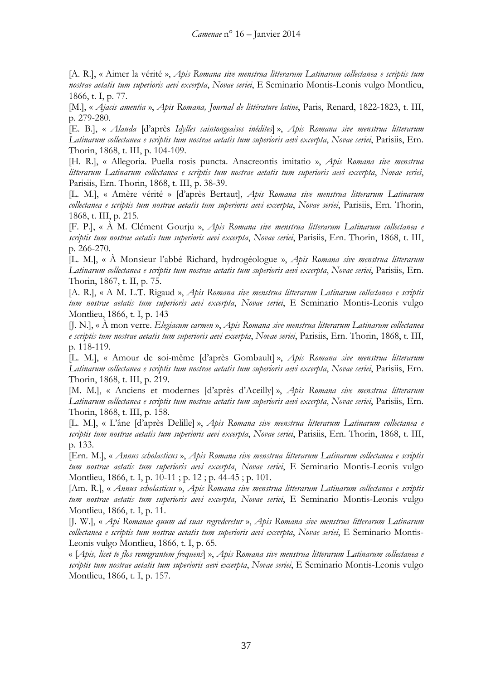[A. R.], « Aimer la vérité », *Apis Romana sive menstrua litterarum Latinarum collectanea e scriptis tum nostrae aetatis tum superioris aevi excerpta*, *Novae seriei*, E Seminario Montis-Leonis vulgo Montlieu, 1866, t. I, p. 77.

[M.], « *Ajacis amentia* », *Apis Romana, Journal de littérature latine*, Paris, Renard, 1822-1823, t. III, p. 279-280.

[E. B.], « *Alauda* [d'après *Idylles saintongeaises inédites*] », *Apis Romana sive menstrua litterarum Latinarum collectanea e scriptis tum nostrae aetatis tum superioris aevi excerpta*, *Novae seriei*, Parisiis, Ern. Thorin, 1868, t. III, p. 104-109.

[H. R.], « Allegoria. Puella rosis puncta. Anacreontis imitatio », *Apis Romana sive menstrua litterarum Latinarum collectanea e scriptis tum nostrae aetatis tum superioris aevi excerpta*, *Novae seriei*, Parisiis, Ern. Thorin, 1868, t. III, p. 38-39.

[L. M.], « Amère vérité » [d'après Bertaut], *Apis Romana sive menstrua litterarum Latinarum collectanea e scriptis tum nostrae aetatis tum superioris aevi excerpta*, *Novae seriei*, Parisiis, Ern. Thorin, 1868, t. III, p. 215.

[F. P.], « À M. Clément Gourju », *Apis Romana sive menstrua litterarum Latinarum collectanea e scriptis tum nostrae aetatis tum superioris aevi excerpta*, *Novae seriei*, Parisiis, Ern. Thorin, 1868, t. III, p. 266-270.

[L. M.], « À Monsieur l'abbé Richard, hydrogéologue », *Apis Romana sive menstrua litterarum Latinarum collectanea e scriptis tum nostrae aetatis tum superioris aevi excerpta*, *Novae seriei*, Parisiis, Ern. Thorin, 1867, t. II, p. 75.

[A. R.], « A M. L.T. Rigaud », *Apis Romana sive menstrua litterarum Latinarum collectanea e scriptis tum nostrae aetatis tum superioris aevi excerpta*, *Novae seriei*, E Seminario Montis-Leonis vulgo Montlieu, 1866, t. I, p. 143

[J. N.], « À mon verre. *Elegiacum carmen* », *Apis Romana sive menstrua litterarum Latinarum collectanea e scriptis tum nostrae aetatis tum superioris aevi excerpta*, *Novae seriei*, Parisiis, Ern. Thorin, 1868, t. III, p. 118-119.

[L. M.], « Amour de soi-même [d'après Gombault] », *Apis Romana sive menstrua litterarum Latinarum collectanea e scriptis tum nostrae aetatis tum superioris aevi excerpta*, *Novae seriei*, Parisiis, Ern. Thorin, 1868, t. III, p. 219.

[M. M.], « Anciens et modernes [d'après d'Aceilly] », *Apis Romana sive menstrua litterarum Latinarum collectanea e scriptis tum nostrae aetatis tum superioris aevi excerpta*, *Novae seriei*, Parisiis, Ern. Thorin, 1868, t. III, p. 158.

[L. M.], « L'âne [d'après Delille] », *Apis Romana sive menstrua litterarum Latinarum collectanea e scriptis tum nostrae aetatis tum superioris aevi excerpta*, *Novae seriei*, Parisiis, Ern. Thorin, 1868, t. III, p. 133.

[Ern. M.], « *Annus scholasticus* », *Apis Romana sive menstrua litterarum Latinarum collectanea e scriptis tum nostrae aetatis tum superioris aevi excerpta*, *Novae seriei*, E Seminario Montis-Leonis vulgo Montlieu, 1866, t. I, p. 10-11; p. 12; p. 44-45; p. 101.

[Am. R.], « *Annus scholasticus* », *Apis Romana sive menstrua litterarum Latinarum collectanea e scriptis tum nostrae aetatis tum superioris aevi excerpta*, *Novae seriei*, E Seminario Montis-Leonis vulgo Montlieu, 1866, t. I, p. 11.

[J. W.], « *Api Romanae quum ad suas regrederetur* », *Apis Romana sive menstrua litterarum Latinarum collectanea e scriptis tum nostrae aetatis tum superioris aevi excerpta*, *Novae seriei*, E Seminario Montis-Leonis vulgo Montlieu, 1866, t. I, p. 65.

« [*Apis, licet te flos remigrantem frequens*] », *Apis Romana sive menstrua litterarum Latinarum collectanea e scriptis tum nostrae aetatis tum superioris aevi excerpta*, *Novae seriei*, E Seminario Montis-Leonis vulgo Montlieu, 1866, t. I, p. 157.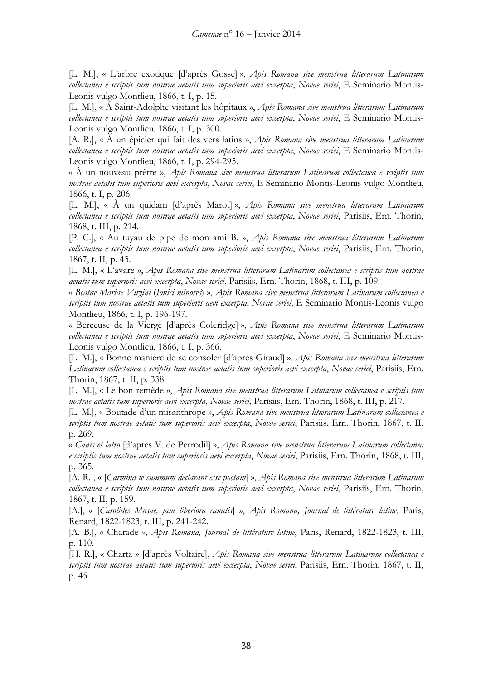[L. M.], « L'arbre exotique [d'après Gosse] », *Apis Romana sive menstrua litterarum Latinarum collectanea e scriptis tum nostrae aetatis tum superioris aevi excerpta*, *Novae seriei*, E Seminario Montis-Leonis vulgo Montlieu, 1866, t. I, p. 15.

[L. M.], « À Saint-Adolphe visitant les hôpitaux », *Apis Romana sive menstrua litterarum Latinarum collectanea e scriptis tum nostrae aetatis tum superioris aevi excerpta*, *Novae seriei*, E Seminario Montis-Leonis vulgo Montlieu, 1866, t. I, p. 300.

[A. R.], « À un épicier qui fait des vers latins », *Apis Romana sive menstrua litterarum Latinarum collectanea e scriptis tum nostrae aetatis tum superioris aevi excerpta*, *Novae seriei*, E Seminario Montis-Leonis vulgo Montlieu, 1866, t. I, p. 294-295.

« À un nouveau prêtre », *Apis Romana sive menstrua litterarum Latinarum collectanea e scriptis tum nostrae aetatis tum superioris aevi excerpta*, *Novae seriei*, E Seminario Montis-Leonis vulgo Montlieu, 1866, t. I, p. 206.

[L. M.], « À un quidam [d'après Marot] », *Apis Romana sive menstrua litterarum Latinarum collectanea e scriptis tum nostrae aetatis tum superioris aevi excerpta*, *Novae seriei*, Parisiis, Ern. Thorin, 1868, t. III, p. 214.

[P. C.], « Au tuyau de pipe de mon ami B. », *Apis Romana sive menstrua litterarum Latinarum collectanea e scriptis tum nostrae aetatis tum superioris aevi excerpta*, *Novae seriei*, Parisiis, Ern. Thorin, 1867, t. II, p. 43.

[L. M.], « L'avare », *Apis Romana sive menstrua litterarum Latinarum collectanea e scriptis tum nostrae aetatis tum superioris aevi excerpta*, *Novae seriei*, Parisiis, Ern. Thorin, 1868, t. III, p. 109.

« *Beatae Mariae Virgini* (*Ionici minores*) », *Apis Romana sive menstrua litterarum Latinarum collectanea e scriptis tum nostrae aetatis tum superioris aevi excerpta*, *Novae seriei*, E Seminario Montis-Leonis vulgo Montlieu, 1866, t. I, p. 196-197.

« Berceuse de la Vierge [d'après Coleridge] », *Apis Romana sive menstrua litterarum Latinarum collectanea e scriptis tum nostrae aetatis tum superioris aevi excerpta*, *Novae seriei*, E Seminario Montis-Leonis vulgo Montlieu, 1866, t. I, p. 366.

[L. M.], « Bonne manière de se consoler [d'après Giraud] », *Apis Romana sive menstrua litterarum Latinarum collectanea e scriptis tum nostrae aetatis tum superioris aevi excerpta*, *Novae seriei*, Parisiis, Ern. Thorin, 1867, t. II, p. 338.

[L. M.], « Le bon remède », *Apis Romana sive menstrua litterarum Latinarum collectanea e scriptis tum nostrae aetatis tum superioris aevi excerpta*, *Novae seriei*, Parisiis, Ern. Thorin, 1868, t. III, p. 217.

[L. M.], « Boutade d'un misanthrope », *Apis Romana sive menstrua litterarum Latinarum collectanea e scriptis tum nostrae aetatis tum superioris aevi excerpta*, *Novae seriei*, Parisiis, Ern. Thorin, 1867, t. II, p. 269.

« *Canis et latro* [d'après V. de Perrodil] », *Apis Romana sive menstrua litterarum Latinarum collectanea e scriptis tum nostrae aetatis tum superioris aevi excerpta*, *Novae seriei*, Parisiis, Ern. Thorin, 1868, t. III, p. 365.

[A. R.], « [*Carmina te summum declarant esse poetam*] », *Apis Romana sive menstrua litterarum Latinarum collectanea e scriptis tum nostrae aetatis tum superioris aevi excerpta*, *Novae seriei*, Parisiis, Ern. Thorin, 1867, t. II, p. 159.

[A.], « [*Carolides Musae, jam liberiora canatis*] », *Apis Romana, Journal de littérature latine*, Paris, Renard, 1822-1823, t. III, p. 241-242.

[A. B.], « Charade », *Apis Romana, Journal de littérature latine*, Paris, Renard, 1822-1823, t. III, p. 110.

[H. R.], « Charta » [d'après Voltaire], *Apis Romana sive menstrua litterarum Latinarum collectanea e scriptis tum nostrae aetatis tum superioris aevi excerpta*, *Novae seriei*, Parisiis, Ern. Thorin, 1867, t. II, p. 45.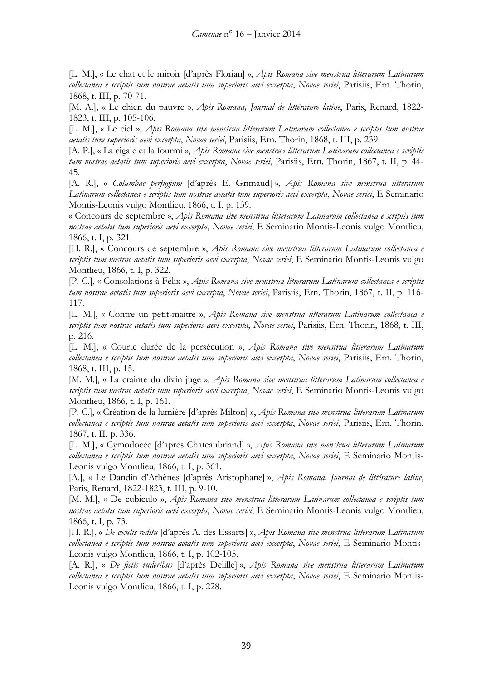[L. M.], « Le chat et le miroir [d'après Florian] », *Apis Romana sive menstrua litterarum Latinarum collectanea e scriptis tum nostrae aetatis tum superioris aevi excerpta*, *Novae seriei*, Parisiis, Ern. Thorin, 1868, t. III, p. 70-71.

[M. A.], « Le chien du pauvre », *Apis Romana, Journal de littérature latine*, Paris, Renard, 1822- 1823, t. III, p. 105-106.

[L. M.], « Le ciel », *Apis Romana sive menstrua litterarum Latinarum collectanea e scriptis tum nostrae aetatis tum superioris aevi excerpta*, *Novae seriei*, Parisiis, Ern. Thorin, 1868, t. III, p. 239.

[A. P.], « La cigale et la fourmi », *Apis Romana sive menstrua litterarum Latinarum collectanea e scriptis tum nostrae aetatis tum superioris aevi excerpta*, *Novae seriei*, Parisiis, Ern. Thorin, 1867, t. II, p. 44- 45.

[A. R.], « *Columbae perfugium* [d'après E. Grimaud] », *Apis Romana sive menstrua litterarum Latinarum collectanea e scriptis tum nostrae aetatis tum superioris aevi excerpta*, *Novae seriei*, E Seminario Montis-Leonis vulgo Montlieu, 1866, t. I, p. 139.

« Concours de septembre », *Apis Romana sive menstrua litterarum Latinarum collectanea e scriptis tum nostrae aetatis tum superioris aevi excerpta*, *Novae seriei*, E Seminario Montis-Leonis vulgo Montlieu, 1866, t. I, p. 321.

[H. R.], « Concours de septembre », *Apis Romana sive menstrua litterarum Latinarum collectanea e scriptis tum nostrae aetatis tum superioris aevi excerpta*, *Novae seriei*, E Seminario Montis-Leonis vulgo Montlieu, 1866, t. I, p. 322.

[P. C.], « Consolations à Félix », *Apis Romana sive menstrua litterarum Latinarum collectanea e scriptis tum nostrae aetatis tum superioris aevi excerpta*, *Novae seriei*, Parisiis, Ern. Thorin, 1867, t. II, p. 116- 117.

[L. M.], « Contre un petit-maître », *Apis Romana sive menstrua litterarum Latinarum collectanea e scriptis tum nostrae aetatis tum superioris aevi excerpta*, *Novae seriei*, Parisiis, Ern. Thorin, 1868, t. III, p. 216.

[L. M.], « Courte durée de la persécution », *Apis Romana sive menstrua litterarum Latinarum collectanea e scriptis tum nostrae aetatis tum superioris aevi excerpta*, *Novae seriei*, Parisiis, Ern. Thorin, 1868, t. III, p. 15.

[M. M.], « La crainte du divin juge », *Apis Romana sive menstrua litterarum Latinarum collectanea e scriptis tum nostrae aetatis tum superioris aevi excerpta*, *Novae seriei*, E Seminario Montis-Leonis vulgo Montlieu, 1866, t. I, p. 161.

[P. C.], « Création de la lumière [d'après Milton] », *Apis Romana sive menstrua litterarum Latinarum collectanea e scriptis tum nostrae aetatis tum superioris aevi excerpta*, *Novae seriei*, Parisiis, Ern. Thorin, 1867, t. II, p. 336.

[L. M.], « Cymodocée [d'après Chateaubriand] », *Apis Romana sive menstrua litterarum Latinarum collectanea e scriptis tum nostrae aetatis tum superioris aevi excerpta*, *Novae seriei*, E Seminario Montis-Leonis vulgo Montlieu, 1866, t. I, p. 361.

[A.], « Le Dandin d'Athènes [d'après Aristophane] », *Apis Romana, Journal de littérature latine*, Paris, Renard, 1822-1823, t. III, p. 9-10.

[M. M.], « De cubiculo », *Apis Romana sive menstrua litterarum Latinarum collectanea e scriptis tum nostrae aetatis tum superioris aevi excerpta*, *Novae seriei*, E Seminario Montis-Leonis vulgo Montlieu, 1866, t. I, p. 73.

[H. R.], « *De exulis reditu* [d'après A. des Essarts] », *Apis Romana sive menstrua litterarum Latinarum collectanea e scriptis tum nostrae aetatis tum superioris aevi excerpta*, *Novae seriei*, E Seminario Montis-Leonis vulgo Montlieu, 1866, t. I, p. 102-105.

[A. R.], « *De fictis ruderibus* [d'après Delille] », *Apis Romana sive menstrua litterarum Latinarum collectanea e scriptis tum nostrae aetatis tum superioris aevi excerpta*, *Novae seriei*, E Seminario Montis-Leonis vulgo Montlieu, 1866, t. I, p. 228.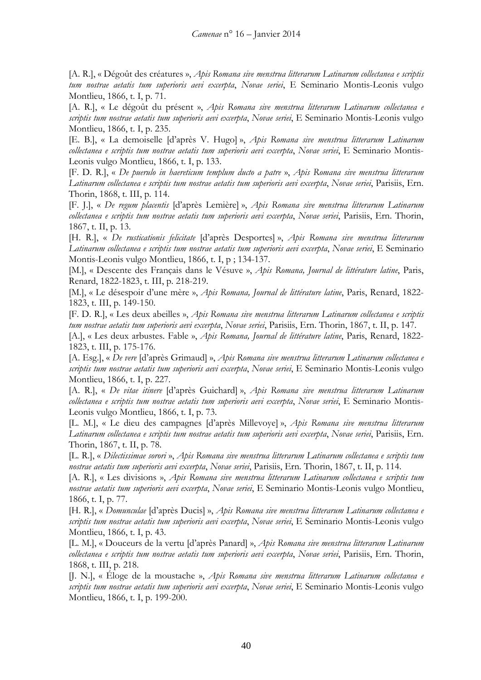[A. R.], « Dégoût des créatures », *Apis Romana sive menstrua litterarum Latinarum collectanea e scriptis tum nostrae aetatis tum superioris aevi excerpta*, *Novae seriei*, E Seminario Montis-Leonis vulgo Montlieu, 1866, t. I, p. 71.

[A. R.], « Le dégoût du présent », *Apis Romana sive menstrua litterarum Latinarum collectanea e scriptis tum nostrae aetatis tum superioris aevi excerpta*, *Novae seriei*, E Seminario Montis-Leonis vulgo Montlieu, 1866, t. I, p. 235.

[E. B.], « La demoiselle [d'après V. Hugo] », *Apis Romana sive menstrua litterarum Latinarum collectanea e scriptis tum nostrae aetatis tum superioris aevi excerpta*, *Novae seriei*, E Seminario Montis-Leonis vulgo Montlieu, 1866, t. I, p. 133.

[F. D. R.], « *De puerulo in haereticum templum ducto a patre* », *Apis Romana sive menstrua litterarum Latinarum collectanea e scriptis tum nostrae aetatis tum superioris aevi excerpta*, *Novae seriei*, Parisiis, Ern. Thorin, 1868, t. III, p. 114.

[F. J.], « *De regum placentis* [d'après Lemière] », *Apis Romana sive menstrua litterarum Latinarum collectanea e scriptis tum nostrae aetatis tum superioris aevi excerpta*, *Novae seriei*, Parisiis, Ern. Thorin, 1867, t. II, p. 13.

[H. R.], « *De rusticationis felicitate* [d'après Desportes] », *Apis Romana sive menstrua litterarum Latinarum collectanea e scriptis tum nostrae aetatis tum superioris aevi excerpta*, *Novae seriei*, E Seminario Montis-Leonis vulgo Montlieu, 1866, t. I, p ; 134-137.

[M.], « Descente des Français dans le Vésuve », *Apis Romana, Journal de littérature latine*, Paris, Renard, 1822-1823, t. III, p. 218-219.

[M.], « Le désespoir d'une mère », *Apis Romana, Journal de littérature latine*, Paris, Renard, 1822- 1823, t. III, p. 149-150.

[F. D. R.], « Les deux abeilles », *Apis Romana sive menstrua litterarum Latinarum collectanea e scriptis tum nostrae aetatis tum superioris aevi excerpta*, *Novae seriei*, Parisiis, Ern. Thorin, 1867, t. II, p. 147.

[A.], « Les deux arbustes. Fable », *Apis Romana, Journal de littérature latine*, Paris, Renard, 1822- 1823, t. III, p. 175-176.

[A. Esg.], « *De vere* [d'après Grimaud] », *Apis Romana sive menstrua litterarum Latinarum collectanea e scriptis tum nostrae aetatis tum superioris aevi excerpta*, *Novae seriei*, E Seminario Montis-Leonis vulgo Montlieu, 1866, t. I, p. 227.

[A. R.], « *De vitae itinere* [d'après Guichard] », *Apis Romana sive menstrua litterarum Latinarum collectanea e scriptis tum nostrae aetatis tum superioris aevi excerpta*, *Novae seriei*, E Seminario Montis-Leonis vulgo Montlieu, 1866, t. I, p. 73.

[L. M.], « Le dieu des campagnes [d'après Millevoye] », *Apis Romana sive menstrua litterarum Latinarum collectanea e scriptis tum nostrae aetatis tum superioris aevi excerpta*, *Novae seriei*, Parisiis, Ern. Thorin, 1867, t. II, p. 78.

[L. R.], « *Dilectissimae sorori* », *Apis Romana sive menstrua litterarum Latinarum collectanea e scriptis tum nostrae aetatis tum superioris aevi excerpta*, *Novae seriei*, Parisiis, Ern. Thorin, 1867, t. II, p. 114.

[A. R.], « Les divisions », *Apis Romana sive menstrua litterarum Latinarum collectanea e scriptis tum nostrae aetatis tum superioris aevi excerpta*, *Novae seriei*, E Seminario Montis-Leonis vulgo Montlieu, 1866, t. I, p. 77.

[H. R.], « *Domunculae* [d'après Ducis] », *Apis Romana sive menstrua litterarum Latinarum collectanea e scriptis tum nostrae aetatis tum superioris aevi excerpta*, *Novae seriei*, E Seminario Montis-Leonis vulgo Montlieu, 1866, t. I, p. 43.

[L. M.], « Douceurs de la vertu [d'après Panard] », *Apis Romana sive menstrua litterarum Latinarum collectanea e scriptis tum nostrae aetatis tum superioris aevi excerpta*, *Novae seriei*, Parisiis, Ern. Thorin, 1868, t. III, p. 218.

[J. N.], « Éloge de la moustache », *Apis Romana sive menstrua litterarum Latinarum collectanea e scriptis tum nostrae aetatis tum superioris aevi excerpta*, *Novae seriei*, E Seminario Montis-Leonis vulgo Montlieu, 1866, t. I, p. 199-200.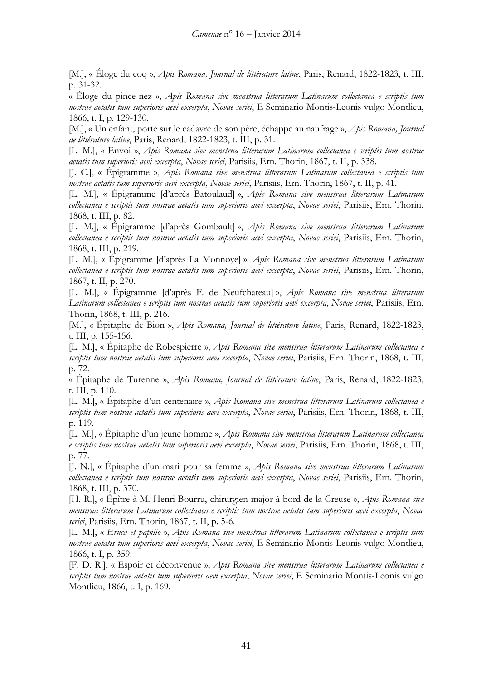[M.], « Éloge du coq », *Apis Romana, Journal de littérature latine*, Paris, Renard, 1822-1823, t. III, p. 31-32.

« Éloge du pince-nez », *Apis Romana sive menstrua litterarum Latinarum collectanea e scriptis tum nostrae aetatis tum superioris aevi excerpta*, *Novae seriei*, E Seminario Montis-Leonis vulgo Montlieu, 1866, t. I, p. 129-130.

[M.], « Un enfant, porté sur le cadavre de son père, échappe au naufrage », *Apis Romana, Journal de littérature latine*, Paris, Renard, 1822-1823, t. III, p. 31.

[L. M.], « Envoi », *Apis Romana sive menstrua litterarum Latinarum collectanea e scriptis tum nostrae aetatis tum superioris aevi excerpta*, *Novae seriei*, Parisiis, Ern. Thorin, 1867, t. II, p. 338.

[J. C.], « Épigramme », *Apis Romana sive menstrua litterarum Latinarum collectanea e scriptis tum nostrae aetatis tum superioris aevi excerpta*, *Novae seriei*, Parisiis, Ern. Thorin, 1867, t. II, p. 41.

[L. M.], « Épigramme [d'après Batoulaud] », *Apis Romana sive menstrua litterarum Latinarum collectanea e scriptis tum nostrae aetatis tum superioris aevi excerpta*, *Novae seriei*, Parisiis, Ern. Thorin, 1868, t. III, p. 82.

[L. M.], « Épigramme [d'après Gombault] », *Apis Romana sive menstrua litterarum Latinarum collectanea e scriptis tum nostrae aetatis tum superioris aevi excerpta*, *Novae seriei*, Parisiis, Ern. Thorin, 1868, t. III, p. 219.

[L. M.], « Épigramme [d'après La Monnoye] », *Apis Romana sive menstrua litterarum Latinarum collectanea e scriptis tum nostrae aetatis tum superioris aevi excerpta*, *Novae seriei*, Parisiis, Ern. Thorin, 1867, t. II, p. 270.

[L. M.], « Épigramme [d'après F. de Neufchateau] », *Apis Romana sive menstrua litterarum Latinarum collectanea e scriptis tum nostrae aetatis tum superioris aevi excerpta*, *Novae seriei*, Parisiis, Ern. Thorin, 1868, t. III, p. 216.

[M.], « Épitaphe de Bion », *Apis Romana, Journal de littérature latine*, Paris, Renard, 1822-1823, t. III, p. 155-156.

[L. M.], « Épitaphe de Robespierre », *Apis Romana sive menstrua litterarum Latinarum collectanea e scriptis tum nostrae aetatis tum superioris aevi excerpta*, *Novae seriei*, Parisiis, Ern. Thorin, 1868, t. III, p. 72.

« Épitaphe de Turenne », *Apis Romana, Journal de littérature latine*, Paris, Renard, 1822-1823, t. III, p. 110.

[L. M.], « Épitaphe d'un centenaire », *Apis Romana sive menstrua litterarum Latinarum collectanea e scriptis tum nostrae aetatis tum superioris aevi excerpta*, *Novae seriei*, Parisiis, Ern. Thorin, 1868, t. III, p. 119.

[L. M.], « Épitaphe d'un jeune homme », *Apis Romana sive menstrua litterarum Latinarum collectanea e scriptis tum nostrae aetatis tum superioris aevi excerpta*, *Novae seriei*, Parisiis, Ern. Thorin, 1868, t. III, p. 77.

[J. N.], « Épitaphe d'un mari pour sa femme », *Apis Romana sive menstrua litterarum Latinarum collectanea e scriptis tum nostrae aetatis tum superioris aevi excerpta*, *Novae seriei*, Parisiis, Ern. Thorin, 1868, t. III, p. 370.

[H. R.], « Épître à M. Henri Bourru, chirurgien-major à bord de la Creuse », *Apis Romana sive menstrua litterarum Latinarum collectanea e scriptis tum nostrae aetatis tum superioris aevi excerpta*, *Novae seriei*, Parisiis, Ern. Thorin, 1867, t. II, p. 5-6.

[L. M.], « *Eruca et papilio* », *Apis Romana sive menstrua litterarum Latinarum collectanea e scriptis tum nostrae aetatis tum superioris aevi excerpta*, *Novae seriei*, E Seminario Montis-Leonis vulgo Montlieu, 1866, t. I, p. 359.

[F. D. R.], « Espoir et déconvenue », *Apis Romana sive menstrua litterarum Latinarum collectanea e scriptis tum nostrae aetatis tum superioris aevi excerpta*, *Novae seriei*, E Seminario Montis-Leonis vulgo Montlieu, 1866, t. I, p. 169.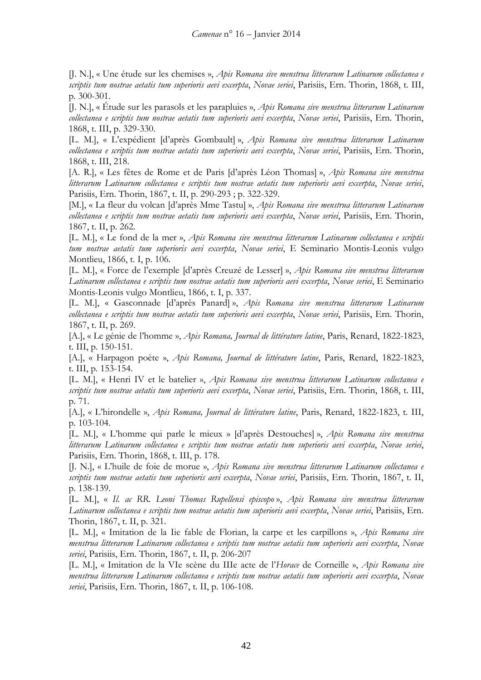[J. N.], « Une étude sur les chemises », *Apis Romana sive menstrua litterarum Latinarum collectanea e scriptis tum nostrae aetatis tum superioris aevi excerpta*, *Novae seriei*, Parisiis, Ern. Thorin, 1868, t. III, p. 300-301.

[J. N.], « Étude sur les parasols et les parapluies », *Apis Romana sive menstrua litterarum Latinarum collectanea e scriptis tum nostrae aetatis tum superioris aevi excerpta*, *Novae seriei*, Parisiis, Ern. Thorin, 1868, t. III, p. 329-330.

[L. M.], « L'expédient [d'après Gombault] », *Apis Romana sive menstrua litterarum Latinarum collectanea e scriptis tum nostrae aetatis tum superioris aevi excerpta*, *Novae seriei*, Parisiis, Ern. Thorin, 1868, t. III, 218.

[A. R.], « Les fêtes de Rome et de Paris [d'après Léon Thomas] », *Apis Romana sive menstrua litterarum Latinarum collectanea e scriptis tum nostrae aetatis tum superioris aevi excerpta*, *Novae seriei*, Parisiis, Ern. Thorin, 1867, t. II, p. 290-293 ; p. 322-329.

[M.], « La fleur du volcan [d'après Mme Tastu] », *Apis Romana sive menstrua litterarum Latinarum collectanea e scriptis tum nostrae aetatis tum superioris aevi excerpta*, *Novae seriei*, Parisiis, Ern. Thorin, 1867, t. II, p. 262.

[L. M.], « Le fond de la mer », *Apis Romana sive menstrua litterarum Latinarum collectanea e scriptis tum nostrae aetatis tum superioris aevi excerpta*, *Novae seriei*, E Seminario Montis-Leonis vulgo Montlieu, 1866, t. I, p. 106.

[L. M.], « Force de l'exemple [d'après Creuzé de Lesser] », *Apis Romana sive menstrua litterarum Latinarum collectanea e scriptis tum nostrae aetatis tum superioris aevi excerpta*, *Novae seriei*, E Seminario Montis-Leonis vulgo Montlieu, 1866, t. I, p. 337.

[L. M.], « Gasconnade [d'après Panard] », *Apis Romana sive menstrua litterarum Latinarum collectanea e scriptis tum nostrae aetatis tum superioris aevi excerpta*, *Novae seriei*, Parisiis, Ern. Thorin, 1867, t. II, p. 269.

[A.], « Le génie de l'homme », *Apis Romana, Journal de littérature latine*, Paris, Renard, 1822-1823, t. III, p. 150-151.

[A.], « Harpagon poète », *Apis Romana, Journal de littérature latine*, Paris, Renard, 1822-1823, t. III, p. 153-154.

[L. M.], « Henri IV et le batelier », *Apis Romana sive menstrua litterarum Latinarum collectanea e scriptis tum nostrae aetatis tum superioris aevi excerpta*, *Novae seriei*, Parisiis, Ern. Thorin, 1868, t. III, p. 71.

[A.], « L'hirondelle », *Apis Romana, Journal de littérature latine*, Paris, Renard, 1822-1823, t. III, p. 103-104.

[L. M.], « L'homme qui parle le mieux » [d'après Destouches] », *Apis Romana sive menstrua litterarum Latinarum collectanea e scriptis tum nostrae aetatis tum superioris aevi excerpta*, *Novae seriei*, Parisiis, Ern. Thorin, 1868, t. III, p. 178.

[J. N.], « L'huile de foie de morue », *Apis Romana sive menstrua litterarum Latinarum collectanea e scriptis tum nostrae aetatis tum superioris aevi excerpta*, *Novae seriei*, Parisiis, Ern. Thorin, 1867, t. II, p. 138-139.

[L. M.], « *Il. ac RR. Leoni Thomas Rupellensi episcopo* », *Apis Romana sive menstrua litterarum Latinarum collectanea e scriptis tum nostrae aetatis tum superioris aevi excerpta*, *Novae seriei*, Parisiis, Ern. Thorin, 1867, t. II, p. 321.

[L. M.], « Imitation de la Iie fable de Florian, la carpe et les carpillons », *Apis Romana sive menstrua litterarum Latinarum collectanea e scriptis tum nostrae aetatis tum superioris aevi excerpta*, *Novae seriei*, Parisiis, Ern. Thorin, 1867, t. II, p. 206-207

[L. M.], « Imitation de la VIe scène du IIIe acte de l'*Horace* de Corneille », *Apis Romana sive menstrua litterarum Latinarum collectanea e scriptis tum nostrae aetatis tum superioris aevi excerpta*, *Novae seriei*, Parisiis, Ern. Thorin, 1867, t. II, p. 106-108.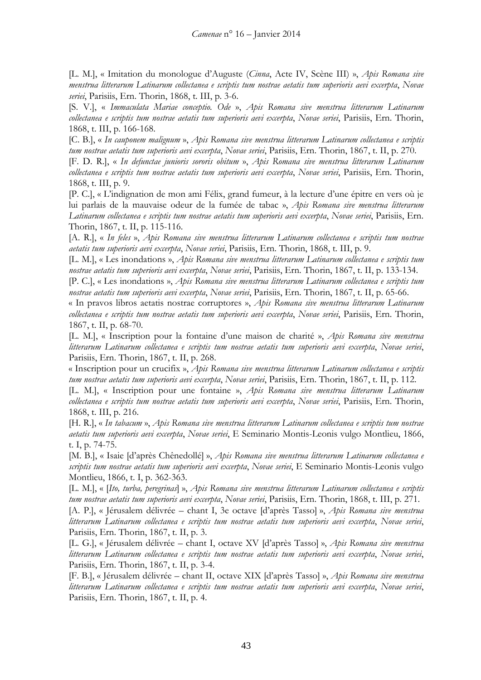[L. M.], « Imitation du monologue d'Auguste (*Cinna*, Acte IV, Scène III) », *Apis Romana sive menstrua litterarum Latinarum collectanea e scriptis tum nostrae aetatis tum superioris aevi excerpta*, *Novae seriei*, Parisiis, Ern. Thorin, 1868, t. III, p. 3-6.

[S. V.], « *Immaculata Mariae conceptio. Ode* », *Apis Romana sive menstrua litterarum Latinarum collectanea e scriptis tum nostrae aetatis tum superioris aevi excerpta*, *Novae seriei*, Parisiis, Ern. Thorin, 1868, t. III, p. 166-168.

[C. B.], « *In cauponem malignum* », *Apis Romana sive menstrua litterarum Latinarum collectanea e scriptis tum nostrae aetatis tum superioris aevi excerpta*, *Novae seriei*, Parisiis, Ern. Thorin, 1867, t. II, p. 270.

[F. D. R.], « *In defunctae junioris sororis obitum* », *Apis Romana sive menstrua litterarum Latinarum collectanea e scriptis tum nostrae aetatis tum superioris aevi excerpta*, *Novae seriei*, Parisiis, Ern. Thorin, 1868, t. III, p. 9.

[P. C.], « L'indignation de mon ami Félix, grand fumeur, à la lecture d'une épitre en vers où je lui parlais de la mauvaise odeur de la fumée de tabac », *Apis Romana sive menstrua litterarum Latinarum collectanea e scriptis tum nostrae aetatis tum superioris aevi excerpta*, *Novae seriei*, Parisiis, Ern. Thorin, 1867, t. II, p. 115-116.

[A. R.], « *In feles* », *Apis Romana sive menstrua litterarum Latinarum collectanea e scriptis tum nostrae aetatis tum superioris aevi excerpta*, *Novae seriei*, Parisiis, Ern. Thorin, 1868, t. III, p. 9.

[L. M.], « Les inondations », *Apis Romana sive menstrua litterarum Latinarum collectanea e scriptis tum nostrae aetatis tum superioris aevi excerpta*, *Novae seriei*, Parisiis, Ern. Thorin, 1867, t. II, p. 133-134.

[P. C.], « Les inondations », *Apis Romana sive menstrua litterarum Latinarum collectanea e scriptis tum nostrae aetatis tum superioris aevi excerpta*, *Novae seriei*, Parisiis, Ern. Thorin, 1867, t. II, p. 65-66.

« In pravos libros aetatis nostrae corruptores », *Apis Romana sive menstrua litterarum Latinarum collectanea e scriptis tum nostrae aetatis tum superioris aevi excerpta*, *Novae seriei*, Parisiis, Ern. Thorin, 1867, t. II, p. 68-70.

[L. M.], « Inscription pour la fontaine d'une maison de charité », *Apis Romana sive menstrua litterarum Latinarum collectanea e scriptis tum nostrae aetatis tum superioris aevi excerpta*, *Novae seriei*, Parisiis, Ern. Thorin, 1867, t. II, p. 268.

« Inscription pour un crucifix », *Apis Romana sive menstrua litterarum Latinarum collectanea e scriptis tum nostrae aetatis tum superioris aevi excerpta*, *Novae seriei*, Parisiis, Ern. Thorin, 1867, t. II, p. 112.

[L. M.], « Inscription pour une fontaine », *Apis Romana sive menstrua litterarum Latinarum collectanea e scriptis tum nostrae aetatis tum superioris aevi excerpta*, *Novae seriei*, Parisiis, Ern. Thorin, 1868, t. III, p. 216.

[H. R.], « *In tabacum* », *Apis Romana sive menstrua litterarum Latinarum collectanea e scriptis tum nostrae aetatis tum superioris aevi excerpta*, *Novae seriei*, E Seminario Montis-Leonis vulgo Montlieu, 1866, t. I, p. 74-75.

[M. B.], « Isaie [d'après Chênedollé] », *Apis Romana sive menstrua litterarum Latinarum collectanea e scriptis tum nostrae aetatis tum superioris aevi excerpta*, *Novae seriei*, E Seminario Montis-Leonis vulgo Montlieu, 1866, t. I, p. 362-363.

[L. M.], « [*Ito, turba, peregrinas*] », *Apis Romana sive menstrua litterarum Latinarum collectanea e scriptis tum nostrae aetatis tum superioris aevi excerpta*, *Novae seriei*, Parisiis, Ern. Thorin, 1868, t. III, p. 271.

[A. P.], « Jérusalem délivrée – chant I, 3e octave [d'après Tasso] », *Apis Romana sive menstrua litterarum Latinarum collectanea e scriptis tum nostrae aetatis tum superioris aevi excerpta*, *Novae seriei*, Parisiis, Ern. Thorin, 1867, t. II, p. 3.

[L. G.], « Jérusalem délivrée – chant I, octave XV [d'après Tasso] », *Apis Romana sive menstrua litterarum Latinarum collectanea e scriptis tum nostrae aetatis tum superioris aevi excerpta*, *Novae seriei*, Parisiis, Ern. Thorin, 1867, t. II, p. 3-4.

[F. B.], « Jérusalem délivrée – chant II, octave XIX [d'après Tasso] », *Apis Romana sive menstrua litterarum Latinarum collectanea e scriptis tum nostrae aetatis tum superioris aevi excerpta*, *Novae seriei*, Parisiis, Ern. Thorin, 1867, t. II, p. 4.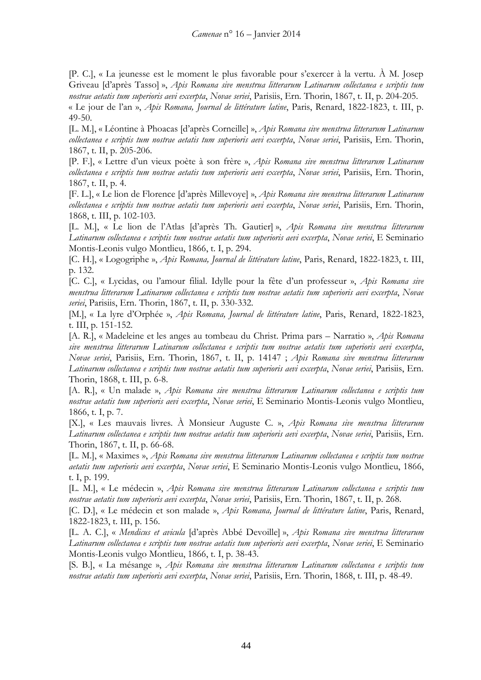[P. C.], « La jeunesse est le moment le plus favorable pour s'exercer à la vertu. À M. Josep Griveau [d'après Tasso] », *Apis Romana sive menstrua litterarum Latinarum collectanea e scriptis tum nostrae aetatis tum superioris aevi excerpta*, *Novae seriei*, Parisiis, Ern. Thorin, 1867, t. II, p. 204-205. « Le jour de l'an », *Apis Romana, Journal de littérature latine*, Paris, Renard, 1822-1823, t. III, p.

49-50.

[L. M.], « Léontine à Phoacas [d'après Corneille] », *Apis Romana sive menstrua litterarum Latinarum collectanea e scriptis tum nostrae aetatis tum superioris aevi excerpta*, *Novae seriei*, Parisiis, Ern. Thorin, 1867, t. II, p. 205-206.

[P. F.], « Lettre d'un vieux poète à son frère », *Apis Romana sive menstrua litterarum Latinarum collectanea e scriptis tum nostrae aetatis tum superioris aevi excerpta*, *Novae seriei*, Parisiis, Ern. Thorin, 1867, t. II, p. 4.

[F. L.], « Le lion de Florence [d'après Millevoye] », *Apis Romana sive menstrua litterarum Latinarum collectanea e scriptis tum nostrae aetatis tum superioris aevi excerpta*, *Novae seriei*, Parisiis, Ern. Thorin, 1868, t. III, p. 102-103.

[L. M.], « Le lion de l'Atlas [d'après Th. Gautier] », *Apis Romana sive menstrua litterarum Latinarum collectanea e scriptis tum nostrae aetatis tum superioris aevi excerpta*, *Novae seriei*, E Seminario Montis-Leonis vulgo Montlieu, 1866, t. I, p. 294.

[C. H.], « Logogriphe », *Apis Romana, Journal de littérature latine*, Paris, Renard, 1822-1823, t. III, p. 132.

[C. C.], « Lycidas, ou l'amour filial. Idylle pour la fête d'un professeur », *Apis Romana sive menstrua litterarum Latinarum collectanea e scriptis tum nostrae aetatis tum superioris aevi excerpta*, *Novae seriei*, Parisiis, Ern. Thorin, 1867, t. II, p. 330-332.

[M.], « La lyre d'Orphée », *Apis Romana, Journal de littérature latine*, Paris, Renard, 1822-1823, t. III, p. 151-152.

[A. R.], « Madeleine et les anges au tombeau du Christ. Prima pars – Narratio », *Apis Romana sive menstrua litterarum Latinarum collectanea e scriptis tum nostrae aetatis tum superioris aevi excerpta*, *Novae seriei*, Parisiis, Ern. Thorin, 1867, t. II, p. 14147 ; *Apis Romana sive menstrua litterarum Latinarum collectanea e scriptis tum nostrae aetatis tum superioris aevi excerpta*, *Novae seriei*, Parisiis, Ern. Thorin, 1868, t. III, p. 6-8.

[A. R.], « Un malade », *Apis Romana sive menstrua litterarum Latinarum collectanea e scriptis tum nostrae aetatis tum superioris aevi excerpta*, *Novae seriei*, E Seminario Montis-Leonis vulgo Montlieu, 1866, t. I, p. 7.

[X.], « Les mauvais livres. À Monsieur Auguste C. », *Apis Romana sive menstrua litterarum Latinarum collectanea e scriptis tum nostrae aetatis tum superioris aevi excerpta*, *Novae seriei*, Parisiis, Ern. Thorin, 1867, t. II, p. 66-68.

[L. M.], « Maximes », *Apis Romana sive menstrua litterarum Latinarum collectanea e scriptis tum nostrae aetatis tum superioris aevi excerpta*, *Novae seriei*, E Seminario Montis-Leonis vulgo Montlieu, 1866, t. I, p. 199.

[L. M.], « Le médecin », *Apis Romana sive menstrua litterarum Latinarum collectanea e scriptis tum nostrae aetatis tum superioris aevi excerpta*, *Novae seriei*, Parisiis, Ern. Thorin, 1867, t. II, p. 268.

[C. D.], « Le médecin et son malade », *Apis Romana, Journal de littérature latine*, Paris, Renard, 1822-1823, t. III, p. 156.

[L. A. C.], « *Mendicus et avicula* [d'après Abbé Devoille] », *Apis Romana sive menstrua litterarum Latinarum collectanea e scriptis tum nostrae aetatis tum superioris aevi excerpta*, *Novae seriei*, E Seminario Montis-Leonis vulgo Montlieu, 1866, t. I, p. 38-43.

[S. B.], « La mésange », *Apis Romana sive menstrua litterarum Latinarum collectanea e scriptis tum nostrae aetatis tum superioris aevi excerpta*, *Novae seriei*, Parisiis, Ern. Thorin, 1868, t. III, p. 48-49.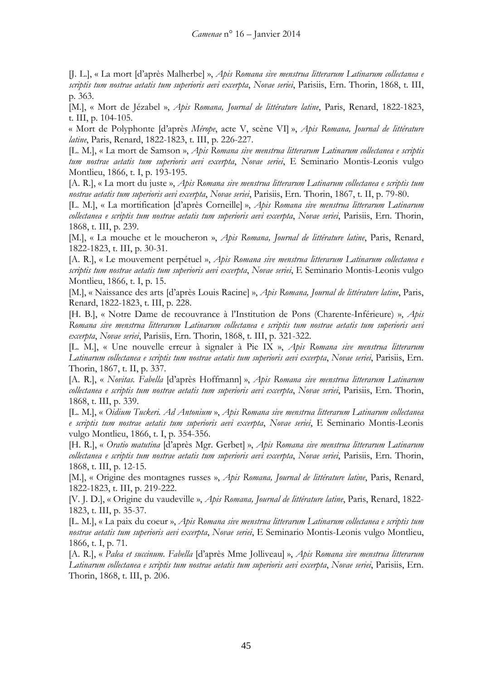[J. L.], « La mort [d'après Malherbe] », *Apis Romana sive menstrua litterarum Latinarum collectanea e scriptis tum nostrae aetatis tum superioris aevi excerpta*, *Novae seriei*, Parisiis, Ern. Thorin, 1868, t. III, p. 363.

[M.], « Mort de Jézabel », *Apis Romana, Journal de littérature latine*, Paris, Renard, 1822-1823, t. III, p. 104-105.

« Mort de Polyphonte [d'après *Mérope*, acte V, scène VI] », *Apis Romana, Journal de littérature latine*, Paris, Renard, 1822-1823, t. III, p. 226-227.

[L. M.], « La mort de Samson », *Apis Romana sive menstrua litterarum Latinarum collectanea e scriptis tum nostrae aetatis tum superioris aevi excerpta*, *Novae seriei*, E Seminario Montis-Leonis vulgo Montlieu, 1866, t. I, p. 193-195.

[A. R.], « La mort du juste », *Apis Romana sive menstrua litterarum Latinarum collectanea e scriptis tum nostrae aetatis tum superioris aevi excerpta*, *Novae seriei*, Parisiis, Ern. Thorin, 1867, t. II, p. 79-80.

[L. M.], « La mortification [d'après Corneille] », *Apis Romana sive menstrua litterarum Latinarum collectanea e scriptis tum nostrae aetatis tum superioris aevi excerpta*, *Novae seriei*, Parisiis, Ern. Thorin, 1868, t. III, p. 239.

[M.], « La mouche et le moucheron », *Apis Romana, Journal de littérature latine*, Paris, Renard, 1822-1823, t. III, p. 30-31.

[A. R.], « Le mouvement perpétuel », *Apis Romana sive menstrua litterarum Latinarum collectanea e scriptis tum nostrae aetatis tum superioris aevi excerpta*, *Novae seriei*, E Seminario Montis-Leonis vulgo Montlieu, 1866, t. I, p. 15.

[M.], « Naissance des arts [d'après Louis Racine] », *Apis Romana, Journal de littérature latine*, Paris, Renard, 1822-1823, t. III, p. 228.

[H. B.], « Notre Dame de recouvrance à l'Institution de Pons (Charente-Inférieure) », *Apis Romana sive menstrua litterarum Latinarum collectanea e scriptis tum nostrae aetatis tum superioris aevi excerpta*, *Novae seriei*, Parisiis, Ern. Thorin, 1868, t. III, p. 321-322.

[L. M.], « Une nouvelle erreur à signaler à Pie IX », *Apis Romana sive menstrua litterarum Latinarum collectanea e scriptis tum nostrae aetatis tum superioris aevi excerpta*, *Novae seriei*, Parisiis, Ern. Thorin, 1867, t. II, p. 337.

[A. R.], « *Novitas. Fabella* [d'après Hoffmann] », *Apis Romana sive menstrua litterarum Latinarum collectanea e scriptis tum nostrae aetatis tum superioris aevi excerpta*, *Novae seriei*, Parisiis, Ern. Thorin, 1868, t. III, p. 339.

[L. M.], « *Oidium Tuckeri. Ad Antonium* », *Apis Romana sive menstrua litterarum Latinarum collectanea e scriptis tum nostrae aetatis tum superioris aevi excerpta*, *Novae seriei*, E Seminario Montis-Leonis vulgo Montlieu, 1866, t. I, p. 354-356.

[H. R.], « *Oratio matutina* [d'après Mgr. Gerbet] », *Apis Romana sive menstrua litterarum Latinarum collectanea e scriptis tum nostrae aetatis tum superioris aevi excerpta*, *Novae seriei*, Parisiis, Ern. Thorin, 1868, t. III, p. 12-15.

[M.], « Origine des montagnes russes », *Apis Romana, Journal de littérature latine*, Paris, Renard, 1822-1823, t. III, p. 219-222.

[V. J. D.], « Origine du vaudeville », *Apis Romana, Journal de littérature latine*, Paris, Renard, 1822- 1823, t. III, p. 35-37.

[L. M.], « La paix du coeur », *Apis Romana sive menstrua litterarum Latinarum collectanea e scriptis tum nostrae aetatis tum superioris aevi excerpta*, *Novae seriei*, E Seminario Montis-Leonis vulgo Montlieu, 1866, t. I, p. 71.

[A. R.], « *Palea et succinum. Fabella* [d'après Mme Jolliveau] », *Apis Romana sive menstrua litterarum Latinarum collectanea e scriptis tum nostrae aetatis tum superioris aevi excerpta*, *Novae seriei*, Parisiis, Ern. Thorin, 1868, t. III, p. 206.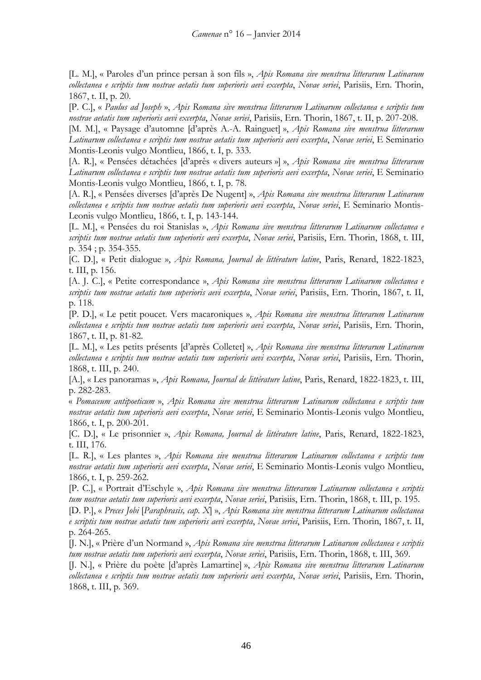[L. M.], « Paroles d'un prince persan à son fils », *Apis Romana sive menstrua litterarum Latinarum collectanea e scriptis tum nostrae aetatis tum superioris aevi excerpta*, *Novae seriei*, Parisiis, Ern. Thorin, 1867, t. II, p. 20.

[P. C.], « *Paulus ad Joseph* », *Apis Romana sive menstrua litterarum Latinarum collectanea e scriptis tum nostrae aetatis tum superioris aevi excerpta*, *Novae seriei*, Parisiis, Ern. Thorin, 1867, t. II, p. 207-208.

[M. M.], « Paysage d'automne [d'après A.-A. Rainguet] », *Apis Romana sive menstrua litterarum Latinarum collectanea e scriptis tum nostrae aetatis tum superioris aevi excerpta*, *Novae seriei*, E Seminario Montis-Leonis vulgo Montlieu, 1866, t. I, p. 333.

[A. R.], « Pensées détachées [d'après « divers auteurs »] », *Apis Romana sive menstrua litterarum Latinarum collectanea e scriptis tum nostrae aetatis tum superioris aevi excerpta*, *Novae seriei*, E Seminario Montis-Leonis vulgo Montlieu, 1866, t. I, p. 78.

[A. R.], « Pensées diverses [d'après De Nugent] », *Apis Romana sive menstrua litterarum Latinarum collectanea e scriptis tum nostrae aetatis tum superioris aevi excerpta*, *Novae seriei*, E Seminario Montis-Leonis vulgo Montlieu, 1866, t. I, p. 143-144.

[L. M.], « Pensées du roi Stanislas », *Apis Romana sive menstrua litterarum Latinarum collectanea e scriptis tum nostrae aetatis tum superioris aevi excerpta*, *Novae seriei*, Parisiis, Ern. Thorin, 1868, t. III, p. 354 ; p. 354-355.

[C. D.], « Petit dialogue », *Apis Romana, Journal de littérature latine*, Paris, Renard, 1822-1823, t. III, p. 156.

[A. J. C.], « Petite correspondance », *Apis Romana sive menstrua litterarum Latinarum collectanea e scriptis tum nostrae aetatis tum superioris aevi excerpta*, *Novae seriei*, Parisiis, Ern. Thorin, 1867, t. II, p. 118.

[P. D.], « Le petit poucet. Vers macaroniques », *Apis Romana sive menstrua litterarum Latinarum collectanea e scriptis tum nostrae aetatis tum superioris aevi excerpta*, *Novae seriei*, Parisiis, Ern. Thorin, 1867, t. II, p. 81-82.

[L. M.], « Les petits présents [d'après Colletet] », *Apis Romana sive menstrua litterarum Latinarum collectanea e scriptis tum nostrae aetatis tum superioris aevi excerpta*, *Novae seriei*, Parisiis, Ern. Thorin, 1868, t. III, p. 240.

[A.], « Les panoramas », *Apis Romana, Journal de littérature latine*, Paris, Renard, 1822-1823, t. III, p. 282-283.

« *Pomaceum antipoeticum* », *Apis Romana sive menstrua litterarum Latinarum collectanea e scriptis tum nostrae aetatis tum superioris aevi excerpta*, *Novae seriei*, E Seminario Montis-Leonis vulgo Montlieu, 1866, t. I, p. 200-201.

[C. D.], « Le prisonnier », *Apis Romana, Journal de littérature latine*, Paris, Renard, 1822-1823, t. III, 176.

[L. R.], « Les plantes », *Apis Romana sive menstrua litterarum Latinarum collectanea e scriptis tum nostrae aetatis tum superioris aevi excerpta*, *Novae seriei*, E Seminario Montis-Leonis vulgo Montlieu, 1866, t. I, p. 259-262.

[P. C.], « Portrait d'Eschyle », *Apis Romana sive menstrua litterarum Latinarum collectanea e scriptis tum nostrae aetatis tum superioris aevi excerpta*, *Novae seriei*, Parisiis, Ern. Thorin, 1868, t. III, p. 195.

[D. P.], « *Preces Jobi* [*Paraphrasis, cap. X*] », *Apis Romana sive menstrua litterarum Latinarum collectanea e scriptis tum nostrae aetatis tum superioris aevi excerpta*, *Novae seriei*, Parisiis, Ern. Thorin, 1867, t. II, p. 264-265.

[J. N.], « Prière d'un Normand », *Apis Romana sive menstrua litterarum Latinarum collectanea e scriptis tum nostrae aetatis tum superioris aevi excerpta*, *Novae seriei*, Parisiis, Ern. Thorin, 1868, t. III, 369.

[J. N.], « Prière du poète [d'après Lamartine] », *Apis Romana sive menstrua litterarum Latinarum collectanea e scriptis tum nostrae aetatis tum superioris aevi excerpta*, *Novae seriei*, Parisiis, Ern. Thorin, 1868, t. III, p. 369.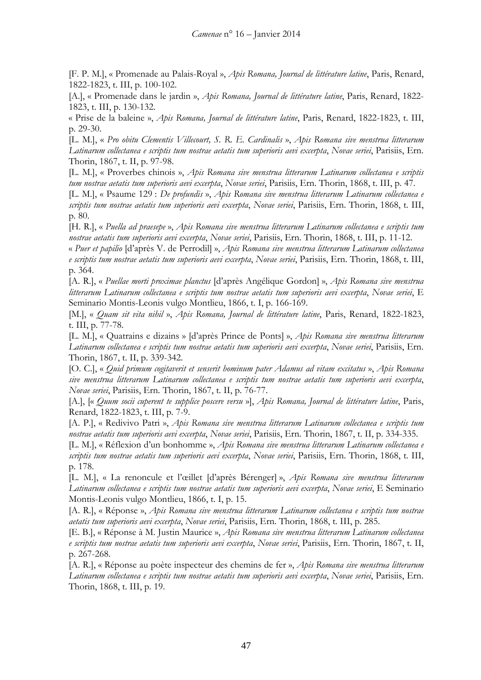[F. P. M.], « Promenade au Palais-Royal », *Apis Romana, Journal de littérature latine*, Paris, Renard, 1822-1823, t. III, p. 100-102.

[A.], « Promenade dans le jardin », *Apis Romana, Journal de littérature latine*, Paris, Renard, 1822- 1823, t. III, p. 130-132.

« Prise de la baleine », *Apis Romana, Journal de littérature latine*, Paris, Renard, 1822-1823, t. III, p. 29-30.

[L. M.], « *Pro obitu Clementis Villecourt, S. R. E. Cardinalis* », *Apis Romana sive menstrua litterarum Latinarum collectanea e scriptis tum nostrae aetatis tum superioris aevi excerpta*, *Novae seriei*, Parisiis, Ern. Thorin, 1867, t. II, p. 97-98.

[L. M.], « Proverbes chinois », *Apis Romana sive menstrua litterarum Latinarum collectanea e scriptis tum nostrae aetatis tum superioris aevi excerpta*, *Novae seriei*, Parisiis, Ern. Thorin, 1868, t. III, p. 47.

[L. M.], « Psaume 129 : *De profundis* », *Apis Romana sive menstrua litterarum Latinarum collectanea e scriptis tum nostrae aetatis tum superioris aevi excerpta*, *Novae seriei*, Parisiis, Ern. Thorin, 1868, t. III, p. 80.

[H. R.], « *Puella ad praesepe* », *Apis Romana sive menstrua litterarum Latinarum collectanea e scriptis tum nostrae aetatis tum superioris aevi excerpta*, *Novae seriei*, Parisiis, Ern. Thorin, 1868, t. III, p. 11-12.

« *Puer et papilio* [d'après V. de Perrodil] », *Apis Romana sive menstrua litterarum Latinarum collectanea e scriptis tum nostrae aetatis tum superioris aevi excerpta*, *Novae seriei*, Parisiis, Ern. Thorin, 1868, t. III, p. 364.

[A. R.], « *Puellae morti proximae planctus* [d'après Angélique Gordon] », *Apis Romana sive menstrua litterarum Latinarum collectanea e scriptis tum nostrae aetatis tum superioris aevi excerpta*, *Novae seriei*, E Seminario Montis-Leonis vulgo Montlieu, 1866, t. I, p. 166-169.

[M.], « *Quam sit vita nihil* », *Apis Romana, Journal de littérature latine*, Paris, Renard, 1822-1823, t. III, p. 77-78.

[L. M.], « Quatrains e dizains » [d'après Prince de Ponts] », *Apis Romana sive menstrua litterarum Latinarum collectanea e scriptis tum nostrae aetatis tum superioris aevi excerpta*, *Novae seriei*, Parisiis, Ern. Thorin, 1867, t. II, p. 339-342.

[O. C.], « *Quid primum cogitaverit et senserit hominum pater Adamus ad vitam excitatus* », *Apis Romana sive menstrua litterarum Latinarum collectanea e scriptis tum nostrae aetatis tum superioris aevi excerpta*, *Novae seriei*, Parisiis, Ern. Thorin, 1867, t. II, p. 76-77.

[A.], [« *Quum socii cuperent te supplice poscere versu* »], *Apis Romana, Journal de littérature latine*, Paris, Renard, 1822-1823, t. III, p. 7-9.

[A. P.], « Redivivo Patri », *Apis Romana sive menstrua litterarum Latinarum collectanea e scriptis tum nostrae aetatis tum superioris aevi excerpta*, *Novae seriei*, Parisiis, Ern. Thorin, 1867, t. II, p. 334-335.

[L. M.], « Réflexion d'un bonhomme », *Apis Romana sive menstrua litterarum Latinarum collectanea e scriptis tum nostrae aetatis tum superioris aevi excerpta*, *Novae seriei*, Parisiis, Ern. Thorin, 1868, t. III, p. 178.

[L. M.], « La renoncule et l'œillet [d'après Bérenger] », *Apis Romana sive menstrua litterarum Latinarum collectanea e scriptis tum nostrae aetatis tum superioris aevi excerpta*, *Novae seriei*, E Seminario Montis-Leonis vulgo Montlieu, 1866, t. I, p. 15.

[A. R.], « Réponse », *Apis Romana sive menstrua litterarum Latinarum collectanea e scriptis tum nostrae aetatis tum superioris aevi excerpta*, *Novae seriei*, Parisiis, Ern. Thorin, 1868, t. III, p. 285.

[E. B.], « Réponse à M. Justin Maurice », *Apis Romana sive menstrua litterarum Latinarum collectanea e scriptis tum nostrae aetatis tum superioris aevi excerpta*, *Novae seriei*, Parisiis, Ern. Thorin, 1867, t. II, p. 267-268.

[A. R.], « Réponse au poète inspecteur des chemins de fer », *Apis Romana sive menstrua litterarum Latinarum collectanea e scriptis tum nostrae aetatis tum superioris aevi excerpta*, *Novae seriei*, Parisiis, Ern. Thorin, 1868, t. III, p. 19.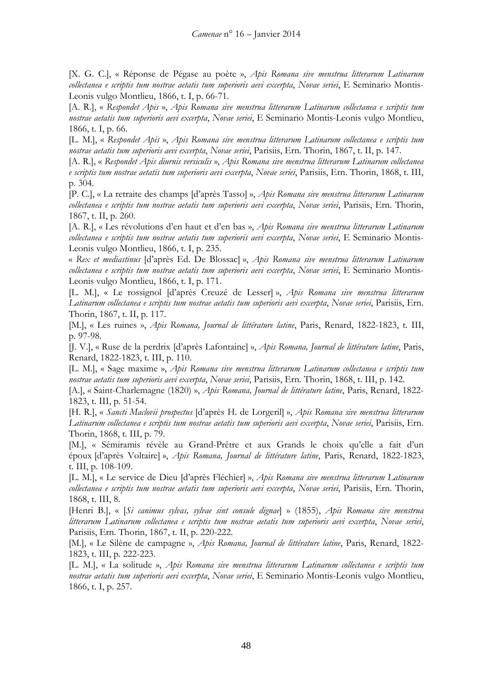[X. G. C.], « Réponse de Pégase au poète », *Apis Romana sive menstrua litterarum Latinarum collectanea e scriptis tum nostrae aetatis tum superioris aevi excerpta*, *Novae seriei*, E Seminario Montis-Leonis vulgo Montlieu, 1866, t. I, p. 66-71.

[A. R.], « *Respondet Apis* », *Apis Romana sive menstrua litterarum Latinarum collectanea e scriptis tum nostrae aetatis tum superioris aevi excerpta*, *Novae seriei*, E Seminario Montis-Leonis vulgo Montlieu, 1866, t. I, p. 66.

[L. M.], « *Respondet Apis* », *Apis Romana sive menstrua litterarum Latinarum collectanea e scriptis tum nostrae aetatis tum superioris aevi excerpta*, *Novae seriei*, Parisiis, Ern. Thorin, 1867, t. II, p. 147.

[A. R.], « *Respondet Apis diurnis versiculis* », *Apis Romana sive menstrua litterarum Latinarum collectanea e scriptis tum nostrae aetatis tum superioris aevi excerpta*, *Novae seriei*, Parisiis, Ern. Thorin, 1868, t. III, p. 304.

[P. C.], « La retraite des champs [d'après Tasso] », *Apis Romana sive menstrua litterarum Latinarum collectanea e scriptis tum nostrae aetatis tum superioris aevi excerpta*, *Novae seriei*, Parisiis, Ern. Thorin, 1867, t. II, p. 260.

[A. R.], « Les révolutions d'en haut et d'en bas », *Apis Romana sive menstrua litterarum Latinarum collectanea e scriptis tum nostrae aetatis tum superioris aevi excerpta*, *Novae seriei*, E Seminario Montis-Leonis vulgo Montlieu, 1866, t. I, p. 235.

« *Rex et mediastinus* [d'après Ed. De Blossac] », *Apis Romana sive menstrua litterarum Latinarum collectanea e scriptis tum nostrae aetatis tum superioris aevi excerpta*, *Novae seriei*, E Seminario Montis-Leonis vulgo Montlieu, 1866, t. I, p. 171.

[L. M.], « Le rossignol [d'après Creuzé de Lesser] », *Apis Romana sive menstrua litterarum Latinarum collectanea e scriptis tum nostrae aetatis tum superioris aevi excerpta*, *Novae seriei*, Parisiis, Ern. Thorin, 1867, t. II, p. 117.

[M.], « Les ruines », *Apis Romana, Journal de littérature latine*, Paris, Renard, 1822-1823, t. III, p. 97-98.

[J. V.], « Ruse de la perdrix [d'après Lafontaine] », *Apis Romana, Journal de littérature latine*, Paris, Renard, 1822-1823, t. III, p. 110.

[L. M.], « Sage maxime », *Apis Romana sive menstrua litterarum Latinarum collectanea e scriptis tum nostrae aetatis tum superioris aevi excerpta*, *Novae seriei*, Parisiis, Ern. Thorin, 1868, t. III, p. 142.

[A.], « Saint-Charlemagne (1820) », *Apis Romana, Journal de littérature latine*, Paris, Renard, 1822- 1823, t. III, p. 51-54.

[H. R.], « *Sancti Maclovii prospectus* [d'après H. de Lorgeril] », *Apis Romana sive menstrua litterarum Latinarum collectanea e scriptis tum nostrae aetatis tum superioris aevi excerpta*, *Novae seriei*, Parisiis, Ern. Thorin, 1868, t. III, p. 79.

[M.], « Sémiramis révèle au Grand-Prêtre et aux Grands le choix qu'elle a fait d'un époux [d'après Voltaire] », *Apis Romana, Journal de littérature latine*, Paris, Renard, 1822-1823, t. III, p. 108-109.

[L. M.], « Le service de Dieu [d'après Fléchier] », *Apis Romana sive menstrua litterarum Latinarum collectanea e scriptis tum nostrae aetatis tum superioris aevi excerpta*, *Novae seriei*, Parisiis, Ern. Thorin, 1868, t. III, 8.

[Henri B.], « [*Si canimus sylvas, sylvae sint consule dignae*] » (1855), *Apis Romana sive menstrua litterarum Latinarum collectanea e scriptis tum nostrae aetatis tum superioris aevi excerpta*, *Novae seriei*, Parisiis, Ern. Thorin, 1867, t. II, p. 220-222.

[M.], « Le Silène de campagne », *Apis Romana, Journal de littérature latine*, Paris, Renard, 1822- 1823, t. III, p. 222-223.

[L. M.], « La solitude », *Apis Romana sive menstrua litterarum Latinarum collectanea e scriptis tum nostrae aetatis tum superioris aevi excerpta*, *Novae seriei*, E Seminario Montis-Leonis vulgo Montlieu, 1866, t. I, p. 257.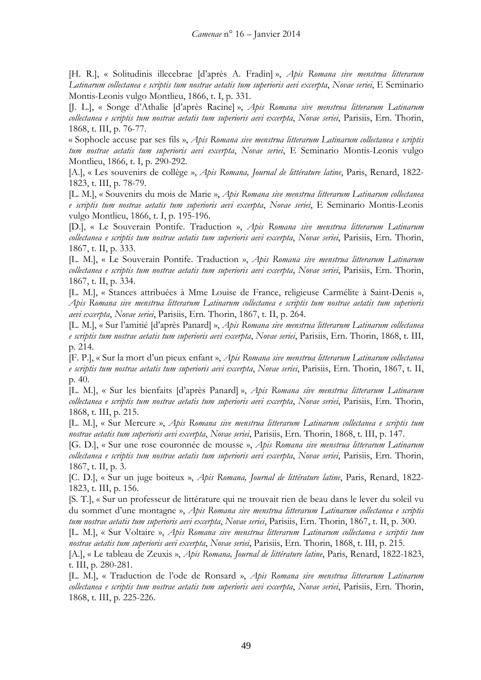[H. R.], « Solitudinis illecebrae [d'après A. Fradin] », *Apis Romana sive menstrua litterarum Latinarum collectanea e scriptis tum nostrae aetatis tum superioris aevi excerpta*, *Novae seriei*, E Seminario Montis-Leonis vulgo Montlieu, 1866, t. I, p. 331.

[J. L.], « Songe d'Athalie [d'après Racine] », *Apis Romana sive menstrua litterarum Latinarum collectanea e scriptis tum nostrae aetatis tum superioris aevi excerpta*, *Novae seriei*, Parisiis, Ern. Thorin, 1868, t. III, p. 76-77.

« Sophocle accuse par ses fils », *Apis Romana sive menstrua litterarum Latinarum collectanea e scriptis tum nostrae aetatis tum superioris aevi excerpta*, *Novae seriei*, E Seminario Montis-Leonis vulgo Montlieu, 1866, t. I, p. 290-292.

[A.], « Les souvenirs de collège », *Apis Romana, Journal de littérature latine*, Paris, Renard, 1822- 1823, t. III, p. 78-79.

[L. M.], « Souvenirs du mois de Marie », *Apis Romana sive menstrua litterarum Latinarum collectanea e scriptis tum nostrae aetatis tum superioris aevi excerpta*, *Novae seriei*, E Seminario Montis-Leonis vulgo Montlieu, 1866, t. I, p. 195-196.

[D.], « Le Souverain Pontife. Traduction », *Apis Romana sive menstrua litterarum Latinarum collectanea e scriptis tum nostrae aetatis tum superioris aevi excerpta*, *Novae seriei*, Parisiis, Ern. Thorin, 1867, t. II, p. 333.

[L. M.], « Le Souverain Pontife. Traduction », *Apis Romana sive menstrua litterarum Latinarum collectanea e scriptis tum nostrae aetatis tum superioris aevi excerpta*, *Novae seriei*, Parisiis, Ern. Thorin, 1867, t. II, p. 334.

[L. M.], « Stances attribuées à Mme Louise de France, religieuse Carmélite à Saint-Denis », *Apis Romana sive menstrua litterarum Latinarum collectanea e scriptis tum nostrae aetatis tum superioris aevi excerpta*, *Novae seriei*, Parisiis, Ern. Thorin, 1867, t. II, p. 264.

[L. M.], « Sur l'amitié [d'après Panard] », *Apis Romana sive menstrua litterarum Latinarum collectanea e scriptis tum nostrae aetatis tum superioris aevi excerpta*, *Novae seriei*, Parisiis, Ern. Thorin, 1868, t. III, p. 214.

[F. P.], « Sur la mort d'un pieux enfant », *Apis Romana sive menstrua litterarum Latinarum collectanea e scriptis tum nostrae aetatis tum superioris aevi excerpta*, *Novae seriei*, Parisiis, Ern. Thorin, 1867, t. II, p. 40.

[L. M.], « Sur les bienfaits [d'après Panard] », *Apis Romana sive menstrua litterarum Latinarum collectanea e scriptis tum nostrae aetatis tum superioris aevi excerpta*, *Novae seriei*, Parisiis, Ern. Thorin, 1868, t. III, p. 215.

[L. M.], « Sur Mercure », *Apis Romana sive menstrua litterarum Latinarum collectanea e scriptis tum nostrae aetatis tum superioris aevi excerpta*, *Novae seriei*, Parisiis, Ern. Thorin, 1868, t. III, p. 147.

[G. D.], « Sur une rose couronnée de mousse », *Apis Romana sive menstrua litterarum Latinarum collectanea e scriptis tum nostrae aetatis tum superioris aevi excerpta*, *Novae seriei*, Parisiis, Ern. Thorin, 1867, t. II, p. 3.

[C. D.], « Sur un juge boiteux », *Apis Romana, Journal de littérature latine*, Paris, Renard, 1822- 1823, t. III, p. 156.

[S. T.], « Sur un professeur de littérature qui ne trouvait rien de beau dans le lever du soleil vu du sommet d'une montagne », *Apis Romana sive menstrua litterarum Latinarum collectanea e scriptis tum nostrae aetatis tum superioris aevi excerpta*, *Novae seriei*, Parisiis, Ern. Thorin, 1867, t. II, p. 300.

[L. M.], « Sur Voltaire », *Apis Romana sive menstrua litterarum Latinarum collectanea e scriptis tum nostrae aetatis tum superioris aevi excerpta*, *Novae seriei*, Parisiis, Ern. Thorin, 1868, t. III, p. 215.

[A.], « Le tableau de Zeuxis », *Apis Romana, Journal de littérature latine*, Paris, Renard, 1822-1823, t. III, p. 280-281.

[L. M.], « Traduction de l'ode de Ronsard », *Apis Romana sive menstrua litterarum Latinarum collectanea e scriptis tum nostrae aetatis tum superioris aevi excerpta*, *Novae seriei*, Parisiis, Ern. Thorin, 1868, t. III, p. 225-226.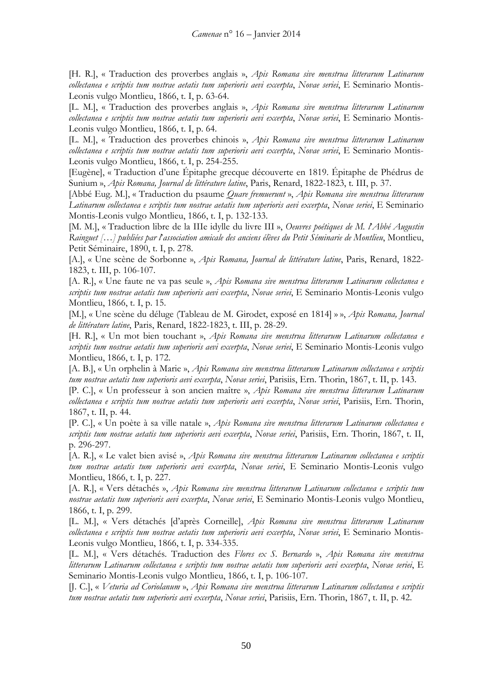[H. R.], « Traduction des proverbes anglais », *Apis Romana sive menstrua litterarum Latinarum collectanea e scriptis tum nostrae aetatis tum superioris aevi excerpta*, *Novae seriei*, E Seminario Montis-Leonis vulgo Montlieu, 1866, t. I, p. 63-64.

[L. M.], « Traduction des proverbes anglais », *Apis Romana sive menstrua litterarum Latinarum collectanea e scriptis tum nostrae aetatis tum superioris aevi excerpta*, *Novae seriei*, E Seminario Montis-Leonis vulgo Montlieu, 1866, t. I, p. 64.

[L. M.], « Traduction des proverbes chinois », *Apis Romana sive menstrua litterarum Latinarum collectanea e scriptis tum nostrae aetatis tum superioris aevi excerpta*, *Novae seriei*, E Seminario Montis-Leonis vulgo Montlieu, 1866, t. I, p. 254-255.

[Eugène], « Traduction d'une Épitaphe grecque découverte en 1819. Épitaphe de Phédrus de Sunium », *Apis Romana, Journal de littérature latine*, Paris, Renard, 1822-1823, t. III, p. 37.

[Abbé Eug. M.], « Traduction du psaume *Quare fremuerunt* », *Apis Romana sive menstrua litterarum Latinarum collectanea e scriptis tum nostrae aetatis tum superioris aevi excerpta*, *Novae seriei*, E Seminario Montis-Leonis vulgo Montlieu, 1866, t. I, p. 132-133.

[M. M.], « Traduction libre de la IIIe idylle du livre III », *Oeuvres poétiques de M. l*'*Abbé Augustin Rainguet […] publiées par l*'*association amicale des anciens élèves du Petit Séminarie de Montlieu*, Montlieu, Petit Séminaire, 1890, t. I, p. 278.

[A.], « Une scène de Sorbonne », *Apis Romana, Journal de littérature latine*, Paris, Renard, 1822- 1823, t. III, p. 106-107.

[A. R.], « Une faute ne va pas seule », *Apis Romana sive menstrua litterarum Latinarum collectanea e scriptis tum nostrae aetatis tum superioris aevi excerpta*, *Novae seriei*, E Seminario Montis-Leonis vulgo Montlieu, 1866, t. I, p. 15.

[M.], « Une scène du déluge (Tableau de M. Girodet, exposé en 1814] » », *Apis Romana, Journal de littérature latine*, Paris, Renard, 1822-1823, t. III, p. 28-29.

[H. R.], « Un mot bien touchant », *Apis Romana sive menstrua litterarum Latinarum collectanea e scriptis tum nostrae aetatis tum superioris aevi excerpta*, *Novae seriei*, E Seminario Montis-Leonis vulgo Montlieu, 1866, t. I, p. 172.

[A. B.], « Un orphelin à Marie », *Apis Romana sive menstrua litterarum Latinarum collectanea e scriptis tum nostrae aetatis tum superioris aevi excerpta*, *Novae seriei*, Parisiis, Ern. Thorin, 1867, t. II, p. 143.

[P. C.], « Un professeur à son ancien maître », *Apis Romana sive menstrua litterarum Latinarum collectanea e scriptis tum nostrae aetatis tum superioris aevi excerpta*, *Novae seriei*, Parisiis, Ern. Thorin, 1867, t. II, p. 44.

[P. C.], « Un poète à sa ville natale », *Apis Romana sive menstrua litterarum Latinarum collectanea e scriptis tum nostrae aetatis tum superioris aevi excerpta*, *Novae seriei*, Parisiis, Ern. Thorin, 1867, t. II, p. 296-297.

[A. R.], « Le valet bien avisé », *Apis Romana sive menstrua litterarum Latinarum collectanea e scriptis tum nostrae aetatis tum superioris aevi excerpta*, *Novae seriei*, E Seminario Montis-Leonis vulgo Montlieu, 1866, t. I, p. 227.

[A. R.], « Vers détachés », *Apis Romana sive menstrua litterarum Latinarum collectanea e scriptis tum nostrae aetatis tum superioris aevi excerpta*, *Novae seriei*, E Seminario Montis-Leonis vulgo Montlieu, 1866, t. I, p. 299.

[L. M.], « Vers détachés [d'après Corneille], *Apis Romana sive menstrua litterarum Latinarum collectanea e scriptis tum nostrae aetatis tum superioris aevi excerpta*, *Novae seriei*, E Seminario Montis-Leonis vulgo Montlieu, 1866, t. I, p. 334-335.

[L. M.], « Vers détachés. Traduction des *Flores ex S. Bernardo* », *Apis Romana sive menstrua litterarum Latinarum collectanea e scriptis tum nostrae aetatis tum superioris aevi excerpta*, *Novae seriei*, E Seminario Montis-Leonis vulgo Montlieu, 1866, t. I, p. 106-107.

[J. C.], « *Veturia ad Coriolanum* », *Apis Romana sive menstrua litterarum Latinarum collectanea e scriptis tum nostrae aetatis tum superioris aevi excerpta*, *Novae seriei*, Parisiis, Ern. Thorin, 1867, t. II, p. 42.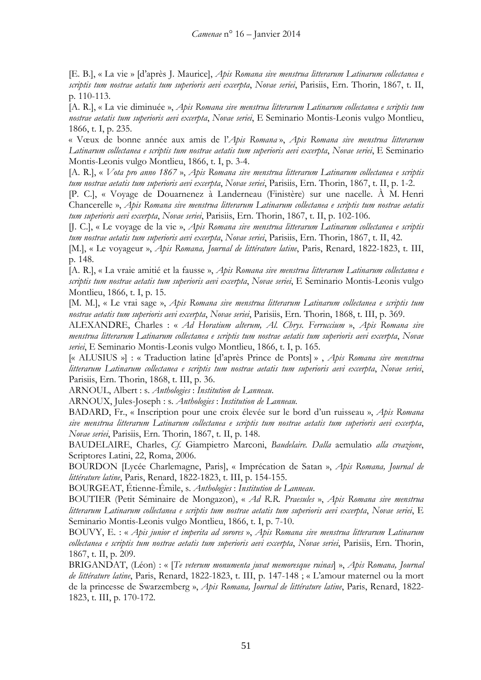[E. B.], « La vie » [d'après J. Maurice], *Apis Romana sive menstrua litterarum Latinarum collectanea e scriptis tum nostrae aetatis tum superioris aevi excerpta*, *Novae seriei*, Parisiis, Ern. Thorin, 1867, t. II, p. 110-113.

[A. R.], « La vie diminuée », *Apis Romana sive menstrua litterarum Latinarum collectanea e scriptis tum nostrae aetatis tum superioris aevi excerpta*, *Novae seriei*, E Seminario Montis-Leonis vulgo Montlieu, 1866, t. I, p. 235.

« Vœux de bonne année aux amis de l'*Apis Romana* », *Apis Romana sive menstrua litterarum Latinarum collectanea e scriptis tum nostrae aetatis tum superioris aevi excerpta*, *Novae seriei*, E Seminario Montis-Leonis vulgo Montlieu, 1866, t. I, p. 3-4.

[A. R.], « *Vota pro anno 1867* », *Apis Romana sive menstrua litterarum Latinarum collectanea e scriptis tum nostrae aetatis tum superioris aevi excerpta*, *Novae seriei*, Parisiis, Ern. Thorin, 1867, t. II, p. 1-2.

[P. C.], « Voyage de Douarnenez à Landerneau (Finistère) sur une nacelle. À M. Henri Chancerelle », *Apis Romana sive menstrua litterarum Latinarum collectanea e scriptis tum nostrae aetatis tum superioris aevi excerpta*, *Novae seriei*, Parisiis, Ern. Thorin, 1867, t. II, p. 102-106.

[J. C.], « Le voyage de la vie », *Apis Romana sive menstrua litterarum Latinarum collectanea e scriptis tum nostrae aetatis tum superioris aevi excerpta*, *Novae seriei*, Parisiis, Ern. Thorin, 1867, t. II, 42.

[M.], « Le voyageur », *Apis Romana, Journal de littérature latine*, Paris, Renard, 1822-1823, t. III, p. 148.

[A. R.], « La vraie amitié et la fausse », *Apis Romana sive menstrua litterarum Latinarum collectanea e scriptis tum nostrae aetatis tum superioris aevi excerpta*, *Novae seriei*, E Seminario Montis-Leonis vulgo Montlieu, 1866, t. I, p. 15.

[M. M.], « Le vrai sage », *Apis Romana sive menstrua litterarum Latinarum collectanea e scriptis tum nostrae aetatis tum superioris aevi excerpta*, *Novae seriei*, Parisiis, Ern. Thorin, 1868, t. III, p. 369.

ALEXANDRE, Charles : « *Ad Horatium alterum, Al. Chrys. Ferruccium* », *Apis Romana sive menstrua litterarum Latinarum collectanea e scriptis tum nostrae aetatis tum superioris aevi excerpta*, *Novae seriei*, E Seminario Montis-Leonis vulgo Montlieu, 1866, t. I, p. 165.

[« ALUSIUS »] : « Traduction latine [d'après Prince de Ponts] » , *Apis Romana sive menstrua litterarum Latinarum collectanea e scriptis tum nostrae aetatis tum superioris aevi excerpta*, *Novae seriei*, Parisiis, Ern. Thorin, 1868, t. III, p. 36.

ARNOUL, Albert : s. *Anthologies* : *Institution de Lanneau*.

ARNOUX, Jules-Joseph : s. *Anthologies* : *Institution de Lanneau.*

BADARD, Fr., « Inscription pour une croix élevée sur le bord d'un ruisseau », *Apis Romana sive menstrua litterarum Latinarum collectanea e scriptis tum nostrae aetatis tum superioris aevi excerpta*, *Novae seriei*, Parisiis, Ern. Thorin, 1867, t. II, p. 148.

BAUDELAIRE, Charles, *Cf.* Giampietro Marconi, *Baudelaire. Dalla* aemulatio *alla creazione*, Scriptores Latini, 22, Roma, 2006.

BOURDON [Lycée Charlemagne, Paris], « Imprécation de Satan », *Apis Romana, Journal de littérature latine*, Paris, Renard, 1822-1823, t. III, p. 154-155.

BOURGEAT, Étienne-Émile, s. *Anthologies* : *Institution de Lanneau*.

BOUTIER (Petit Séminaire de Mongazon), « *Ad R.R. Praesules* », *Apis Romana sive menstrua litterarum Latinarum collectanea e scriptis tum nostrae aetatis tum superioris aevi excerpta*, *Novae seriei*, E Seminario Montis-Leonis vulgo Montlieu, 1866, t. I, p. 7-10.

BOUVY, E. : « *Apis junior et imperita ad sorores* », *Apis Romana sive menstrua litterarum Latinarum collectanea e scriptis tum nostrae aetatis tum superioris aevi excerpta*, *Novae seriei*, Parisiis, Ern. Thorin, 1867, t. II, p. 209.

BRIGANDAT, (Léon) : « [*Te veterum monumenta juvat memoresque ruinas*] », *Apis Romana, Journal de littérature latine*, Paris, Renard, 1822-1823, t. III, p. 147-148 ; « L'amour maternel ou la mort de la princesse de Swarzemberg », *Apis Romana, Journal de littérature latine*, Paris, Renard, 1822- 1823, t. III, p. 170-172.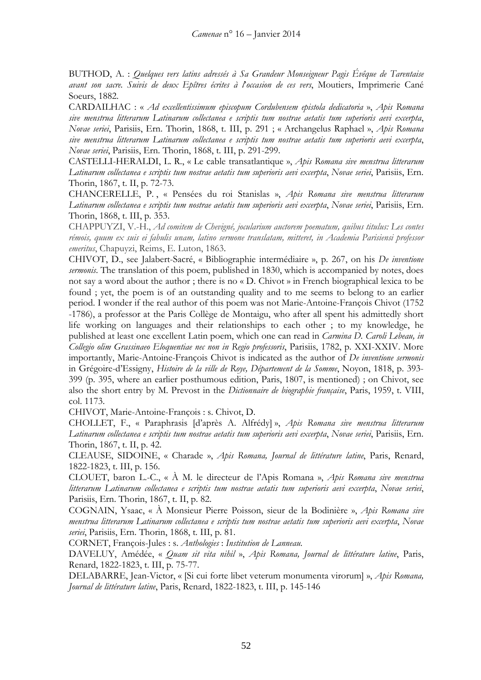BUTHOD, A. : *Quelques vers latins adressés à Sa Grandeur Monseigneur Pagis Évêque de Tarentaise avant son sacre. Suivis de deux Epîtres écrites à l*'*occasion de ces vers*, Moutiers, Imprimerie Cané Soeurs, 1882.

CARDAILHAC : « *Ad excellentissimum episcopum Cordubensem epistola dedicatoria* », *Apis Romana sive menstrua litterarum Latinarum collectanea e scriptis tum nostrae aetatis tum superioris aevi excerpta*, *Novae seriei*, Parisiis, Ern. Thorin, 1868, t. III, p. 291 ; « Archangelus Raphael », *Apis Romana sive menstrua litterarum Latinarum collectanea e scriptis tum nostrae aetatis tum superioris aevi excerpta*, *Novae seriei*, Parisiis, Ern. Thorin, 1868, t. III, p. 291-299.

CASTELLI-HERALDI, L. R., « Le cable transatlantique », *Apis Romana sive menstrua litterarum Latinarum collectanea e scriptis tum nostrae aetatis tum superioris aevi excerpta*, *Novae seriei*, Parisiis, Ern. Thorin, 1867, t. II, p. 72-73.

CHANCERELLE, P. , « Pensées du roi Stanislas », *Apis Romana sive menstrua litterarum Latinarum collectanea e scriptis tum nostrae aetatis tum superioris aevi excerpta*, *Novae seriei*, Parisiis, Ern. Thorin, 1868, t. III, p. 353.

CHAPPUYZI, V.-H., *Ad comitem de Chevigné, jocularium auctorem poematum, quibus titulus: Les contes rémois, quum ex suis ei fabulis unam, latino sermone translatam, mitteret, in Academia Parisiensi professor emeritus*, Chapuyzi, Reims, E. Luton, 1863.

CHIVOT, D., see Jalabert-Sacré, « Bibliographie intermédiaire », p. 267, on his *De inventione sermonis*. The translation of this poem, published in 1830, which is accompanied by notes, does not say a word about the author ; there is no « D. Chivot » in French biographical lexica to be found ; yet, the poem is of an outstanding quality and to me seems to belong to an earlier period. I wonder if the real author of this poem was not Marie-Antoine-François Chivot (1752 -1786), a professor at the Paris Collège de Montaigu, who after all spent his admittedly short life working on languages and their relationships to each other ; to my knowledge, he published at least one excellent Latin poem, which one can read in *Carmina D. Caroli Lebeau, in Collegio olim Grassinaeo Eloquentiae nec non in Regio professoris*, Parisiis, 1782, p. XXI-XXIV. More importantly, Marie-Antoine-François Chivot is indicated as the author of *De inventione sermonis* in Grégoire-d'Essigny, *Histoire de la ville de Roye, Département de la Somme*, Noyon, 1818, p. 393- 399 (p. 395, where an earlier posthumous edition, Paris, 1807, is mentioned) ; on Chivot, see also the short entry by M. Prevost in the *Dictionnaire de biographie française*, Paris, 1959, t. VIII, col. 1173.

CHIVOT, Marie-Antoine-François : s. Chivot, D.

CHOLLET, F., « Paraphrasis [d'après A. Alfrédy] », *Apis Romana sive menstrua litterarum Latinarum collectanea e scriptis tum nostrae aetatis tum superioris aevi excerpta*, *Novae seriei*, Parisiis, Ern. Thorin, 1867, t. II, p. 42.

CLEAUSE, SIDOINE, « Charade », *Apis Romana, Journal de littérature latine*, Paris, Renard, 1822-1823, t. III, p. 156.

CLOUET, baron L.-C., « À M. le directeur de l'Apis Romana », *Apis Romana sive menstrua litterarum Latinarum collectanea e scriptis tum nostrae aetatis tum superioris aevi excerpta*, *Novae seriei*, Parisiis, Ern. Thorin, 1867, t. II, p. 82.

COGNAIN, Ysaac, « À Monsieur Pierre Poisson, sieur de la Bodinière », *Apis Romana sive menstrua litterarum Latinarum collectanea e scriptis tum nostrae aetatis tum superioris aevi excerpta*, *Novae seriei*, Parisiis, Ern. Thorin, 1868, t. III, p. 81.

CORNET, François-Jules : s. *Anthologies* : *Institution de Lanneau.*

DAVELUY, Amédée, « *Quam sit vita nihil* », *Apis Romana, Journal de littérature latine*, Paris, Renard, 1822-1823, t. III, p. 75-77.

DELABARRE, Jean-Victor, « [Si cui forte libet veterum monumenta virorum] », *Apis Romana, Journal de littérature latine*, Paris, Renard, 1822-1823, t. III, p. 145-146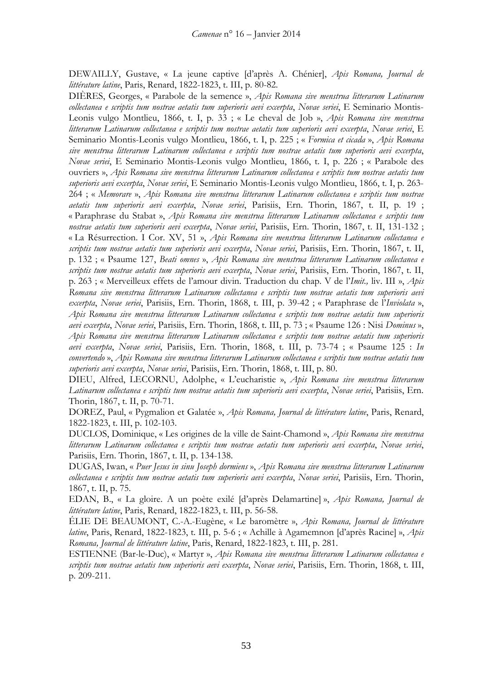DEWAILLY, Gustave, « La jeune captive [d'après A. Chénier], *Apis Romana, Journal de littérature latine*, Paris, Renard, 1822-1823, t. III, p. 80-82.

DIÈRES, Georges, « Parabole de la semence », *Apis Romana sive menstrua litterarum Latinarum collectanea e scriptis tum nostrae aetatis tum superioris aevi excerpta*, *Novae seriei*, E Seminario Montis-Leonis vulgo Montlieu, 1866, t. I, p. 33 ; « Le cheval de Job », *Apis Romana sive menstrua litterarum Latinarum collectanea e scriptis tum nostrae aetatis tum superioris aevi excerpta*, *Novae seriei*, E Seminario Montis-Leonis vulgo Montlieu, 1866, t. I, p. 225 ; « *Formica et cicada* », *Apis Romana sive menstrua litterarum Latinarum collectanea e scriptis tum nostrae aetatis tum superioris aevi excerpta*, *Novae seriei*, E Seminario Montis-Leonis vulgo Montlieu, 1866, t. I, p. 226 ; « Parabole des ouvriers », *Apis Romana sive menstrua litterarum Latinarum collectanea e scriptis tum nostrae aetatis tum superioris aevi excerpta*, *Novae seriei*, E Seminario Montis-Leonis vulgo Montlieu, 1866, t. I, p. 263- 264 ; « *Memorare* », *Apis Romana sive menstrua litterarum Latinarum collectanea e scriptis tum nostrae aetatis tum superioris aevi excerpta*, *Novae seriei*, Parisiis, Ern. Thorin, 1867, t. II, p. 19 ; « Paraphrase du Stabat », *Apis Romana sive menstrua litterarum Latinarum collectanea e scriptis tum nostrae aetatis tum superioris aevi excerpta*, *Novae seriei*, Parisiis, Ern. Thorin, 1867, t. II, 131-132 ; « La Résurrection. I Cor. XV, 51 », *Apis Romana sive menstrua litterarum Latinarum collectanea e scriptis tum nostrae aetatis tum superioris aevi excerpta*, *Novae seriei*, Parisiis, Ern. Thorin, 1867, t. II, p. 132 ; « Psaume 127, *Beati omnes* », *Apis Romana sive menstrua litterarum Latinarum collectanea e scriptis tum nostrae aetatis tum superioris aevi excerpta*, *Novae seriei*, Parisiis, Ern. Thorin, 1867, t. II, p. 263 ; « Merveilleux effets de l'amour divin. Traduction du chap. V de l'*Imit.,* liv. III », *Apis Romana sive menstrua litterarum Latinarum collectanea e scriptis tum nostrae aetatis tum superioris aevi excerpta*, *Novae seriei*, Parisiis, Ern. Thorin, 1868, t. III, p. 39-42 ; « Paraphrase de l'*Inviolata* », *Apis Romana sive menstrua litterarum Latinarum collectanea e scriptis tum nostrae aetatis tum superioris aevi excerpta*, *Novae seriei*, Parisiis, Ern. Thorin, 1868, t. III, p. 73 ; « Psaume 126 : Nisi *Dominus* », *Apis Romana sive menstrua litterarum Latinarum collectanea e scriptis tum nostrae aetatis tum superioris aevi excerpta*, *Novae seriei*, Parisiis, Ern. Thorin, 1868, t. III, p. 73-74 ; « Psaume 125 : *In convertendo* », *Apis Romana sive menstrua litterarum Latinarum collectanea e scriptis tum nostrae aetatis tum superioris aevi excerpta*, *Novae seriei*, Parisiis, Ern. Thorin, 1868, t. III, p. 80.

DIEU, Alfred, LECORNU, Adolphe, « L'eucharistie », *Apis Romana sive menstrua litterarum Latinarum collectanea e scriptis tum nostrae aetatis tum superioris aevi excerpta*, *Novae seriei*, Parisiis, Ern. Thorin, 1867, t. II, p. 70-71.

DOREZ, Paul, « Pygmalion et Galatée », *Apis Romana, Journal de littérature latine*, Paris, Renard, 1822-1823, t. III, p. 102-103.

DUCLOS, Dominique, « Les origines de la ville de Saint-Chamond », *Apis Romana sive menstrua litterarum Latinarum collectanea e scriptis tum nostrae aetatis tum superioris aevi excerpta*, *Novae seriei*, Parisiis, Ern. Thorin, 1867, t. II, p. 134-138.

DUGAS, Iwan, « *Puer Jesus in sinu Joseph dormiens* », *Apis Romana sive menstrua litterarum Latinarum collectanea e scriptis tum nostrae aetatis tum superioris aevi excerpta*, *Novae seriei*, Parisiis, Ern. Thorin, 1867, t. II, p. 75.

EDAN, B., « La gloire. A un poète exilé [d'après Delamartine] », *Apis Romana, Journal de littérature latine*, Paris, Renard, 1822-1823, t. III, p. 56-58.

ÉLIE DE BEAUMONT, C.-A.-Eugène, « Le baromètre », *Apis Romana, Journal de littérature latine*, Paris, Renard, 1822-1823, t. III, p. 5-6 ; « Achille à Agamemnon [d'après Racine] », *Apis Romana, Journal de littérature latine*, Paris, Renard, 1822-1823, t. III, p. 281.

ESTIENNE (Bar-le-Duc), « Martyr », *Apis Romana sive menstrua litterarum Latinarum collectanea e scriptis tum nostrae aetatis tum superioris aevi excerpta*, *Novae seriei*, Parisiis, Ern. Thorin, 1868, t. III, p. 209-211.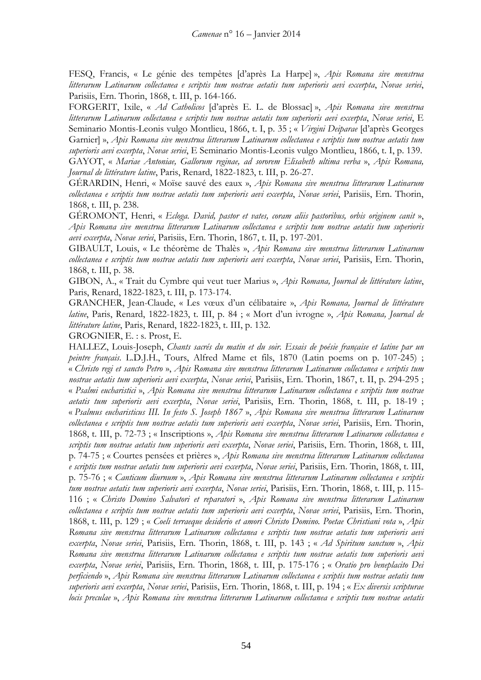FESQ, Francis, « Le génie des tempêtes [d'après La Harpe] », *Apis Romana sive menstrua litterarum Latinarum collectanea e scriptis tum nostrae aetatis tum superioris aevi excerpta*, *Novae seriei*, Parisiis, Ern. Thorin, 1868, t. III, p. 164-166.

FORGERIT, Ixile, « *Ad Catholicos* [d'après E. L. de Blossac] », *Apis Romana sive menstrua litterarum Latinarum collectanea e scriptis tum nostrae aetatis tum superioris aevi excerpta*, *Novae seriei*, E Seminario Montis-Leonis vulgo Montlieu, 1866, t. I, p. 35 ; « *Virgini Deiparae* [d'après Georges Garnier] », *Apis Romana sive menstrua litterarum Latinarum collectanea e scriptis tum nostrae aetatis tum superioris aevi excerpta*, *Novae seriei*, E Seminario Montis-Leonis vulgo Montlieu, 1866, t. I, p. 139. GAYOT, « *Mariae Antoniae, Gallorum reginae, ad sororem Elisabeth ultima verba* », *Apis Romana, Journal de littérature latine*, Paris, Renard, 1822-1823, t. III, p. 26-27.

GÉRARDIN, Henri, « Moïse sauvé des eaux », *Apis Romana sive menstrua litterarum Latinarum collectanea e scriptis tum nostrae aetatis tum superioris aevi excerpta*, *Novae seriei*, Parisiis, Ern. Thorin, 1868, t. III, p. 238.

GÉROMONT, Henri, « *Ecloga. David, pastor et vates, coram aliis pastoribus, orbis originem canit* », *Apis Romana sive menstrua litterarum Latinarum collectanea e scriptis tum nostrae aetatis tum superioris aevi excerpta*, *Novae seriei*, Parisiis, Ern. Thorin, 1867, t. II, p. 197-201.

GIBAULT, Louis, « Le théorème de Thalès », *Apis Romana sive menstrua litterarum Latinarum collectanea e scriptis tum nostrae aetatis tum superioris aevi excerpta*, *Novae seriei*, Parisiis, Ern. Thorin, 1868, t. III, p. 38.

GIBON, A., « Trait du Cymbre qui veut tuer Marius », *Apis Romana, Journal de littérature latine*, Paris, Renard, 1822-1823, t. III, p. 173-174.

GRANCHER, Jean-Claude, « Les vœux d'un célibataire », *Apis Romana, Journal de littérature latine*, Paris, Renard, 1822-1823, t. III, p. 84 ; « Mort d'un ivrogne », *Apis Romana, Journal de littérature latine*, Paris, Renard, 1822-1823, t. III, p. 132.

GROGNIER, E. : s. Prost, E.

HALLEZ, Louis-Joseph, *Chants sacrés du matin et du soir. Essais de poésie française et latine par un peintre français*. L.D.J.H., Tours, Alfred Mame et fils, 1870 (Latin poems on p. 107-245) ; « *Christo regi et sancto Petro* », *Apis Romana sive menstrua litterarum Latinarum collectanea e scriptis tum nostrae aetatis tum superioris aevi excerpta*, *Novae seriei*, Parisiis, Ern. Thorin, 1867, t. II, p. 294-295 ; « *Psalmi eucharistici* », *Apis Romana sive menstrua litterarum Latinarum collectanea e scriptis tum nostrae aetatis tum superioris aevi excerpta*, *Novae seriei*, Parisiis, Ern. Thorin, 1868, t. III, p. 18-19 ; « *Psalmus eucharisticus III. In festo S. Joseph 1867* », *Apis Romana sive menstrua litterarum Latinarum collectanea e scriptis tum nostrae aetatis tum superioris aevi excerpta*, *Novae seriei*, Parisiis, Ern. Thorin, 1868, t. III, p. 72-73 ; « Inscriptions », *Apis Romana sive menstrua litterarum Latinarum collectanea e scriptis tum nostrae aetatis tum superioris aevi excerpta*, *Novae seriei*, Parisiis, Ern. Thorin, 1868, t. III, p. 74-75 ; « Courtes pensées et prières », *Apis Romana sive menstrua litterarum Latinarum collectanea e scriptis tum nostrae aetatis tum superioris aevi excerpta*, *Novae seriei*, Parisiis, Ern. Thorin, 1868, t. III, p. 75-76 ; « *Canticum diurnum* », *Apis Romana sive menstrua litterarum Latinarum collectanea e scriptis tum nostrae aetatis tum superioris aevi excerpta*, *Novae seriei*, Parisiis, Ern. Thorin, 1868, t. III, p. 115- 116 ; « *Christo Domino Salvatori et reparatori* », *Apis Romana sive menstrua litterarum Latinarum collectanea e scriptis tum nostrae aetatis tum superioris aevi excerpta*, *Novae seriei*, Parisiis, Ern. Thorin, 1868, t. III, p. 129 ; « *Coeli terraeque desiderio et amori Christo Domino. Poetae Christiani vota* », *Apis Romana sive menstrua litterarum Latinarum collectanea e scriptis tum nostrae aetatis tum superioris aevi excerpta*, *Novae seriei*, Parisiis, Ern. Thorin, 1868, t. III, p. 143 ; « *Ad Spiritum sanctum* », *Apis Romana sive menstrua litterarum Latinarum collectanea e scriptis tum nostrae aetatis tum superioris aevi excerpta*, *Novae seriei*, Parisiis, Ern. Thorin, 1868, t. III, p. 175-176 ; « *Oratio pro beneplacito Dei perficiendo* », *Apis Romana sive menstrua litterarum Latinarum collectanea e scriptis tum nostrae aetatis tum superioris aevi excerpta*, *Novae seriei*, Parisiis, Ern. Thorin, 1868, t. III, p. 194 ; « *Ex diversis scripturae locis preculae* », *Apis Romana sive menstrua litterarum Latinarum collectanea e scriptis tum nostrae aetatis*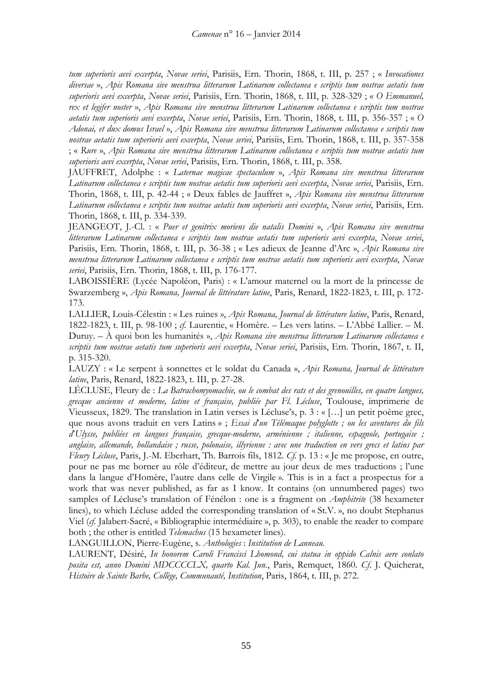*tum superioris aevi excerpta*, *Novae seriei*, Parisiis, Ern. Thorin, 1868, t. III, p. 257 ; « *Invocationes diversae* », *Apis Romana sive menstrua litterarum Latinarum collectanea e scriptis tum nostrae aetatis tum superioris aevi excerpta*, *Novae seriei*, Parisiis, Ern. Thorin, 1868, t. III, p. 328-329 ; « *O Emmanuel, rex et legifer noster* », *Apis Romana sive menstrua litterarum Latinarum collectanea e scriptis tum nostrae aetatis tum superioris aevi excerpta*, *Novae seriei*, Parisiis, Ern. Thorin, 1868, t. III, p. 356-357 ; « *O Adonai, et dux domus Israel* », *Apis Romana sive menstrua litterarum Latinarum collectanea e scriptis tum nostrae aetatis tum superioris aevi excerpta*, *Novae seriei*, Parisiis, Ern. Thorin, 1868, t. III, p. 357-358 ; « *Rure* », *Apis Romana sive menstrua litterarum Latinarum collectanea e scriptis tum nostrae aetatis tum superioris aevi excerpta*, *Novae seriei*, Parisiis, Ern. Thorin, 1868, t. III, p. 358.

JAUFFRET, Adolphe : « *Laternae magicae spectaculum* », *Apis Romana sive menstrua litterarum Latinarum collectanea e scriptis tum nostrae aetatis tum superioris aevi excerpta*, *Novae seriei*, Parisiis, Ern. Thorin, 1868, t. III, p. 42-44 ; « Deux fables de Jauffret », *Apis Romana sive menstrua litterarum Latinarum collectanea e scriptis tum nostrae aetatis tum superioris aevi excerpta*, *Novae seriei*, Parisiis, Ern. Thorin, 1868, t. III, p. 334-339.

JEANGEOT, J.-Cl. : « *Puer et genitrix moriens die natalis Domini* », *Apis Romana sive menstrua litterarum Latinarum collectanea e scriptis tum nostrae aetatis tum superioris aevi excerpta*, *Novae seriei*, Parisiis, Ern. Thorin, 1868, t. III, p. 36-38 ; « Les adieux de Jeanne d'Arc », *Apis Romana sive menstrua litterarum Latinarum collectanea e scriptis tum nostrae aetatis tum superioris aevi excerpta*, *Novae seriei*, Parisiis, Ern. Thorin, 1868, t. III, p. 176-177.

LABOISSIÈRE (Lycée Napoléon, Paris) : « L'amour maternel ou la mort de la princesse de Swarzemberg », *Apis Romana, Journal de littérature latine*, Paris, Renard, 1822-1823, t. III, p. 172- 173.

LALLIER, Louis-Célestin : « Les ruines », *Apis Romana, Journal de littérature latine*, Paris, Renard, 1822-1823, t. III, p. 98-100 ; *cf.* Laurentie, « Homère. – Les vers latins. – L'Abbé Lallier. – M. Duruy. – À quoi bon les humanités », *Apis Romana sive menstrua litterarum Latinarum collectanea e scriptis tum nostrae aetatis tum superioris aevi excerpta*, *Novae seriei*, Parisiis, Ern. Thorin, 1867, t. II, p. 315-320.

LAUZY : « Le serpent à sonnettes et le soldat du Canada », *Apis Romana, Journal de littérature latine*, Paris, Renard, 1822-1823, t. III, p. 27-28.

LÉCLUSE, Fleury de : *La Batrachomyomachie, ou le combat des rats et des grenouilles, en quatre langues, grecque ancienne et moderne, latine et française, publiée par Fl. Lécluse*, Toulouse, imprimerie de Vieusseux, 1829. The translation in Latin verses is Lécluse's, p. 3 : « […] un petit poème grec, que nous avons traduit en vers Latins » ; *Essai d*'*un Télémaque polyglotte ; ou les aventures du fils d*'*Ulysse, publiées en langues française, grecque-moderne, arménienne ; italienne, espagnole, portugaise ; anglaise, allemande, hollandaise ; russe, polonaise, illyrienne : avec une traduction en vers grecs et latins par Fleury Lécluse*, Paris, J.-M. Eberhart, Th. Barrois fils, 1812. *Cf.* p. 13 : « Je me propose, en outre, pour ne pas me borner au rôle d'éditeur, de mettre au jour deux de mes traductions ; l'une dans la langue d'Homère, l'autre dans celle de Virgile ». This is in a fact a prospectus for a work that was never published, as far as I know. It contains (on unnumbered pages) two samples of Lécluse's translation of Fénélon : one is a fragment on *Amphitrite* (38 hexameter lines), to which Lécluse added the corresponding translation of « St.V. », no doubt Stephanus Viel (*cf.* Jalabert-Sacré, « Bibliographie intermédiaire », p. 303), to enable the reader to compare both ; the other is entitled *Telemachus* (15 hexameter lines).

LANGUILLON, Pierre-Eugène, s. *Anthologies* : *Institution de Lanneau.*

LAURENT, Désiré, *In honorem Caroli Francisci Lhomond, cui statua in oppido Calnis aere conlato posita est, anno Domini MDCCCCLX, quarto Kal. Jun.*, Paris, Remquet, 1860. *Cf*. J. Quicherat, *Histoire de Sainte Barbe, Collège, Communauté, Institution*, Paris, 1864, t. III, p. 272.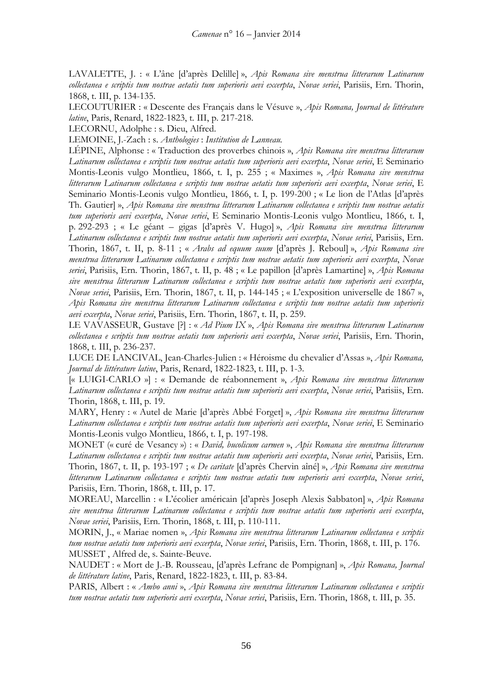LAVALETTE, J. : « L'âne [d'après Delille] », *Apis Romana sive menstrua litterarum Latinarum collectanea e scriptis tum nostrae aetatis tum superioris aevi excerpta*, *Novae seriei*, Parisiis, Ern. Thorin, 1868, t. III, p. 134-135.

LECOUTURIER : « Descente des Français dans le Vésuve », *Apis Romana, Journal de littérature latine*, Paris, Renard, 1822-1823, t. III, p. 217-218.

LECORNU, Adolphe : s. Dieu, Alfred.

LEMOINE, J.-Zach : s. *Anthologies* : *Institution de Lanneau.*

LÉPINE, Alphonse : « Traduction des proverbes chinois », *Apis Romana sive menstrua litterarum Latinarum collectanea e scriptis tum nostrae aetatis tum superioris aevi excerpta*, *Novae seriei*, E Seminario Montis-Leonis vulgo Montlieu, 1866, t. I, p. 255 ; « Maximes », *Apis Romana sive menstrua litterarum Latinarum collectanea e scriptis tum nostrae aetatis tum superioris aevi excerpta*, *Novae seriei*, E Seminario Montis-Leonis vulgo Montlieu, 1866, t. I, p. 199-200 ; « Le lion de l'Atlas [d'après Th. Gautier] », *Apis Romana sive menstrua litterarum Latinarum collectanea e scriptis tum nostrae aetatis tum superioris aevi excerpta*, *Novae seriei*, E Seminario Montis-Leonis vulgo Montlieu, 1866, t. I, p. 292-293 ; « Le géant – gigas [d'après V. Hugo] », *Apis Romana sive menstrua litterarum Latinarum collectanea e scriptis tum nostrae aetatis tum superioris aevi excerpta*, *Novae seriei*, Parisiis, Ern. Thorin, 1867, t. II, p. 8-11 ; « *Arabs ad equum suum* [d'après J. Reboul] », *Apis Romana sive menstrua litterarum Latinarum collectanea e scriptis tum nostrae aetatis tum superioris aevi excerpta*, *Novae seriei*, Parisiis, Ern. Thorin, 1867, t. II, p. 48 ; « Le papillon [d'après Lamartine] », *Apis Romana sive menstrua litterarum Latinarum collectanea e scriptis tum nostrae aetatis tum superioris aevi excerpta*, *Novae seriei*, Parisiis, Ern. Thorin, 1867, t. II, p. 144-145 ; « L'exposition universelle de 1867 », *Apis Romana sive menstrua litterarum Latinarum collectanea e scriptis tum nostrae aetatis tum superioris aevi excerpta*, *Novae seriei*, Parisiis, Ern. Thorin, 1867, t. II, p. 259.

LE VAVASSEUR, Gustave [?] : « *Ad Pium IX* », *Apis Romana sive menstrua litterarum Latinarum collectanea e scriptis tum nostrae aetatis tum superioris aevi excerpta*, *Novae seriei*, Parisiis, Ern. Thorin, 1868, t. III, p. 236-237.

LUCE DE LANCIVAL, Jean-Charles-Julien : « Héroisme du chevalier d'Assas », *Apis Romana, Journal de littérature latine*, Paris, Renard, 1822-1823, t. III, p. 1-3.

[« LUIGI-CARLO »] : « Demande de réabonnement », *Apis Romana sive menstrua litterarum Latinarum collectanea e scriptis tum nostrae aetatis tum superioris aevi excerpta*, *Novae seriei*, Parisiis, Ern. Thorin, 1868, t. III, p. 19.

MARY, Henry : « Autel de Marie [d'après Abbé Forget] », *Apis Romana sive menstrua litterarum Latinarum collectanea e scriptis tum nostrae aetatis tum superioris aevi excerpta*, *Novae seriei*, E Seminario Montis-Leonis vulgo Montlieu, 1866, t. I, p. 197-198.

MONET (« curé de Vesancy ») : « *David, bucolicum carmen* », *Apis Romana sive menstrua litterarum Latinarum collectanea e scriptis tum nostrae aetatis tum superioris aevi excerpta*, *Novae seriei*, Parisiis, Ern. Thorin, 1867, t. II, p. 193-197 ; « *De caritate* [d'après Chervin aîné] », *Apis Romana sive menstrua litterarum Latinarum collectanea e scriptis tum nostrae aetatis tum superioris aevi excerpta*, *Novae seriei*, Parisiis, Ern. Thorin, 1868, t. III, p. 17.

MOREAU, Marcellin : « L'écolier américain [d'après Joseph Alexis Sabbaton] », *Apis Romana sive menstrua litterarum Latinarum collectanea e scriptis tum nostrae aetatis tum superioris aevi excerpta*, *Novae seriei*, Parisiis, Ern. Thorin, 1868, t. III, p. 110-111.

MORIN, J., « Mariae nomen », *Apis Romana sive menstrua litterarum Latinarum collectanea e scriptis tum nostrae aetatis tum superioris aevi excerpta*, *Novae seriei*, Parisiis, Ern. Thorin, 1868, t. III, p. 176. MUSSET , Alfred de, s. Sainte-Beuve.

NAUDET : « Mort de J.-B. Rousseau, [d'après Lefranc de Pompignan] », *Apis Romana, Journal de littérature latine*, Paris, Renard, 1822-1823, t. III, p. 83-84.

PARIS, Albert : « *Ambo anni* », *Apis Romana sive menstrua litterarum Latinarum collectanea e scriptis tum nostrae aetatis tum superioris aevi excerpta*, *Novae seriei*, Parisiis, Ern. Thorin, 1868, t. III, p. 35.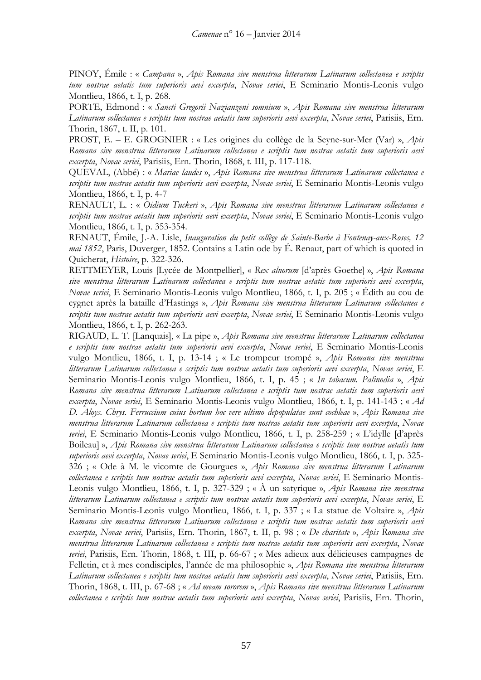PINOY, Émile : « *Campana* », *Apis Romana sive menstrua litterarum Latinarum collectanea e scriptis tum nostrae aetatis tum superioris aevi excerpta*, *Novae seriei*, E Seminario Montis-Leonis vulgo Montlieu, 1866, t. I, p. 268.

PORTE, Edmond : « *Sancti Gregorii Nazianzeni somnium* », *Apis Romana sive menstrua litterarum Latinarum collectanea e scriptis tum nostrae aetatis tum superioris aevi excerpta*, *Novae seriei*, Parisiis, Ern. Thorin, 1867, t. II, p. 101.

PROST, E. – E. GROGNIER : « Les origines du collège de la Seyne-sur-Mer (Var) », *Apis Romana sive menstrua litterarum Latinarum collectanea e scriptis tum nostrae aetatis tum superioris aevi excerpta*, *Novae seriei*, Parisiis, Ern. Thorin, 1868, t. III, p. 117-118.

QUEVAL, (Abbé) : « *Mariae laudes* », *Apis Romana sive menstrua litterarum Latinarum collectanea e scriptis tum nostrae aetatis tum superioris aevi excerpta*, *Novae seriei*, E Seminario Montis-Leonis vulgo Montlieu, 1866, t. I, p. 4-7

RENAULT, L. : « *Oidium Tuckeri* », *Apis Romana sive menstrua litterarum Latinarum collectanea e scriptis tum nostrae aetatis tum superioris aevi excerpta*, *Novae seriei*, E Seminario Montis-Leonis vulgo Montlieu, 1866, t. I, p. 353-354.

RENAUT, Émile, J.-A. Lisle, *Inauguration du petit collège de Sainte-Barbe à Fontenay-aux-Roses, 12 mai 1852*, Paris, Duverger, 1852. Contains a Latin ode by É. Renaut, part of which is quoted in Quicherat, *Histoire*, p. 322-326.

RETTMEYER, Louis [Lycée de Montpellier], « *Rex alnorum* [d'après Goethe] », *Apis Romana sive menstrua litterarum Latinarum collectanea e scriptis tum nostrae aetatis tum superioris aevi excerpta*, *Novae seriei*, E Seminario Montis-Leonis vulgo Montlieu, 1866, t. I, p. 205 ; « Édith au cou de cygnet après la bataille d'Hastings », *Apis Romana sive menstrua litterarum Latinarum collectanea e scriptis tum nostrae aetatis tum superioris aevi excerpta*, *Novae seriei*, E Seminario Montis-Leonis vulgo Montlieu, 1866, t. I, p. 262-263.

RIGAUD, L. T. [Lanquais], « La pipe », *Apis Romana sive menstrua litterarum Latinarum collectanea e scriptis tum nostrae aetatis tum superioris aevi excerpta*, *Novae seriei*, E Seminario Montis-Leonis vulgo Montlieu, 1866, t. I, p. 13-14 ; « Le trompeur trompé », *Apis Romana sive menstrua litterarum Latinarum collectanea e scriptis tum nostrae aetatis tum superioris aevi excerpta*, *Novae seriei*, E Seminario Montis-Leonis vulgo Montlieu, 1866, t. I, p. 45 ; « *In tabacum. Palinodia* », *Apis Romana sive menstrua litterarum Latinarum collectanea e scriptis tum nostrae aetatis tum superioris aevi excerpta*, *Novae seriei*, E Seminario Montis-Leonis vulgo Montlieu, 1866, t. I, p. 141-143 ; « *Ad D. Aloys. Chrys. Ferruccium cuius hortum hoc vere ultimo depopulatae sunt cochleae* », *Apis Romana sive menstrua litterarum Latinarum collectanea e scriptis tum nostrae aetatis tum superioris aevi excerpta*, *Novae seriei*, E Seminario Montis-Leonis vulgo Montlieu, 1866, t. I, p. 258-259 ; « L'idylle [d'après Boileau] », *Apis Romana sive menstrua litterarum Latinarum collectanea e scriptis tum nostrae aetatis tum superioris aevi excerpta*, *Novae seriei*, E Seminario Montis-Leonis vulgo Montlieu, 1866, t. I, p. 325- 326 ; « Ode à M. le vicomte de Gourgues », *Apis Romana sive menstrua litterarum Latinarum collectanea e scriptis tum nostrae aetatis tum superioris aevi excerpta*, *Novae seriei*, E Seminario Montis-Leonis vulgo Montlieu, 1866, t. I, p. 327-329 ; « À un satyrique », *Apis Romana sive menstrua litterarum Latinarum collectanea e scriptis tum nostrae aetatis tum superioris aevi excerpta*, *Novae seriei*, E Seminario Montis-Leonis vulgo Montlieu, 1866, t. I, p. 337 ; « La statue de Voltaire », *Apis Romana sive menstrua litterarum Latinarum collectanea e scriptis tum nostrae aetatis tum superioris aevi excerpta*, *Novae seriei*, Parisiis, Ern. Thorin, 1867, t. II, p. 98 ; « *De charitate* », *Apis Romana sive menstrua litterarum Latinarum collectanea e scriptis tum nostrae aetatis tum superioris aevi excerpta*, *Novae seriei*, Parisiis, Ern. Thorin, 1868, t. III, p. 66-67 ; « Mes adieux aux délicieuses campagnes de Felletin, et à mes condisciples, l'année de ma philosophie », *Apis Romana sive menstrua litterarum Latinarum collectanea e scriptis tum nostrae aetatis tum superioris aevi excerpta*, *Novae seriei*, Parisiis, Ern. Thorin, 1868, t. III, p. 67-68 ; « *Ad meam sororem* », *Apis Romana sive menstrua litterarum Latinarum collectanea e scriptis tum nostrae aetatis tum superioris aevi excerpta*, *Novae seriei*, Parisiis, Ern. Thorin,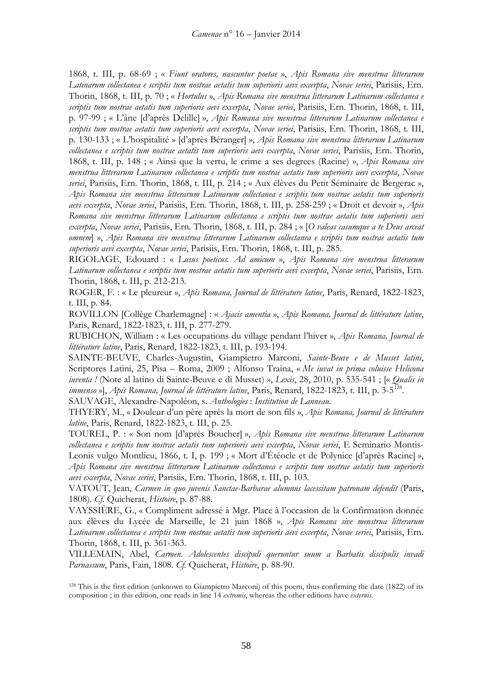1868, t. III, p. 68-69 ; « *Fiunt oratores, nascuntur poetae* », *Apis Romana sive menstrua litterarum Latinarum collectanea e scriptis tum nostrae aetatis tum superioris aevi excerpta*, *Novae seriei*, Parisiis, Ern. Thorin, 1868, t. III, p. 70 ; « *Hortulus* », *Apis Romana sive menstrua litterarum Latinarum collectanea e scriptis tum nostrae aetatis tum superioris aevi excerpta*, *Novae seriei*, Parisiis, Ern. Thorin, 1868, t. III, p. 97-99 ; « L'âne [d'après Delille] », *Apis Romana sive menstrua litterarum Latinarum collectanea e scriptis tum nostrae aetatis tum superioris aevi excerpta*, *Novae seriei*, Parisiis, Ern. Thorin, 1868, t. III, p. 130-133 ; « L'hospitalité » [d'après Béranger] », *Apis Romana sive menstrua litterarum Latinarum collectanea e scriptis tum nostrae aetatis tum superioris aevi excerpta*, *Novae seriei*, Parisiis, Ern. Thorin, 1868, t. III, p. 148 ; « Ainsi que la vertu, le crime a ses degrees (Racine) », *Apis Romana sive menstrua litterarum Latinarum collectanea e scriptis tum nostrae aetatis tum superioris aevi excerpta*, *Novae seriei*, Parisiis, Ern. Thorin, 1868, t. III, p. 214 ; « Aux élèves du Petit Séminaire de Bergerac », *Apis Romana sive menstrua litterarum Latinarum collectanea e scriptis tum nostrae aetatis tum superioris aevi excerpta*, *Novae seriei*, Parisiis, Ern. Thorin, 1868, t. III, p. 258-259 ; « Droit et devoir », *Apis Romana sive menstrua litterarum Latinarum collectanea e scriptis tum nostrae aetatis tum superioris aevi excerpta*, *Novae seriei*, Parisiis, Ern. Thorin, 1868, t. III, p. 284 ; « [*O valeas casumque a te Deus arceat omnem*] », *Apis Romana sive menstrua litterarum Latinarum collectanea e scriptis tum nostrae aetatis tum superioris aevi excerpta*, *Novae seriei*, Parisiis, Ern. Thorin, 1868, t. III, p. 285.

RIGOLAGE, Edouard : « *Lusus poeticus. Ad amicum* », *Apis Romana sive menstrua litterarum Latinarum collectanea e scriptis tum nostrae aetatis tum superioris aevi excerpta*, *Novae seriei*, Parisiis, Ern. Thorin, 1868, t. III, p. 212-213.

ROGER, F. : « Le pleureur », *Apis Romana, Journal de littérature latine*, Paris, Renard, 1822-1823, t. III, p. 84.

ROVILLON [Collège Charlemagne] : « *Ajacis amentia* », *Apis Romana, Journal de littérature latine*, Paris, Renard, 1822-1823, t. III, p. 277-279.

RUBICHON, William : « Les occupations du village pendant l'hiver », *Apis Romana, Journal de littérature latine*, Paris, Renard, 1822-1823, t. III, p. 193-194.

SAINTE-BEUVE, Charles-Augustin, Giampietro Marconi, *Sainte-Beuve e de Musset latini*, Scriptores Latini, 25, Pisa – Roma, 2009 ; Alfonso Traina, « *Me iuvat in prima coluisse Helicona iuventa !* (Note al latino di Sainte-Beuve e di Musset) », *Lexis*, 28, 2010, p. 535-541 ; [« *Qualis in immenso* »], *Apis Romana, Journal de littérature latine*, Paris, Renard, 1822-1823, t. III, p. 3-5[128.](#page-57-0)

SAUVAGE, Alexandre-Napoléon, s. *Anthologies* : *Institution de Lanneau.*

THYERY, M., « Douleur d'un père après la mort de son fils », *Apis Romana, Journal de littérature latine*, Paris, Renard, 1822-1823, t. III, p. 25.

TOUREL, P. : « Son nom [d'après Boucher] », *Apis Romana sive menstrua litterarum Latinarum collectanea e scriptis tum nostrae aetatis tum superioris aevi excerpta*, *Novae seriei*, E Seminario Montis-Leonis vulgo Montlieu, 1866, t. I, p. 199 ; « Mort d'Étéocle et de Polynice [d'après Racine] », *Apis Romana sive menstrua litterarum Latinarum collectanea e scriptis tum nostrae aetatis tum superioris aevi excerpta*, *Novae seriei*, Parisiis, Ern. Thorin, 1868, t. III, p. 103.

VATOUT, Jean, *Carmen in quo juvenis Sanctae-Barbarae alumnus lacessitam patronam defendit* (Paris, 1808). *Cf.* Quicherat, *Histoire*, p. 87-88.

VAYSSIÈRE, G., « Compliment adressé à Mgr. Place à l'occasion de la Confirmation donnée aux élèves du Lycée de Marseille, le 21 juin 1868 », *Apis Romana sive menstrua litterarum Latinarum collectanea e scriptis tum nostrae aetatis tum superioris aevi excerpta*, *Novae seriei*, Parisiis, Ern. Thorin, 1868, t. III, p. 361-363.

VILLEMAIN, Abel, *Carmen. Adolescentes discipuli queruntur suum a Barbatis discipulis invadi Parnassum*, Paris, Fain, 1808. *Cf.* Quicherat, *Histoire*, p. 88-90.

<span id="page-57-0"></span><sup>128</sup> This is the first edition (unknown to Giampietro Marconi) of this poem, thus confirming the date (1822) of its composition ; in this edition, one reads in line 14 *extremis*, whereas the other editions have *externis*.